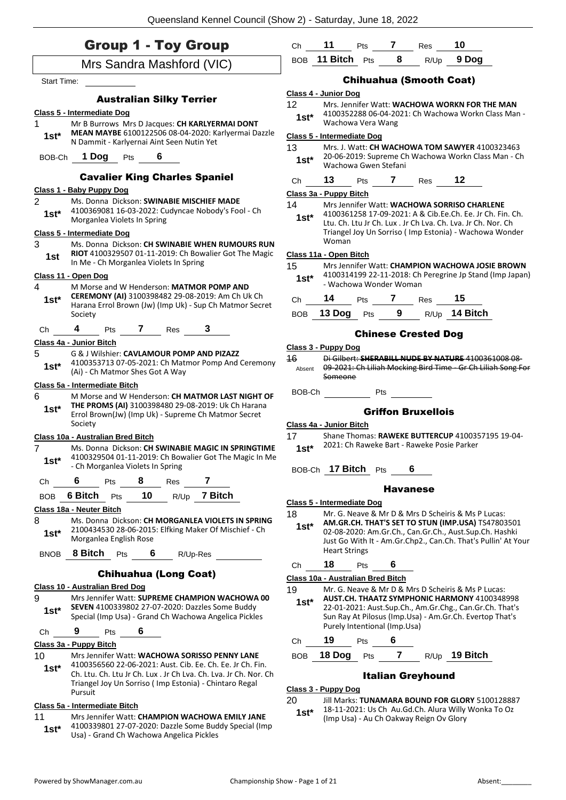|  |  |  |  | <b>Group 1 - Toy Group</b> |
|--|--|--|--|----------------------------|
|--|--|--|--|----------------------------|

|                    | <b>Group 1 - Toy Group</b>                                                                                                 | Ch           | 11                                | Pts | $\mathbf{7}$    | Res                                     | 10                                                                                                                     |
|--------------------|----------------------------------------------------------------------------------------------------------------------------|--------------|-----------------------------------|-----|-----------------|-----------------------------------------|------------------------------------------------------------------------------------------------------------------------|
|                    | Mrs Sandra Mashford (VIC)                                                                                                  |              | BOB 11 Bitch Pts 8 R/Up 9 Dog     |     |                 |                                         |                                                                                                                        |
| <b>Start Time:</b> |                                                                                                                            |              |                                   |     |                 | <b>Chihuahua (Smooth Coat)</b>          |                                                                                                                        |
|                    | <b>Australian Silky Terrier</b>                                                                                            |              | Class 4 - Junior Dog              |     |                 |                                         |                                                                                                                        |
|                    | <b>Class 5 - Intermediate Dog</b>                                                                                          | 12           |                                   |     |                 |                                         | Mrs. Jennifer Watt: WACHOWA WORKN FOR THE MAN                                                                          |
| 1.                 | Mr B Burrows Mrs D Jacques: CH KARLYERMAI DONT                                                                             | $1st^*$      | Wachowa Vera Wang                 |     |                 |                                         | 4100352288 06-04-2021: Ch Wachowa Workn Class Man -                                                                    |
| $1st^*$            | MEAN MAYBE 6100122506 08-04-2020: Karlyermai Dazzle                                                                        |              | Class 5 - Intermediate Dog        |     |                 |                                         |                                                                                                                        |
|                    | N Dammit - Karlyernai Aint Seen Nutin Yet                                                                                  | 13           |                                   |     |                 |                                         | Mrs. J. Watt: CH WACHOWA TOM SAWYER 4100323463                                                                         |
|                    | BOB-Ch 1 Dog Pts 6                                                                                                         | $1st*$       | Wachowa Gwen Stefani              |     |                 |                                         | 20-06-2019: Supreme Ch Wachowa Workn Class Man - Ch                                                                    |
|                    | <b>Cavalier King Charles Spaniel</b>                                                                                       | Ch           | 13                                |     |                 | Pts 7 Res 12                            |                                                                                                                        |
|                    | Class 1 - Baby Puppy Dog                                                                                                   |              | Class 3a - Puppy Bitch            |     |                 |                                         |                                                                                                                        |
| $\overline{2}$     | Ms. Donna Dickson: SWINABIE MISCHIEF MADE                                                                                  | 14           |                                   |     |                 |                                         | Mrs Jennifer Watt: WACHOWA SORRISO CHARLENE                                                                            |
| $1st*$             | 4100369081 16-03-2022: Cudyncae Nobody's Fool - Ch<br>Morganlea Violets In Spring                                          | $1st*$       |                                   |     |                 |                                         | 4100361258 17-09-2021: A & Cib.Ee.Ch. Ee. Jr Ch. Fin. Ch.                                                              |
|                    | <b>Class 5 - Intermediate Dog</b>                                                                                          |              |                                   |     |                 |                                         | Ltu. Ch. Ltu Jr Ch. Lux . Jr Ch Lva. Ch. Lva. Jr Ch. Nor. Ch<br>Triangel Joy Un Sorriso (Imp Estonia) - Wachowa Wonder |
| 3                  | Ms. Donna Dickson: CH SWINABIE WHEN RUMOURS RUN                                                                            |              | Woman                             |     |                 |                                         |                                                                                                                        |
| 1st                | RIOT 4100329507 01-11-2019: Ch Bowalier Got The Magic                                                                      |              | Class 11a - Open Bitch            |     |                 |                                         |                                                                                                                        |
|                    | In Me - Ch Morganlea Violets In Spring                                                                                     | 15           |                                   |     |                 |                                         | Mrs Jennifer Watt: CHAMPION WACHOWA JOSIE BROWN<br>4100314199 22-11-2018: Ch Peregrine Jp Stand (Imp Japan)            |
| 4                  | Class 11 - Open Dog<br>M Morse and W Henderson: MATMOR POMP AND                                                            | $1st^*$      | - Wachowa Wonder Woman            |     |                 |                                         |                                                                                                                        |
| $1st^*$            | CEREMONY (AI) 3100398482 29-08-2019: Am Ch Uk Ch                                                                           | Chine        | 14                                |     |                 | Pts 7 Res 15                            |                                                                                                                        |
|                    | Harana Errol Brown (Jw) (Imp Uk) - Sup Ch Matmor Secret<br>Society                                                         |              |                                   |     |                 |                                         | BOB 13 Dog Pts 9 R/Up 14 Bitch                                                                                         |
| Ch                 | 4 Pts 7 Res 3                                                                                                              |              |                                   |     |                 |                                         |                                                                                                                        |
|                    | Class 4a - Junior Bitch                                                                                                    |              |                                   |     |                 | <b>Chinese Crested Dog</b>              |                                                                                                                        |
| 5                  | G & J Wilshier: CAVLAMOUR POMP AND PIZAZZ                                                                                  |              | Class 3 - Puppy Dog               |     |                 |                                         |                                                                                                                        |
| $1st^*$            | 4100353713 07-05-2021: Ch Matmor Pomp And Ceremony                                                                         | 16<br>Absent |                                   |     |                 |                                         | Di Gilbert: SHERABILL NUDE BY NATURE 4100361008 08-<br>09 2021: Ch Liliah Mocking Bird Time Gr Ch Liliah Song For      |
|                    | (Ai) - Ch Matmor Shes Got A Way                                                                                            |              | Someone                           |     |                 |                                         |                                                                                                                        |
|                    | Class 5a - Intermediate Bitch                                                                                              |              | BOB-Ch Pts                        |     |                 |                                         |                                                                                                                        |
| 6<br>$1st^*$       | M Morse and W Henderson: CH MATMOR LAST NIGHT OF<br>THE PROMS (AI) 3100398480 29-08-2019: Uk Ch Harana                     |              |                                   |     |                 |                                         |                                                                                                                        |
|                    | Errol Brown(Jw) (Imp Uk) - Supreme Ch Matmor Secret                                                                        |              |                                   |     |                 | <b>Griffon Bruxellois</b>               |                                                                                                                        |
|                    | Society                                                                                                                    | 17           | Class 4a - Junior Bitch           |     |                 |                                         | Shane Thomas: RAWEKE BUTTERCUP 4100357195 19-04-                                                                       |
| 7                  | Class 10a - Australian Bred Bitch<br>Ms. Donna Dickson: CH SWINABIE MAGIC IN SPRINGTIME                                    | $1st^*$      |                                   |     |                 |                                         | 2021: Ch Raweke Bart - Raweke Posie Parker                                                                             |
| $1st^*$            | 4100329504 01-11-2019: Ch Bowalier Got The Magic In Me                                                                     |              |                                   |     |                 |                                         |                                                                                                                        |
|                    | - Ch Morganlea Violets In Spring                                                                                           |              | BOB-Ch 17 Bitch Pts               |     |                 | 6                                       |                                                                                                                        |
| Ch                 | 7<br>8<br>6<br>Pts<br>Res                                                                                                  |              |                                   |     | <b>Havanese</b> |                                         |                                                                                                                        |
| <b>BOB</b>         | 6 Bitch<br>10<br>7 Bitch<br>Pts<br>R/Up                                                                                    |              |                                   |     |                 |                                         |                                                                                                                        |
|                    | Class 18a - Neuter Bitch                                                                                                   | 18           | Class 5 - Intermediate Dog        |     |                 |                                         | Mr. G. Neave & Mr D & Mrs D Scheiris & Ms P Lucas:                                                                     |
| 8                  | Ms. Donna Dickson: CH MORGANLEA VIOLETS IN SPRING                                                                          | $1st*$       |                                   |     |                 |                                         | AM.GR.CH. THAT'S SET TO STUN (IMP.USA) TS47803501                                                                      |
| $1st*$             | 2100434530 28-06-2015: Elfking Maker Of Mischief - Ch<br>Morganlea English Rose                                            |              |                                   |     |                 |                                         | 02-08-2020: Am.Gr.Ch., Can.Gr.Ch., Aust.Sup.Ch. Hashki                                                                 |
|                    | <b>8 Bitch</b> Pts<br>6                                                                                                    |              | <b>Heart Strings</b>              |     |                 |                                         | Just Go With It - Am.Gr.Chp2., Can.Ch. That's Pullin' At Your                                                          |
| <b>BNOB</b>        | R/Up-Res                                                                                                                   | Ch           | 18                                | Pts | 6               |                                         |                                                                                                                        |
|                    | <b>Chihuahua (Long Coat)</b>                                                                                               |              | Class 10a - Australian Bred Bitch |     |                 |                                         |                                                                                                                        |
|                    | Class 10 - Australian Bred Dog                                                                                             | 19           |                                   |     |                 |                                         | Mr. G. Neave & Mr D & Mrs D Scheiris & Ms P Lucas:                                                                     |
| 9                  | Mrs Jennifer Watt: SUPREME CHAMPION WACHOWA 00                                                                             | $1st^*$      |                                   |     |                 |                                         | AUST.CH. THAATZ SYMPHONIC HARMONY 4100348998                                                                           |
| $1st*$             | SEVEN 4100339802 27-07-2020: Dazzles Some Buddy<br>Special (Imp Usa) - Grand Ch Wachowa Angelica Pickles                   |              |                                   |     |                 |                                         | 22-01-2021: Aust.Sup.Ch., Am.Gr.Chg., Can.Gr.Ch. That's<br>Sun Ray At Pilosus (Imp.Usa) - Am.Gr.Ch. Evertop That's     |
| Ch                 | 9<br>6<br>Pts                                                                                                              |              | Purely Intentional (Imp.Usa)      |     |                 |                                         |                                                                                                                        |
|                    | Class 3a - Puppy Bitch                                                                                                     | Ch           | 19                                | Pts | 6               |                                         |                                                                                                                        |
| 10 <sup>°</sup>    | Mrs Jennifer Watt: WACHOWA SORISSO PENNY LANE                                                                              | <b>BOB</b>   | 18 Dog                            | Pts | $\overline{7}$  |                                         | R/Up 19 Bitch                                                                                                          |
| $1st*$             | 4100356560 22-06-2021: Aust. Cib. Ee. Ch. Ee. Jr Ch. Fin.                                                                  |              |                                   |     |                 |                                         |                                                                                                                        |
|                    | Ch. Ltu. Ch. Ltu Jr Ch. Lux . Jr Ch Lva. Ch. Lva. Jr Ch. Nor. Ch<br>Triangel Joy Un Sorriso (Imp Estonia) - Chintaro Regal |              |                                   |     |                 | <b>Italian Greyhound</b>                |                                                                                                                        |
|                    | Pursuit                                                                                                                    |              | <b>Class 3 - Puppy Dog</b>        |     |                 |                                         |                                                                                                                        |
|                    | Class 5a - Intermediate Bitch                                                                                              | 20           |                                   |     |                 |                                         | Jill Marks: TUNAMARA BOUND FOR GLORY 5100128887<br>18-11-2021: Us Ch Au.Gd.Ch. Alura Willy Wonka To Oz                 |
| 11                 | Mrs Jennifer Watt: CHAMPION WACHOWA EMILY JANE                                                                             | $1st*$       |                                   |     |                 | (Imp Usa) - Au Ch Oakway Reign Ov Glory |                                                                                                                        |

4100339801 27-07-2020: Dazzle Some Buddy Special (Imp

Usa) - Grand Ch Wachowa Angelica Pickles **1st\***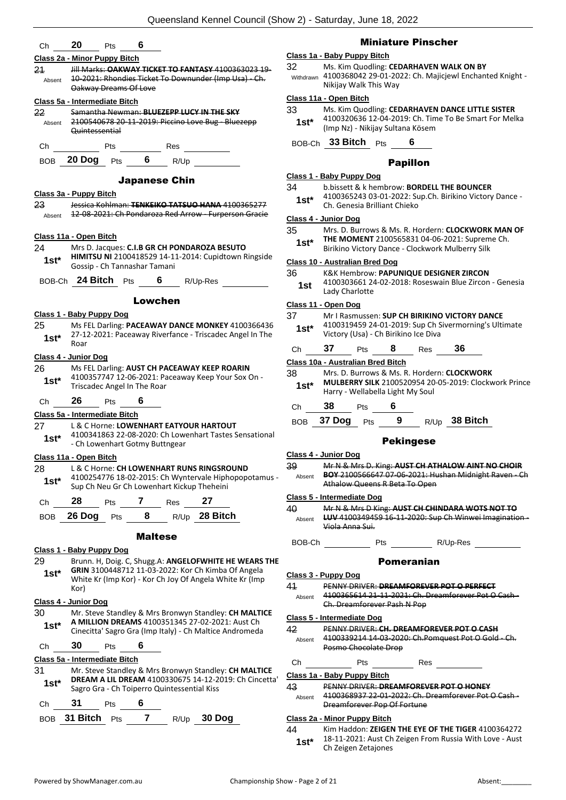| Ch | 20 | Pts | 6 |
|----|----|-----|---|
|    |    |     |   |

#### **Class 2a - Minor Puppy Bitch**

21 Jill Marks: **OAKWAY TICKET TO FANTASY** 4100363023 19- 10-2021: Rhondies Ticket To Downunder (Imp Usa) - Ch. Oakway Dreams Of Love Absent

#### **Class 5a - Intermediate Bitch**

22 Samantha Newman: **BLUEZEPP LUCY IN THE SKY** 2100540678 20-11-2019: Piccino Love Bug - Bluezepp Quintessential Absent



#### Japanese Chin

#### **Class 3a - Puppy Bitch**

23 Jessica Kohlman: **TENKEIKO TATSUO HANA** 4100365277 Absent 12-08-2021: Ch Pondaroza Red Arrow - Furperson Gracie **Class 11a - Open Bitch** 24 Mrs D. Jacques: **C.I.B GR CH PONDAROZA BESUTO** 

**HIMITSU NI** 2100418529 14-11-2014: Cupidtown Ringside Gossip - Ch Tannashar Tamani **1st\***

BOB-Ch **24 Bitch** Pts **6** R/Up-Res

#### Lowchen

#### **Class 1 - Baby Puppy Dog**

25 Ms FEL Darling: **PACEAWAY DANCE MONKEY** 4100366436 27-12-2021: Paceaway Riverfance - Triscadec Angel In The Roar **1st\***

#### **Class 4 - Junior Dog**

26 Ms FEL Darling: **AUST CH PACEAWAY KEEP ROARIN** 4100357747 12-06-2021: Paceaway Keep Your Sox On - Triscadec Angel In The Roar **1st\***

#### Ch **26** Pts **6**

#### **Class 5a - Intermediate Bitch**

#### 27 L & C Horne: **LOWENHART EATYOUR HARTOUT**

4100341863 22-08-2020: Ch Lowenhart Tastes Sensational - Ch Lowenhart Gotmy Buttngear **1st\***

#### **Class 11a - Open Bitch**

28 L & C Horne: **CH LOWENHART RUNS RINGSROUND** 4100254776 18-02-2015: Ch Wyntervale Hiphopopotamus - **1st** 4100254776 18-02-2015: Ch wyntervale Hiph<br>Sup Ch Neu Gr Ch Lowenhart Kickup Theheini

| BOB 26 Dog Pts |  | $R/Up$ 28 Bitch |
|----------------|--|-----------------|
|                |  |                 |

#### Maltese

#### **Class 1 - Baby Puppy Dog**

29 Brunn. H, Doig. C, Shugg.A: **ANGELOFWHITE HE WEARS THE GRIN** 3100448712 11-03-2022: Kor Ch Kimba Of Angela White Kr (Imp Kor) - Kor Ch Joy Of Angela White Kr (Imp Kor) **1st\***

#### **Class 4 - Junior Dog**

30 Mr. Steve Standley & Mrs Bronwyn Standley: **CH MALTICE A MILLION DREAMS** 4100351345 27-02-2021: Aust Ch Cinecitta' Sagro Gra (Imp Italy) - Ch Maltice Andromeda **1st\***

#### Ch **30** Pts **6**

#### **Class 5a - Intermediate Bitch**

31 Mr. Steve Standley & Mrs Bronwyn Standley: **CH MALTICE DREAM A LIL DREAM** 4100330675 14-12-2019: Ch Cincetta' **1st\*** DREAM A LIL DREAM 41003306/5 14-12-2<br>Sagro Gra - Ch Toiperro Quintessential Kiss

### Ch **31** Pts **6**

BOB **31 Bitch** Pts **7** R/Up **30 Dog**

### Miniature Pinscher

#### **Class 1a - Baby Puppy Bitch**

32 Ms. Kim Quodling: **CEDARHAVEN WALK ON BY**

4100368042 29-01-2022: Ch. Majicjewl Enchanted Knight - Nikijay Walk This Way Withdrawn

#### **Class 11a - Open Bitch**

33 Ms. Kim Quodling: **CEDARHAVEN DANCE LITTLE SISTER** 4100320636 12-04-2019: Ch. Time To Be Smart For Melka (Imp Nz) - Nikijay Sultana Kösem **1st\***

BOB-Ch **33 Bitch** Pts **6**

#### Papillon

#### **Class 1 - Baby Puppy Dog**

- 34 b.bissett & k hembrow: **BORDELL THE BOUNCER**
- 4100365243 03-01-2022: Sup.Ch. Birikino Victory Dance Ch. Genesia Brilliant Chieko **1st\***

#### **Class 4 - Junior Dog**

- 35 Mrs. D. Burrows & Ms. R. Hordern: **CLOCKWORK MAN OF THE MOMENT** 2100565831 04-06-2021: Supreme Ch.
	- **1st\* IHE MOMENT 2100565831 04-06-2021: Suprem**<br>Birikino Victory Dance Clockwork Mulberry Silk

#### **Class 10 - Australian Bred Dog**

#### 36 K&K Hembrow: **PAPUNIQUE DESIGNER ZIRCON**

4100303661 24-02-2018: Roseswain Blue Zircon - Genesia 1st <sup>4100303661</sup><sup>24</sup>

#### **Class 11 - Open Dog**

- 37 Mr I Rasmussen: **SUP CH BIRIKINO VICTORY DANCE** 4100319459 24-01-2019: Sup Ch Sivermorning's Ultimate **1st**\* 4100319459 24-01-2019: Sup Cn State Microsy (Usa) - Ch Birikino Ice Diva
- Ch **37** Pts **8** Res **36**

#### **Class 10a - Australian Bred Bitch**

38 Mrs. D. Burrows & Ms. R. Hordern: **CLOCKWORK MULBERRY SILK** 2100520954 20-05-2019: Clockwork Prince 1st\* MULBERRY SILK 2100520954 20<br>Harry - Wellabella Light My Soul

#### Ch **38** Pts **6**

BOB **37 Dog** Pts **9** R/Up **38 Bitch**

#### Pekingese

#### **Class 4 - Junior Dog**

39 Mr N & Mrs D. King: **AUST CH ATHALOW AINT NO CHOIR BOY** 2100566647 07-06-2021: Hushan Midnight Raven - Ch Athalow Queens R Beta To Open Absent

#### **Class 5 - Intermediate Dog**

- 40 Mr N & Mrs D King: **AUST CH CHINDARA WOTS NOT TO LUV** 4100349459 16-11-2020: Sup Ch Winwei Imagination - Viola Anna Sui. Absent
- BOB-Ch Pts R/Up-Res

#### Pomeranian

#### **Class 3 - Puppy Dog**

41 PENNY DRIVER: **DREAMFOREVER POT O PERFECT**

4100365614 21-11-2021: Ch. Dreamforever Pot O Cash - Ch. Dreamforever Pash N Pop Absent

#### **Class 5 - Intermediate Dog**

#### 42 PENNY DRIVER: **CH. DREAMFOREVER POT O CASH**

- 4100339214 14 03 2020: Ch.Pomquest Pot O Gold Ch. Posmo Chocolate Drop Absent
- Ch Pts Res

#### **Class 1a - Baby Puppy Bitch**

43 PENNY DRIVER: **DREAMFOREVER POT O HONEY** 4100368937 22-01-2022: Ch. Dreamforever Pot O Cash - Absent

## Dreamforever Pop Of Fortune

#### **Class 2a - Minor Puppy Bitch**

44 Kim Haddon: **ZEIGEN THE EYE OF THE TIGER** 4100364272 18-11-2021: Aust Ch Zeigen From Russia With Love - Aust **1st**\* 18-11-2021: Aust Ch<br>Ch Zeigen Zetajones

- 
- 
-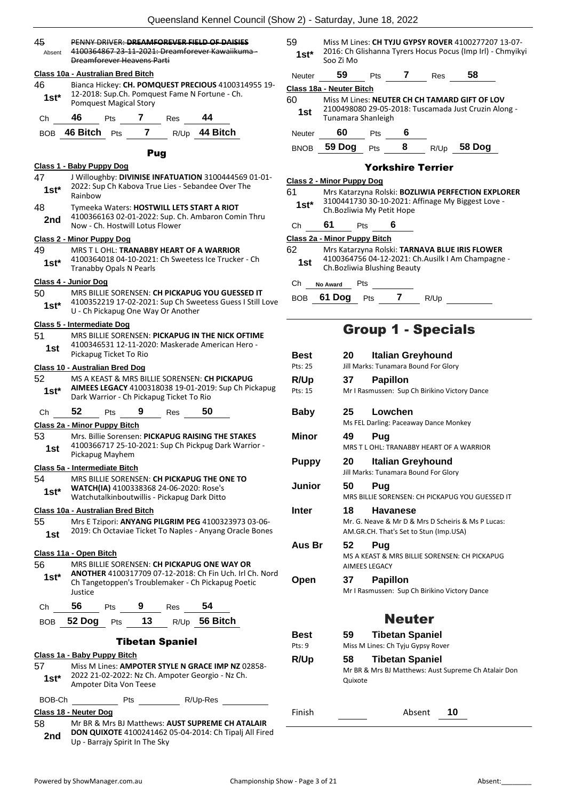| 45<br>Absent  | PENNY DRIVER: DREAMFOREVER FIELD OF DAISIES<br>4100364867 23 11 2021: Dreamforever Kawaiikuma<br>Dreamforever Heavens Parti                        |                 |  |  |  |  |  |  |
|---------------|----------------------------------------------------------------------------------------------------------------------------------------------------|-----------------|--|--|--|--|--|--|
|               | Class 10a - Australian Bred Bitch                                                                                                                  | Neuter          |  |  |  |  |  |  |
| 46<br>$1st*$  | Bianca Hickey: CH. POMQUEST PRECIOUS 4100314955 19-<br>12-2018: Sup.Ch. Pomquest Fame N Fortune - Ch.                                              | Class 18a       |  |  |  |  |  |  |
|               | <b>Pomquest Magical Story</b>                                                                                                                      | 60<br>1st       |  |  |  |  |  |  |
| Ch            | 46<br>44<br>7 Res<br><b>Pts</b>                                                                                                                    |                 |  |  |  |  |  |  |
| BOB.          | R/Up 44 Bitch<br>$\overline{7}$<br>46 Bitch<br>Pts                                                                                                 | <b>Neuter</b>   |  |  |  |  |  |  |
|               | <b>Pug</b>                                                                                                                                         | <b>BNOB</b>     |  |  |  |  |  |  |
|               | <u> Class 1 - Baby Puppy Dog</u>                                                                                                                   |                 |  |  |  |  |  |  |
| 47<br>1st*    | J Willoughby: DIVINISE INFATUATION 3100444569 01-01-<br>2022: Sup Ch Kabova True Lies - Sebandee Over The<br>Rainbow                               | Class 2 -<br>61 |  |  |  |  |  |  |
| 48            | Tymeeka Waters: HOSTWILL LETS START A RIOT                                                                                                         | 1st*            |  |  |  |  |  |  |
| 2nd           | 4100366163 02-01-2022: Sup. Ch. Ambaron Comin Thru<br>Now - Ch. Hostwill Lotus Flower                                                              | Сh              |  |  |  |  |  |  |
|               | <b>Class 2 - Minor Puppy Dog</b>                                                                                                                   | Class 2a        |  |  |  |  |  |  |
| 49<br>$1st*$  | MRS T L OHL: TRANABBY HEART OF A WARRIOR<br>4100364018 04-10-2021: Ch Sweetess Ice Trucker - Ch<br><b>Tranabby Opals N Pearls</b>                  | 62<br>1st       |  |  |  |  |  |  |
|               | Class 4 - Junior Dog                                                                                                                               | Ch<br>N         |  |  |  |  |  |  |
| 50<br>$1st^*$ | MRS BILLIE SORENSEN: CH PICKAPUG YOU GUESSED IT<br>4100352219 17-02-2021: Sup Ch Sweetess Guess I Still Love<br>U - Ch Pickapug One Way Or Another | <b>BOB</b>      |  |  |  |  |  |  |
|               | Class 5 - Intermediate Dog                                                                                                                         |                 |  |  |  |  |  |  |
| 51<br>1st     | MRS BILLIE SORENSEN: PICKAPUG IN THE NICK OFTIME<br>4100346531 12-11-2020: Maskerade American Hero -<br>Pickapug Ticket To Rio                     |                 |  |  |  |  |  |  |
|               | <b>Class 10 - Australian Bred Dog</b>                                                                                                              | Best<br>Pts: 25 |  |  |  |  |  |  |
| 52            | MS A KEAST & MRS BILLIE SORENSEN: CH PICKAPUG                                                                                                      | R/Up            |  |  |  |  |  |  |
| $1st^*$       | AIMEES LEGACY 4100318038 19-01-2019: Sup Ch Pickapug<br>Dark Warrior - Ch Pickapug Ticket To Rio                                                   | Pts: 15         |  |  |  |  |  |  |
| Сh            | 52<br>9<br>50<br>Pts<br>Res                                                                                                                        | <b>Baby</b>     |  |  |  |  |  |  |
|               | Class 2a - Minor Puppy Bitch                                                                                                                       |                 |  |  |  |  |  |  |
| 53<br>1st     | Mrs. Billie Sorensen: PICKAPUG RAISING THE STAKES<br>4100366717 25-10-2021: Sup Ch Pickpug Dark Warrior -<br>Pickapug Mayhem                       | Minor           |  |  |  |  |  |  |
|               | Class 5a - Intermediate Bitch                                                                                                                      | <b>Puppy</b>    |  |  |  |  |  |  |
| 54<br>$1st*$  | MRS BILLIE SORENSEN: CH PICKAPUG THE ONE TO<br>WATCH(IA) 4100338368 24-06-2020: Rose's<br>Watchutalkinboutwillis - Pickapug Dark Ditto             | Junior          |  |  |  |  |  |  |
|               | Class 10a - Australian Bred Bitch                                                                                                                  | <b>Inter</b>    |  |  |  |  |  |  |
| 55<br>1st     | Mrs E Tzipori: ANYANG PILGRIM PEG 4100323973 03-06-<br>2019: Ch Octaviae Ticket To Naples - Anyang Oracle Bones                                    |                 |  |  |  |  |  |  |
|               |                                                                                                                                                    | Aus B           |  |  |  |  |  |  |
| 56            | Class 11a - Open Bitch<br>MRS BILLIE SORENSEN: CH PICKAPUG ONE WAY OR                                                                              |                 |  |  |  |  |  |  |
| $1st^*$       | ANOTHER 4100317709 07-12-2018: Ch Fin Uch. Irl Ch. Nord<br>Ch Tangetoppen's Troublemaker - Ch Pickapug Poetic<br>Justice                           | Open            |  |  |  |  |  |  |
| Ch            | 56<br>54<br>$9$ Res<br><b>Pts</b>                                                                                                                  |                 |  |  |  |  |  |  |
| BOB           | 13 <sup>7</sup><br>R/Up 56 Bitch<br>52 Dog<br><b>Pts</b>                                                                                           |                 |  |  |  |  |  |  |
|               | <b>Tibetan Spaniel</b>                                                                                                                             | Best<br>Pts: 9  |  |  |  |  |  |  |
|               | Class 1a - Baby Puppy Bitch                                                                                                                        | R/Up            |  |  |  |  |  |  |
| 57<br>$1st^*$ | Miss M Lines: AMPOTER STYLE N GRACE IMP NZ 02858-<br>2022 21-02-2022: Nz Ch. Ampoter Georgio - Nz Ch.<br>Ampoter Dita Von Teese                    |                 |  |  |  |  |  |  |
| BOB-Ch        | Pts R/Up-Res                                                                                                                                       |                 |  |  |  |  |  |  |
|               | Class 18 - Neuter Dog                                                                                                                              | Finish          |  |  |  |  |  |  |
| 58            | Mr BR & Mrs BJ Matthews: AUST SUPREME CH ATALAIR                                                                                                   |                 |  |  |  |  |  |  |

**DON QUIXOTE** 4100241462 05-04-2014: Ch Tipalj All Fired **2nd DON QUIXOTE** 4100241462 (Up - Barrajy Spirit In The Sky

| 59     | Miss M Lines: CH TYJU GYPSY ROVER 4100277207 13-07-                     |
|--------|-------------------------------------------------------------------------|
| $1st*$ | 2016: Ch Glishanna Tyrers Hocus Pocus (Imp Irl) - Chmyikyi<br>Soo Zi Mo |

|                          | Soo Zi Mo                    |     |   |                          |                                                      |  |  |  |  |
|--------------------------|------------------------------|-----|---|--------------------------|------------------------------------------------------|--|--|--|--|
| Neuter                   | 59                           | Pts |   | Res                      | 58                                                   |  |  |  |  |
| Class 18a - Neuter Bitch |                              |     |   |                          |                                                      |  |  |  |  |
| 60                       |                              |     |   |                          | Miss M Lines: NEUTER CH CH TAMARD GIFT OF LOV        |  |  |  |  |
| 1st                      | Tunamara Shanleigh           |     |   |                          | 2100498080 29-05-2018: Tuscamada Just Cruzin Along - |  |  |  |  |
| Neuter                   | 60                           | Pts | 6 |                          |                                                      |  |  |  |  |
| <b>BNOB</b>              | 59 Dog                       | Pts | 8 | R/Up                     | 58 Doq                                               |  |  |  |  |
|                          |                              |     |   | <b>Yorkshire Terrier</b> |                                                      |  |  |  |  |
|                          | Class 2 - Minor Puppy Dog    |     |   |                          |                                                      |  |  |  |  |
| 61                       |                              |     |   |                          | Mrs Katarzyna Rolski: BOZLIWIA PERFECTION EXPLORER   |  |  |  |  |
| $1st*$                   | Ch. Bozliwia My Petit Hope   |     |   |                          | 3100441730 30-10-2021: Affinage My Biggest Love -    |  |  |  |  |
| Сh                       | 61<br>Pts                    |     | 6 |                          |                                                      |  |  |  |  |
|                          | Class 2a - Minor Puppy Bitch |     |   |                          |                                                      |  |  |  |  |

|           | Class Za - Millol Tuppy Ditch                                                                                                       |
|-----------|-------------------------------------------------------------------------------------------------------------------------------------|
| 62<br>1st | Mrs Katarzyna Rolski: TARNAVA BLUE IRIS FLOWER<br>4100364756 04-12-2021: Ch.Ausilk I Am Champagne -<br>Ch. Bozliwia Blushing Beauty |
|           |                                                                                                                                     |

**Vo Award** Pts <u>\_\_</u>

**61 Dog** Pts **7** R/Up **164 Pts** 

## Group 1 - Specials

| Best                  | <b>Italian Greyhound</b><br>20                                                                                        |
|-----------------------|-----------------------------------------------------------------------------------------------------------------------|
| Pts: 25               | Jill Marks: Tunamara Bound For Glory                                                                                  |
| R/Up                  | 37<br><b>Papillon</b>                                                                                                 |
| Pts: 15               | Mr I Rasmussen: Sup Ch Birikino Victory Dance                                                                         |
| <b>Baby</b>           | Lowchen<br>25<br>Ms FEL Darling: Paceaway Dance Monkey                                                                |
| Minor                 | 49<br>Pug<br>MRS T L OHL: TRANABBY HEART OF A WARRIOR                                                                 |
| <b>Puppy</b>          | 20<br><b>Italian Greyhound</b><br>Jill Marks: Tunamara Bound For Glory                                                |
| Junior                | 50<br>Pug<br>MRS BILLIE SORENSEN: CH PICKAPUG YOU GUESSED IT                                                          |
| <b>Inter</b>          | 18<br><b>Havanese</b><br>Mr. G. Neave & Mr D & Mrs D Scheiris & Ms P Lucas:<br>AM.GR.CH. That's Set to Stun (Imp.USA) |
| Aus Br                | 52<br>Pug<br>MS A KEAST & MRS BILLIE SORENSEN: CH PICKAPUG<br><b>AIMEES LEGACY</b>                                    |
| Open                  | <b>Papillon</b><br>37<br>Mr I Rasmussen: Sup Ch Birikino Victory Dance                                                |
|                       | <b>Neuter</b>                                                                                                         |
| <b>Best</b><br>Pts: 9 | <b>Tibetan Spaniel</b><br>59<br>Miss M Lines: Ch Tyju Gypsy Rover                                                     |
| R/Up                  | 58<br><b>Tibetan Spaniel</b><br>Mr BR & Mrs BJ Matthews: Aust Supreme Ch Atalair Don<br>Quixote                       |
| Finish                | Absent<br>10                                                                                                          |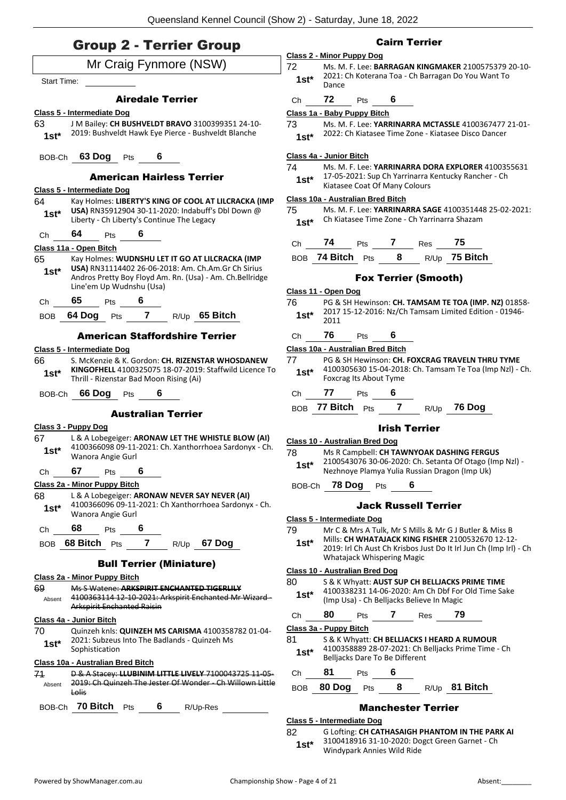### AUD 2 TAVUOV GUALLY

|              | <b>Uroup Z - Terrier Uroup</b>                                                                                  | Class 2 - Minor I        |                            |
|--------------|-----------------------------------------------------------------------------------------------------------------|--------------------------|----------------------------|
|              | Mr Craig Fynmore (NSW)                                                                                          | 72                       | Ms. M                      |
| Start Time:  |                                                                                                                 | $1st*$                   | 2021:<br>Dance             |
|              | <b>Airedale Terrier</b>                                                                                         | Ch                       | 72                         |
|              | Class 5 - Intermediate Dog                                                                                      | Class 1a - Baby          |                            |
| 63           | J M Bailey: CH BUSHVELDT BRAVO 3100399351 24-10-                                                                | 73                       | Ms. M                      |
| $1st^*$      | 2019: Bushveldt Hawk Eye Pierce - Bushveldt Blanche                                                             | $1st*$                   | 2022:                      |
|              | BOB-Ch 63 Dog Pts 6                                                                                             | Class 4a - Junio         |                            |
|              | <b>American Hairless Terrier</b>                                                                                | 74<br>$1st*$             | Ms. M<br>$17-05$           |
|              | Class 5 - Intermediate Dog                                                                                      |                          | Kiatas                     |
| 64           | Kay Holmes: LIBERTY'S KING OF COOL AT LILCRACKA (IMP                                                            | Class 10a - Aust         |                            |
| $1st^*$      | USA) RN35912904 30-11-2020: Indabuff's Dbl Down @<br>Liberty - Ch Liberty's Continue The Legacy                 | 75<br>$1st^*$            | Ms. M<br>Ch Kia            |
| Сh           | 64<br>6<br>Pts                                                                                                  |                          |                            |
|              | Class 11a - Open Bitch                                                                                          | Ch                       | 74                         |
| 65           | Kay Holmes: WUDNSHU LET IT GO AT LILCRACKA (IMP                                                                 |                          | BOB 74 Bit                 |
| $1st^*$      | USA) RN31114402 26-06-2018: Am. Ch.Am.Gr Ch Sirius<br>Andros Pretty Boy Floyd Am. Rn. (Usa) - Am. Ch. Bellridge |                          |                            |
|              | Line'em Up Wudnshu (Usa)                                                                                        |                          |                            |
| Ch           | 65<br>Pts 6                                                                                                     | Class 11 - Open<br>76    | <b>PG &amp; S</b>          |
|              | BOB 64 Dog Pts 7 R/Up 65 Bitch                                                                                  | $1st*$                   | 2017                       |
|              |                                                                                                                 |                          | 2011                       |
|              | <b>American Staffordshire Terrier</b>                                                                           | Ch                       | 76                         |
|              | Class 5 - Intermediate Dog                                                                                      | Class 10a - Aust         |                            |
| 66<br>$1st*$ | S. McKenzie & K. Gordon: CH. RIZENSTAR WHOSDANEW<br>KINGOFHELL 4100325075 18-07-2019: Staffwild Licence To      | 77<br>$1st^*$            | <b>PG &amp; S</b><br>41003 |
|              | Thrill - Rizenstar Bad Moon Rising (Ai)                                                                         |                          | Foxcra                     |
|              | BOB-Ch 66 Dog Pts 6                                                                                             | Ch                       | 77                         |
|              | <b>Australian Terrier</b>                                                                                       |                          | BOB 77 Bite                |
|              | Class 3 - Puppy Dog                                                                                             |                          |                            |
| 67 -         | L & A Lobegeiger: ARONAW LET THE WHISTLE BLOW (AI)                                                              | Class 10 - Austr         |                            |
| $1st*$       | 4100366098 09-11-2021: Ch. Xanthorrhoea Sardonyx - Ch.<br>Wanora Angie Gurl                                     | 78                       | Ms R (                     |
| Ch           | 67 Pts 6                                                                                                        | $1st^*$                  | 21005<br>Nezhn             |
|              | <u> Class 2a - Minor Puppy Bitch</u>                                                                            | BOB-Ch                   | 78                         |
| 68           | L & A Lobegeiger: ARONAW NEVER SAY NEVER (AI)                                                                   |                          |                            |
| 1st*         | 4100366096 09-11-2021: Ch Xanthorrhoea Sardonyx - Ch.<br>Wanora Angie Gurl                                      |                          |                            |
|              |                                                                                                                 | Class 5 - Interme        |                            |
| Ch           | 68<br>6<br><b>Pts</b>                                                                                           | 79                       | Mr C $\delta$<br>Mills:    |
|              | BOB 68 Bitch Pts 7 R/Up 67 Dog                                                                                  | $1st^*$                  | 2019:                      |
|              | <b>Bull Terrier (Miniature)</b>                                                                                 |                          | Whata                      |
|              | <u> Class 2a - Minor Puppy Bitch</u>                                                                            | Class 10 - Austr<br>80   | <b>S&amp;K'</b>            |
| 69           | Ms S Watene: ARKSPIRIT ENCHANTED TIGERLILY                                                                      | 1st*                     | 41003                      |
| Absent       | 4100363114 12-10-2021: Arkspirit Enchanted Mr Wizard-<br><b>Arkspirit Enchanted Raisin</b>                      |                          | (Imp l                     |
|              | Class 4a - Junior Bitch                                                                                         | Ch                       | 80                         |
| 70           | Quinzeh knls: QUINZEH MS CARISMA 4100358782 01-04-                                                              | <u> Class 3a - Puppy</u> |                            |
| $1st*$       | 2021: Subzeus Into The Badlands - Quinzeh Ms<br>Sophistication                                                  | 81                       | <b>S&amp;K'</b><br>41003   |
|              | Class 10a - Australian Bred Bitch                                                                               | $1st^*$                  | Belljad                    |
| 71           | D & A Stacey: LLUBINIM LITTLE LIVELY 7100043725 11 05-                                                          | Ch                       | 81                         |
| Absent       | 2019: Ch Quinzeh The Jester Of Wonder Ch Willown Little<br>Lolis                                                | <b>BOB</b>               | 80 Do                      |
|              | BOB-Ch 70 Bitch<br>6                                                                                            |                          |                            |
|              | <b>Pts</b><br>R/Up-Res                                                                                          |                          |                            |

#### Cairn Terrier

#### **Class 2 - Minor Puppy Dog** 72 Ms. M. F. Lee: **BARRAGAN KINGMAKER** 2100575379 20-10- 1: Ch Koterana Toa - Ch Barragan Do You Want To

### Ch **72** Pts **6**

#### **Class 1a - Baby Puppy Bitch**

73 Ms. M. F. Lee: **YARRINARRA MCTASSLE** 4100367477 21-01-

2: Ch Kiatasee Time Zone - Kiatasee Disco Dancer

#### **Class 4a - Junior Bitch**

#### M. F. Lee: **YARRINARRA DORA EXPLORER** 4100355631 05-2021: Sup Ch Yarrinarra Kentucky Rancher - Ch **asee Coat Of Many Colours**

#### **Class 10a - Australian Bred Bitch**

75 Ms. M. F. Lee: **YARRINARRA SAGE** 4100351448 25-02-2021: **Cha Kiatasee Time Zone - Ch Yarrinarra Shazam** 

| Ch | 74               | <b>Pts</b> |   | Res | -75                  |
|----|------------------|------------|---|-----|----------------------|
|    | BOB 74 Bitch Pts |            | 8 |     | R/Up <b>75 Bitch</b> |

#### Fox Terrier (Smooth)

#### **Class 11 - Open Dog**

76 PG & SH Hewinson: **CH. TAMSAM TE TOA (IMP. NZ)** 01858- .7 15-12-2016: Nz/Ch Tamsam Limited Edition - 01946-<br>1

### Ch **76** Pts **6**

#### **Class 10a - Australian Bred Bitch**

- $8$  SH Hewinson: CH. FOXCRAG TRAVELN THRU TYME 0305630 15-04-2018: Ch. Tamsam Te Toa (Imp Nzl) - Ch. **Fourage Its About Tyme**
- Ch **77** Pts **6**
- BOB **77 Bitch** Pts **7** R/Up **76 Dog**

#### Irish Terrier

#### **Class 10 - Australian Bred Dog**

- **R Campbell: CH TAWNYOAK DASHING FERGUS** 0543076 30-06-2020: Ch. Setanta Of Otago (Imp Nzl) **hnoye Plamya Yulia Russian Dragon (Imp Uk)**
- BOB-Ch **78 Dog** Pts **6**

#### Jack Russell Terrier

- **Class 5 - Intermediate Dog**
- C & Mrs A Tulk, Mr S Mills & Mr G J Butler & Miss B s: **CH WHATAJACK KING FISHER** 2100532670 12-12-9: Irl Ch Aust Ch Krisbos Just Do It Irl Jun Ch (Imp Irl) - Ch atajack Whispering Magic

#### **Class 10 - Australian Bred Dog**

| 80     | S & K Whyatt: AUST SUP CH BELLJACKS PRIME TIME     |
|--------|----------------------------------------------------|
| $1st*$ | 4100338231 14-06-2020: Am Ch Dbf For Old Time Sake |
|        | (Imp Usa) - Ch Belljacks Believe In Magic          |

Ch **80** Pts **7** Res **79**

**Class 3a - Puppy Bitch**

- K Whyatt: CH BELLJACKS I HEARD A RUMOUR
- 4100358889 28-07-2021: Ch Belljacks Prime Time Ch acks Dare To Be Different

#### Ch **81** Pts **6**

#### BOB **80 Dog** Pts **8** R/Up **81 Bitch**

#### Manchester Terrier

#### **Class 5 - Intermediate Dog**

82 G Lofting: **CH CATHASAIGH PHANTOM IN THE PARK AI** 3100418916 31-10-2020: Dogct Green Garnet - Ch Windypark Annies Wild Ride **1st\***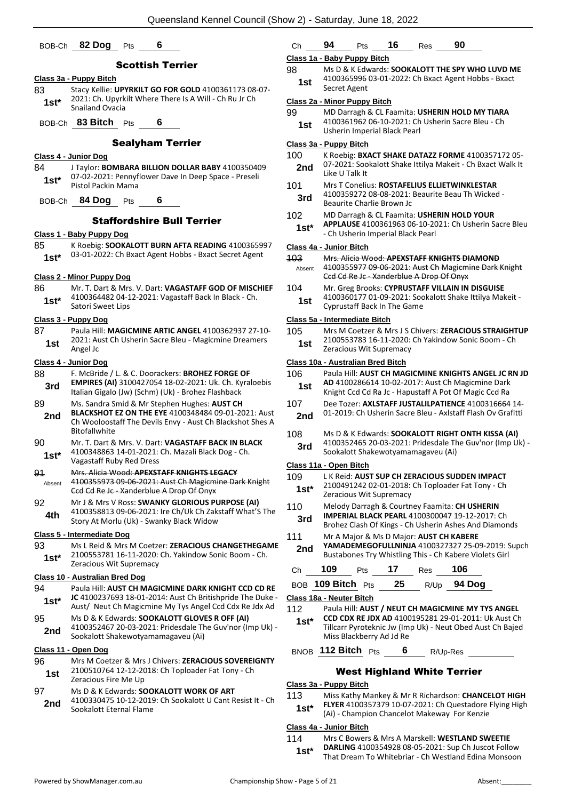### BOB-Ch **82 Dog** Pts **6**

#### Scottish Terrier

- **Class 3a - Puppy Bitch** 83 Stacy Kellie: **UPYRKILT GO FOR GOLD** 4100361173 08-07- 2021: Ch. Upyrkilt Where There Is A Will - Ch Ru Jr Ch **1st**\* <sup>2021</sup>: CII. Opyrk<br>Snailand Ovacia
- BOB-Ch **83 Bitch** Pts **6**

#### Sealyham Terrier

- **Class 4 - Junior Dog**
- 84 J Taylor: **BOMBARA BILLION DOLLAR BABY** 4100350409 07-02-2021: Pennyflower Dave In Deep Space - Preseli
- Pistol Packin Mama **1st\***
- BOB-Ch **84 Dog** Pts **6**

#### Staffordshire Bull Terrier

#### **Class 1 - Baby Puppy Dog**

85 K Roebig: **SOOKALOTT BURN AFTA READING** 4100365997 03-01-2022: Ch Bxact Agent Hobbs - Bxact Secret Agent **1st\***

#### **Class 2 - Minor Puppy Dog**

86 Mr. T. Dart & Mrs. V. Dart: **VAGASTAFF GOD OF MISCHIEF** 4100364482 04-12-2021: Vagastaff Back In Black - Ch. Satori Sweet Lips **1st\***

#### **Class 3 - Puppy Dog**

87 Paula Hill: **MAGICMINE ARTIC ANGEL** 4100362937 27-10- 2021: Aust Ch Usherin Sacre Bleu - Magicmine Dreamers **1st**  $\frac{2021}{\text{Angle}}$ 

#### **Class 4 - Junior Dog**

- 88 F. McBride / L. & C. Doorackers: **BROHEZ FORGE OF EMPIRES (AI)** 3100427054 18-02-2021: Uk. Ch. Kyraloebis **3rd** EWPIKES (AI) 3100427054 18-02-2021: OK. CII. Ky<br>Italian Gigalo (Jw) (Schm) (Uk) - Brohez Flashback
- 89 Ms. Sandra Smid & Mr Stephen Hughes: **AUST CH BLACKSHOT EZ ON THE EYE** 4100348484 09-01-2021: Aust Ch Wooloostaff The Devils Envy - Aust Ch Blackshot Shes A Bitofallwhite **2nd**
- 90 Mr. T. Dart & Mrs. V. Dart: **VAGASTAFF BACK IN BLACK** 4100348863 14-01-2021: Ch. Mazali Black Dog - Ch.
- Vagastaff Ruby Red Dress **1st\*** 91 Mrs. Alicia Wood: **APEXSTAFF KNIGHTS LEGACY**
- 4100355973 09-06-2021: Aust Ch Magicmine Dark Knight Ccd Cd Re Jc - Xanderblue A Drop Of Onyx Absent
- 92 Mr J & Mrs V Ross: **SWANKY GLORIOUS PURPOSE (AI)** 4100358813 09-06-2021: Ire Ch/Uk Ch Zakstaff What'S The **4th** 4100358813 09-06-2021: Ire Ch/UK Ch Zak<br>Story At Morlu (Uk) - Swanky Black Widow

#### **Class 5 - Intermediate Dog**

93 Ms L Reid & Mrs M Coetzer: **ZERACIOUS CHANGETHEGAME** 2100553781 16-11-2020: Ch. Yakindow Sonic Boom - Ch. **1st**\* 2100553781 16-11-2020:<br>Zeracious Wit Supremacy

#### **Class 10 - Australian Bred Dog**

- 94 Paula Hill: **AUST CH MAGICMINE DARK KNIGHT CCD CD RE JC** 4100237693 18-01-2014: Aust Ch Britishpride The Duke - **1st\*** IC 4100237693 18-01-2014: Aust Ch Britishpride The Duke<br>Aust/ Neut Ch Magicmine My Tys Angel Ccd Cdx Re Jdx Ad 95 Ms D & K Edwards: **SOOKALOTT GLOVES R OFF (AI)**
- 4100352467 20-03-2021: Pridesdale The Guv'nor (Imp Uk) 2nd <sup>4100352467</sup> 20-03-2021: Pridesdale The Sookalott Shakewotyamamagaveu (Ai)

#### **Class 11 - Open Dog**

- 96 Mrs M Coetzer & Mrs J Chivers: **ZERACIOUS SOVEREIGNTY** 2100510764 12-12-2018: Ch Toploader Fat Tony - Ch **1st** <sup>2100510764 12-12-20<br>Zeracious Fire Me Up</sup>
- 97 Ms D & K Edwards: **SOOKALOTT WORK OF ART**
- 4100330475 10-12-2019: Ch Sookalott U Cant Resist It Ch 2nd 4100330475 10-12-2019<br>Sookalott Eternal Flame

# Ch **94** Pts **16** Res **90**

#### **Class 1a - Baby Puppy Bitch**

98 Ms D & K Edwards: **SOOKALOTT THE SPY WHO LUVD ME** 4100365996 03-01-2022: Ch Bxact Agent Hobbs - Bxact Secret Agent **1st**

#### **Class 2a - Minor Puppy Bitch**

- 99 MD Darragh & CL Faamita: **USHERIN HOLD MY TIARA**
	- 4100361962 06-10-2021: Ch Usherin Sacre Bleu Ch 1st 4100361962 06-10-2021: Ch

#### **Class 3a - Puppy Bitch**

- 100 K Roebig: **BXACT SHAKE DATAZZ FORME** 4100357172 05-
- 07-2021: Sookalott Shake Ittilya Makeit Ch Bxact Walk It **2nd** U/-2021: 500
- 101 Mrs T Conelius: **ROSTAFELIUS ELLIETWINKLESTAR** 4100359272 08-08-2021: Beaurite Beau Th Wicked - **3rd** 4100339272 08-08-2021:<br>Beaurite Charlie Brown Jc
- 102 MD Darragh & CL Faamita: **USHERIN HOLD YOUR APPLAUSE** 4100361963 06-10-2021: Ch Usherin Sacre Bleu - Ch Usherin Imperial Black Pearl **1st\***

#### **Class 4a - Junior Bitch**

|                        | <u>UNUS TA - VANIU PILUI</u>                                                                                                                    |
|------------------------|-------------------------------------------------------------------------------------------------------------------------------------------------|
| 403<br>Absent          | Mrs. Alicia Wood: APEXSTAFF KNIGHTS DIAMOND<br>4100355977 09-06-2021: Aust Ch Magicmine Dark Knight<br>Ccd Cd Re Jc - Xanderblue A Drop Of Onyx |
| 104<br>1 <sub>cf</sub> | Mr. Greg Brooks: CYPRUSTAFF VILLAIN IN DISGUISE<br>4100360177 01-09-2021: Sookalott Shake Ittilya Makeit -                                      |

**Cyprustaff Back In The Game** 

#### **Class 5a - Intermediate Bitch**

| 105 | Mrs M Coetzer & Mrs J S Chivers: <b>ZERACIOUS STRAIGHTUP</b> |
|-----|--------------------------------------------------------------|
| 1st | 2100553783 16-11-2020: Ch Yakindow Sonic Boom - Ch           |
|     | Zeracious Wit Supremacy                                      |

#### **Class 10a - Australian Bred Bitch**

| 106<br>1st | Paula Hill: AUST CH MAGICMINE KNIGHTS ANGEL JC RN JD<br>AD 4100286614 10-02-2017: Aust Ch Magicmine Dark<br>Knight Ccd Cd Ra Jc - Hapustaff A Pot Of Magic Ccd Ra |
|------------|-------------------------------------------------------------------------------------------------------------------------------------------------------------------|
| 107<br>2nd | Dee Tozer: AXLSTAFF JUSTALILPATIENCE 4100316664 14-<br>01-2019: Ch Usherin Sacre Bleu - Axistaff Flash Ov Grafitti                                                |
| $\sqrt{2}$ |                                                                                                                                                                   |

108 Ms D & K Edwards: **SOOKALOTT RIGHT ONTH KISSA (AI)** 4100352465 20-03-2021: Pridesdale The Guv'nor (Imp Uk) - **3rd** 4100352465 20-03-2021: Pridesdale If<br>Sookalott Shakewotyamamagaveu (Ai)

#### **Class 11a - Open Bitch**

- 109 L K Reid: **AUST SUP CH ZERACIOUS SUDDEN IMPACT** 2100491242 02-01-2018: Ch Toploader Fat Tony - Ch **1st**\* <sup>2100491242 02-01-2018:<br>Zeracious Wit Supremacy</sup>
- 110 Melody Darragh & Courtney Faamita: **CH USHERIN** 
	- **3rd IMPENIAL BLACK PEANL** 4100500047 19-12-2017. Circle Brohez Clash Of Kings Ch Usherin Ashes And Diamonds
- **YAMADEMEGOFULLNINJA** 4100327327 25-09-2019: Supch Bustabones Try Whistling This - Ch Kabere Violets Girl **2nd**

| Ch | <b>109</b> Pts <b>17</b> |  | . Res | 106 |
|----|--------------------------|--|-------|-----|

| BOB 109 Bitch Pts $25$ R/Up 94 Dog |  |  |
|------------------------------------|--|--|
|                                    |  |  |

**Class 18a - Neuter Bitch**

- 112 Paula Hill: **AUST / NEUT CH MAGICMINE MY TYS ANGEL CCD CDX RE JDX AD** 4100195281 29-01-2011: Uk Aust Ch Tillcarr Pyroteknic Jw (Imp Uk) - Neut Obed Aust Ch Bajed Miss Blackberry Ad Jd Re **1st\***
- BNOB **112 Bitch** Pts **6** R/Up-Res

#### West Highland White Terrier

#### **Class 3a - Puppy Bitch**

113 Miss Kathy Mankey & Mr R Richardson: **CHANCELOT HIGH FLYER** 4100357379 10-07-2021: Ch Questadore Flying High (Ai) - Champion Chancelot Makeway For Kenzie **1st\***

#### **Class 4a - Junior Bitch**

- 114 Mrs C Bowers & Mrs A Marskell: **WESTLAND SWEETIE**
- **DARLING** 4100354928 08-05-2021: Sup Ch Juscot Follow That Dream To Whitebriar - Ch Westland Edina Monsoon **1st\***
- **IMPERIAL BLACK PEARL** 4100300047 19-12-2017: Ch
- 111 Mr A Major & Ms D Major: **AUST CH KABERE**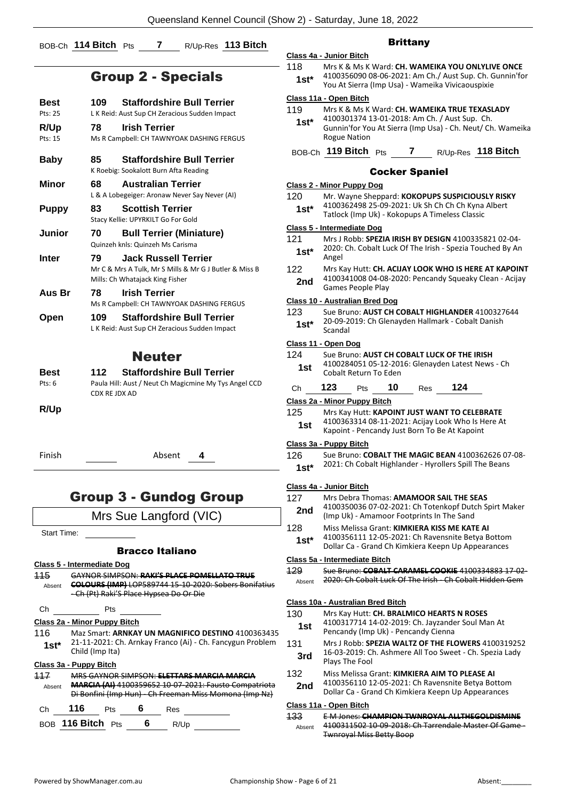#### BOB-Ch **114 Bitch** Pts **7** R/Up-Res **113 Bitch**

### Group 2 - Specials

| Best               | <b>Staffordshire Bull Terrier</b><br>109.                                                                                                                            |
|--------------------|----------------------------------------------------------------------------------------------------------------------------------------------------------------------|
| Pts: 25            | L K Reid: Aust Sup CH Zeracious Sudden Impact                                                                                                                        |
| R/Up<br>Pts: 15    | <b>Irish Terrier</b><br>78<br>Ms R Campbell: CH TAWNYOAK DASHING FERGUS                                                                                              |
| <b>Baby</b>        | <b>Staffordshire Bull Terrier</b><br>85<br>K Roebig: Sookalott Burn Afta Reading                                                                                     |
| <b>Minor</b>       | <b>Australian Terrier</b><br>68                                                                                                                                      |
|                    | L & A Lobegeiger: Aronaw Never Say Never (AI)                                                                                                                        |
| <b>Puppy</b>       | 83<br><b>Scottish Terrier</b><br>Stacy Kellie: UPYRKILT Go For Gold                                                                                                  |
| <b>Junior</b>      | 70<br><b>Bull Terrier (Miniature)</b><br>Quinzeh knls: Quinzeh Ms Carisma                                                                                            |
| Inter              | 79<br><b>Jack Russell Terrier</b><br>Mr C & Mrs A Tulk, Mr S Mills & Mr G J Butler & Miss B<br>Mills: Ch Whatajack King Fisher                                       |
| Aus Br             | <b>Irish Terrier</b><br>78<br>Ms R Campbell: CH TAWNYOAK DASHING FERGUS                                                                                              |
| Open               | <b>Staffordshire Bull Terrier</b><br>109<br>L K Reid: Aust Sup CH Zeracious Sudden Impact                                                                            |
|                    | <b>Neuter</b>                                                                                                                                                        |
| Best               | <b>Staffordshire Bull Terrier</b><br>112                                                                                                                             |
| Pts: 6             | Paula Hill: Aust / Neut Ch Magicmine My Tys Angel CCD<br>CDX RE JDX AD                                                                                               |
| R/Up               |                                                                                                                                                                      |
| Finish             | Absent<br>4                                                                                                                                                          |
|                    | <b>Group 3 - Gundog Group</b>                                                                                                                                        |
|                    | Mrs Sue Langford (VIC)                                                                                                                                               |
| <b>Start Time:</b> |                                                                                                                                                                      |
|                    | <b>Bracco Italiano</b>                                                                                                                                               |
|                    | Class 5 - Intermediate Dog                                                                                                                                           |
| 115                | GAYNOR SIMPSON: RAKI'S PLACE POMELLATO TRUE                                                                                                                          |
| Absent             | COLOURS (IMP) LOP589744 15-10-2020: Sobers Bonifatius<br>-Ch (Pt) Raki'S Place Hypsea Do Or Die                                                                      |
| Ch                 | Pts                                                                                                                                                                  |
|                    | Class 2a - Minor Puppy Bitch                                                                                                                                         |
| 116<br>$1st*$      | Maz Smart: ARNKAY UN MAGNIFICO DESTINO 4100363435<br>21-11-2021: Ch. Arnkay Franco (Ai) - Ch. Fancygun Problem<br>Child (Imp Ita)                                    |
|                    | Class 3a - Puppy Bitch                                                                                                                                               |
| 117<br>Absent      | MRS GAYNOR SIMPSON: ELETTARS MARCIA MARCIA<br><b>MARCIA (AI) 4100359652 10 07 2021: Fausto Compatriota</b><br>Di Bonfini (Imp Hun) - Ch Freeman Miss Momona (Imp Nz) |
| Ch                 | 116<br>6<br>Pts<br>Res                                                                                                                                               |

#### **Brittany**

#### **Class 4a - Junior Bitch** 118 Mrs K & Ms K Ward: **CH. WAMEIKA YOU ONLYLIVE ONCE** 4100356090 08-06-2021: Am Ch./ Aust Sup. Ch. Gunnin'for **1st**\* 4100356090 08-06-2021: Am Ch./ Aust Sup. Ch. G<br>You At Sierra (Imp Usa) - Wameika Vivicaouspixie

#### **Class 11a - Open Bitch**

|                                  | Class 11a - Open Bitch                                                                                                                                                                                                                                                                                                                                                               |  |  |  |                    |
|----------------------------------|--------------------------------------------------------------------------------------------------------------------------------------------------------------------------------------------------------------------------------------------------------------------------------------------------------------------------------------------------------------------------------------|--|--|--|--------------------|
| 119                              | Mrs K & Ms K Ward: CH. WAMEIKA TRUE TEXASLADY                                                                                                                                                                                                                                                                                                                                        |  |  |  |                    |
| $1st*$                           | 4100301374 13-01-2018: Am Ch. / Aust Sup. Ch.<br>Gunnin'for You At Sierra (Imp Usa) - Ch. Neut/ Ch. Wameika<br><b>Rogue Nation</b>                                                                                                                                                                                                                                                   |  |  |  |                    |
|                                  | BOB-Ch 119 Bitch Pts                                                                                                                                                                                                                                                                                                                                                                 |  |  |  | R/Up-Res 118 Bitch |
| <b>Cocker Spaniel</b>            |                                                                                                                                                                                                                                                                                                                                                                                      |  |  |  |                    |
| <b>Class 2 - Minor Puppy Dog</b> |                                                                                                                                                                                                                                                                                                                                                                                      |  |  |  |                    |
|                                  | $\overline{a}$ $\overline{a}$ $\overline{a}$ $\overline{a}$ $\overline{a}$ $\overline{a}$ $\overline{a}$ $\overline{a}$ $\overline{a}$ $\overline{a}$ $\overline{a}$ $\overline{a}$ $\overline{a}$ $\overline{a}$ $\overline{a}$ $\overline{a}$ $\overline{a}$ $\overline{a}$ $\overline{a}$ $\overline{a}$ $\overline{a}$ $\overline{a}$ $\overline{a}$ $\overline{a}$ $\overline{$ |  |  |  |                    |

|    |                                   | <b>Class 2 - Minor Puppy Dog</b>                                                                                                                         |  |  |  |  |
|----|-----------------------------------|----------------------------------------------------------------------------------------------------------------------------------------------------------|--|--|--|--|
|    | 120<br>$1st*$                     | Mr. Wayne Sheppard: KOKOPUPS SUSPICIOUSLY RISKY<br>4100362498 25-09-2021: Uk Sh Ch Ch Ch Kyna Albert<br>Tatlock (Imp Uk) - Kokopups A Timeless Classic   |  |  |  |  |
|    |                                   | Class 5 - Intermediate Dog                                                                                                                               |  |  |  |  |
|    | 121<br>1st*                       | Mrs J Robb: SPEZIA IRISH BY DESIGN 4100335821 02-04-<br>2020: Ch. Cobalt Luck Of The Irish - Spezia Touched By An<br>Angel                               |  |  |  |  |
|    | 122<br>2nd                        | Mrs Kay Hutt: CH. ACIJAY LOOK WHO IS HERE AT KAPOINT<br>4100341008 04-08-2020: Pencandy Squeaky Clean - Acijay<br><b>Games People Play</b>               |  |  |  |  |
|    |                                   | Class 10 - Australian Bred Dog                                                                                                                           |  |  |  |  |
|    | 123<br>$1st*$                     | Sue Bruno: AUST CH COBALT HIGHLANDER 4100327644<br>20-09-2019: Ch Glenayden Hallmark - Cobalt Danish<br>Scandal                                          |  |  |  |  |
|    |                                   | Class 11 - Open Dog                                                                                                                                      |  |  |  |  |
|    | 124                               | Sue Bruno: AUST CH COBALT LUCK OF THE IRISH                                                                                                              |  |  |  |  |
|    | 1st                               | 4100284051 05-12-2016: Glenayden Latest News - Ch<br>Cobalt Return To Eden                                                                               |  |  |  |  |
|    | Ch                                | 124<br>123<br>10<br>Res<br>Pts                                                                                                                           |  |  |  |  |
|    |                                   | Class 2a - Minor Puppy Bitch                                                                                                                             |  |  |  |  |
|    | 125                               | Mrs Kay Hutt: KAPOINT JUST WANT TO CELEBRATE                                                                                                             |  |  |  |  |
|    | 1st                               | 4100363314 08-11-2021: Acijay Look Who Is Here At<br>Kapoint - Pencandy Just Born To Be At Kapoint                                                       |  |  |  |  |
|    |                                   | Class 3a - Puppy Bitch                                                                                                                                   |  |  |  |  |
|    | 126<br>$1st*$                     | Sue Bruno: COBALT THE MAGIC BEAN 4100362626 07-08-<br>2021: Ch Cobalt Highlander - Hyrollers Spill The Beans                                             |  |  |  |  |
|    |                                   |                                                                                                                                                          |  |  |  |  |
|    |                                   | Class 4a - Junior Bitch                                                                                                                                  |  |  |  |  |
|    | 127<br>2nd                        | Mrs Debra Thomas: AMAMOOR SAIL THE SEAS<br>4100350036 07-02-2021: Ch Totenkopf Dutch Spirt Maker<br>(Imp Uk) - Amamoor Footprints In The Sand            |  |  |  |  |
|    | 128                               | Miss Melissa Grant: KIMKIERA KISS ME KATE AI                                                                                                             |  |  |  |  |
|    | $1st*$                            | 4100356111 12-05-2021: Ch Ravensnite Betya Bottom<br>Dollar Ca - Grand Ch Kimkiera Keepn Up Appearances                                                  |  |  |  |  |
|    |                                   | Class 5a - Intermediate Bitch                                                                                                                            |  |  |  |  |
|    | 429                               | Sue Bruno: COBALT CARAMEL COOKIE 4100334883 17-02-                                                                                                       |  |  |  |  |
|    | Absent                            | 2020: Ch Cobalt Luck Of The Irish Ch Cobalt Hidden Gem                                                                                                   |  |  |  |  |
|    | Class 10a - Australian Bred Bitch |                                                                                                                                                          |  |  |  |  |
|    | 130                               | Mrs Kay Hutt: CH. BRALMICO HEARTS N ROSES                                                                                                                |  |  |  |  |
| 5  | 1st                               | 4100317714 14-02-2019: Ch. Jayzander Soul Man At<br>Pencandy (Imp Uk) - Pencandy Cienna                                                                  |  |  |  |  |
| J. | 131<br>3rd                        | Mrs J Robb: SPEZIA WALTZ OF THE FLOWERS 4100319252<br>16-03-2019: Ch. Ashmere All Too Sweet - Ch. Spezia Lady<br>Plays The Fool                          |  |  |  |  |
|    | 132<br>2nd                        | Miss Melissa Grant: KIMKIERA AIM TO PLEASE AI<br>4100356110 12-05-2021: Ch Ravensnite Betya Bottom<br>Dollar Ca - Grand Ch Kimkiera Keepn Up Appearances |  |  |  |  |
|    |                                   |                                                                                                                                                          |  |  |  |  |

#### **Class 11a - Open Bitch**

133 E M Jones: **CHAMPION TWNROYAL ALLTHEGOLDISMINE** 4100311502 10-09-2018: Ch Tarrendale Master Of Game - Twnroyal Miss Betty Boop Absent

BOB **116 Bitch** Pts **6** R/Up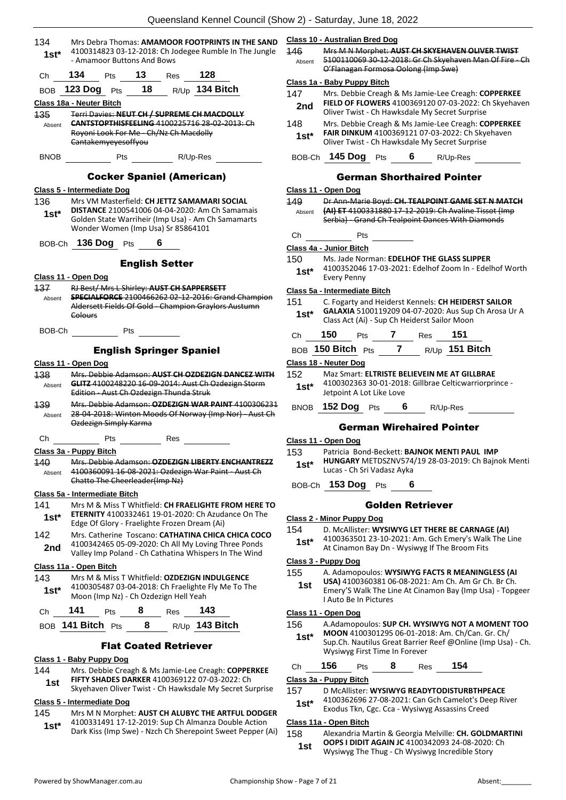| 134<br>1st*                              | Mrs Debra Thomas: AMAMOOR FOOTPRINTS IN THE SAND<br>4100314823 03-12-2018: Ch Jodegee Rumble In The Jungle<br>- Amamoor Buttons And Bows                                                   |  |  |
|------------------------------------------|--------------------------------------------------------------------------------------------------------------------------------------------------------------------------------------------|--|--|
| Ch                                       | 134<br><b>13</b> Res<br>128<br>Pts                                                                                                                                                         |  |  |
|                                          | BOB 123 Dog Pts 18 R/Up 134 Bitch                                                                                                                                                          |  |  |
|                                          | Class 18a - Neuter Bitch                                                                                                                                                                   |  |  |
| 135<br>Absent                            | Terri Davies: NEUT CH / SUPREME CH MACDOLLY<br><b>CANTSTOPTHISFEELING 4100225716 28 02 2013: Ch</b><br>Royoni Look For Me - Ch/Nz Ch Macdolly<br>Cantakemvevesoffyou                       |  |  |
| <b>BNOB</b>                              | Pts R/Up-Res                                                                                                                                                                               |  |  |
|                                          | <b>Cocker Spaniel (American)</b>                                                                                                                                                           |  |  |
|                                          | Class 5 - Intermediate Dog                                                                                                                                                                 |  |  |
| 136<br>$1st^*$                           | Mrs VM Masterfield: CH JETTZ SAMAMARI SOCIAL<br>DISTANCE 2100541006 04-04-2020: Am Ch Samamais<br>Golden State Warriheir (Imp Usa) - Am Ch Samamarts<br>Wonder Women (Imp Usa) Sr 85864101 |  |  |
|                                          | BOB-Ch 136 Dog Pts 6                                                                                                                                                                       |  |  |
|                                          | <b>English Setter</b>                                                                                                                                                                      |  |  |
|                                          | Class 11 - Open Dog                                                                                                                                                                        |  |  |
|                                          | RJ Best/ Mrs L Shirley: AUST CH SAPPERSETT                                                                                                                                                 |  |  |
| Absent                                   | SPECIALFORCE 2100466262 02 12 2016: Grand Champion<br>Aldersett Fields Of Gold - Champion Graylors Austumn<br><b>Colours</b>                                                               |  |  |
|                                          | BOB-Ch<br><b>Pts</b>                                                                                                                                                                       |  |  |
|                                          | <b>English Springer Spaniel</b>                                                                                                                                                            |  |  |
|                                          | Class 11 - Open Dog                                                                                                                                                                        |  |  |
| 138<br>Absent                            | Mrs. Debbie Adamson: AUST CH OZDEZIGN DANCEZ WITH<br>GLITZ 4100248220 16-09-2014: Aust Ch Ozdezign Storm<br>Edition - Aust Ch Ozdezign Thunda Struk                                        |  |  |
| 139<br>Absent                            | Mrs. Debbie Adamson: QZDEZIGN WAR PAINT 4100306231<br>28 04 2018: Winton Moods Of Norway (Imp Nor) Aust Ch<br>Ozdezign Simply Karma                                                        |  |  |
| Сh                                       | Pts<br>Res                                                                                                                                                                                 |  |  |
|                                          | Class 3a - Puppy Bitch                                                                                                                                                                     |  |  |
| 440<br>Absent                            | Mrs. Debbie Adamson: OZDEZIGN LIBERTY ENCHANTREZZ<br>4100360091 16-08-2021: Ozdezign War Paint - Aust Ch<br>Chatto The Cheerleader(Imp Nz)                                                 |  |  |
|                                          | Class 5a - Intermediate Bitch                                                                                                                                                              |  |  |
| 141                                      | Mrs M & Miss T Whitfield: CH FRAELIGHTE FROM HERE TO                                                                                                                                       |  |  |
| $1st*$                                   | <b>ETERNITY</b> 4100332461 19-01-2020: Ch Azudance On The<br>Edge Of Glory - Fraelighte Frozen Dream (Ai)                                                                                  |  |  |
| 142                                      | Mrs. Catherine Toscano: CATHATINA CHICA CHICA COCO                                                                                                                                         |  |  |
| 2nd                                      | 4100342465 05-09-2020: Ch All My Loving Three Ponds<br>Valley Imp Poland - Ch Cathatina Whispers In The Wind                                                                               |  |  |
|                                          | Class 11a - Open Bitch                                                                                                                                                                     |  |  |
| 143                                      | Mrs M & Miss T Whitfield: <b>OZDEZIGN INDULGENCE</b>                                                                                                                                       |  |  |
| $1st*$                                   | 4100305487 03-04-2018: Ch Fraelighte Fly Me To The<br>Moon (Imp Nz) - Ch Ozdezign Hell Yeah                                                                                                |  |  |
| Сh                                       | 141<br>8<br>143<br>Pts<br><b>Res</b>                                                                                                                                                       |  |  |
| R/Up 143 Bitch<br>BOB 141 Bitch Pts<br>8 |                                                                                                                                                                                            |  |  |
|                                          |                                                                                                                                                                                            |  |  |

Flat Coated Retriever

#### **Class 1 - Baby Puppy Dog**

- 144 Mrs. Debbie Creagh & Ms Jamie-Lee Creagh: **COPPERKEE FIFTY SHADES DARKER** 4100369122 07-03-2022: Ch
- **1st FIFTY SHADES DARKER** 4100369122 07-03-2022: Ch<br>Skyehaven Oliver Twist Ch Hawksdale My Secret Surprise **Class 5 - Intermediate Dog**

- 145 Mrs M N Morphet: **AUST CH ALUBYC THE ARTFUL DODGER** 4100331491 17-12-2019: Sup Ch Almanza Double Action
	- **1st** 4100331491 17-12-2019: Sup Ch Almanza Double Action<br>Dark Kiss (Imp Swe) Nzch Ch Sherepoint Sweet Pepper (Ai)

**Class 10 - Australian Bred Dog**

146 Mrs M N Morphet: **AUST CH SKYEHAVEN OLIVER TWIST** 5100110069 30-12-2018: Gr Ch Skyehaven Man Of Fire - Ch O'Flanagan Formosa Oolong (Imp Swe) Absent

#### **Class 1a - Baby Puppy Bitch**

- 147 Mrs. Debbie Creagh & Ms Jamie-Lee Creagh: **COPPERKEE FIELD OF FLOWERS** 4100369120 07-03-2022: Ch Skyehaven **2nd** FIELD OF FLOWERS 4100509120 07-05-2022. Condensing Oliver Twist - Ch Hawksdale My Secret Surprise
- 148 Mrs. Debbie Creagh & Ms Jamie-Lee Creagh: **COPPERKEE FAIR DINKUM** 4100369121 07-03-2022: Ch Skyehaven
- **1st\* CAIR DINKUM** 4100369121 07-03-2022: Ch Sky BOB-Ch **145 Dog** Pts **6** R/Up-Res

#### German Shorthaired Pointer

#### **Class 11 - Open Dog**

|            | Class 11 - Open Dog                                   |                                              |     |                                                        |  |
|------------|-------------------------------------------------------|----------------------------------------------|-----|--------------------------------------------------------|--|
| 149        | Dr Ann-Marie Boyd: CH. TEALPOINT GAME SET N MATCH     |                                              |     |                                                        |  |
| Absent     | (AI) ET 4100331880 17-12-2019: Ch Avaline Tissot (Imp |                                              |     |                                                        |  |
|            |                                                       |                                              |     | Serbia) Grand Ch Tealpoint Dances With Diamonds        |  |
| Ch         |                                                       | Pts                                          |     |                                                        |  |
|            | Class 4a - Junior Bitch                               |                                              |     |                                                        |  |
| 150        |                                                       | Ms. Jade Norman: EDELHOF THE GLASS SLIPPER   |     |                                                        |  |
| 1st*       |                                                       |                                              |     | 4100352046 17-03-2021: Edelhof Zoom In - Edelhof Worth |  |
|            | <b>Every Penny</b>                                    |                                              |     |                                                        |  |
|            | Class 5a - Intermediate Bitch                         |                                              |     |                                                        |  |
| 151        |                                                       |                                              |     | C. Fogarty and Heiderst Kennels: CH HEIDERST SAILOR    |  |
| $1st^*$    |                                                       | Class Act (Ai) - Sup Ch Heiderst Sailor Moon |     | GALAXIA 5100119209 04-07-2020: Aus Sup Ch Arosa Ur A   |  |
| Ch         | 150<br><b>Pts</b>                                     |                                              | Res | 151                                                    |  |
| <b>BOB</b> |                                                       | 150 Bitch $_{\mathrm{Pts}}$ 7                |     | $R/Up$ 151 Bitch                                       |  |
|            | Class 18 - Neuter Dog                                 |                                              |     |                                                        |  |
| 152 —      | Maz Smart: ELTRISTE BELIEVEIN ME AT GILLBRAE          |                                              |     |                                                        |  |
| $1st^*$    | 4100302363 30-01-2018: Gillbrae Celticwarriorprince - |                                              |     |                                                        |  |
|            | Jetpoint A Lot Like Love                              |                                              |     |                                                        |  |
|            | BNOB 152 Dog                                          | 6<br>Pts                                     |     | R/Up-Res                                               |  |
|            |                                                       |                                              |     |                                                        |  |

#### German Wirehaired Pointer

#### **Class 11 - Open Dog**

153 Patricia Bond-Beckett: **BAJNOK MENTI PAUL IMP** 

- **HUNGARY** METDSZNV574/19 28-03-2019: Ch Bajnok Menti Lucas - Ch Sri Vadasz Ayka **1st\***
- BOB-Ch **153 Dog** Pts **6**

#### Golden Retriever

- **Class 2 - Minor Puppy Dog**
- 154 D. McAllister: **WYSIWYG LET THERE BE CARNAGE (AI)**
	- 4100363501 23-10-2021: Am. Gch Emery's Walk The Line
	- **1st** 4100363501 23-10-2021: Am. GCh Emery S Walk<br>At Cinamon Bay Dn Wysiwyg If The Broom Fits

#### **Class 3 - Puppy Dog**

- 155 A. Adamopoulos: **WYSIWYG FACTS R MEANINGLESS (AI**
- **USA)** 4100360381 06-08-2021: Am Ch. Am Gr Ch. Br Ch. Emery'S Walk The Line At Cinamon Bay (Imp Usa) - Topgeer I Auto Be In Pictures **1st**

#### **Class 11 - Open Dog**

- 156 A.Adamopoulos: **SUP CH. WYSIWYG NOT A MOMENT TOO**
- **MOON** 4100301295 06-01-2018: Am. Ch/Can. Gr. Ch/ Sup.Ch. Nautilus Great Barrier Reef @Online (Imp Usa) - Ch. Wysiwyg First Time In Forever **1st\***

#### Ch **156** Pts **8** Res **154**

#### **Class 3a - Puppy Bitch**

- 157 D McAllister: **WYSIWYG READYTODISTURBTHPEACE**
- 4100362696 27-08-2021: Can Gch Camelot's Deep River Exodus Tkn, Cgc. Cca - Wysiwyg Assassins Creed **1st\***

#### **Class 11a - Open Bitch**

158 Alexandria Martin & Georgia Melville: **CH. GOLDMARTINI OOPS I DIDIT AGAIN JC** 4100342093 24-08-2020: Ch Wysiwyg The Thug - Ch Wysiwyg Incredible Story **1st**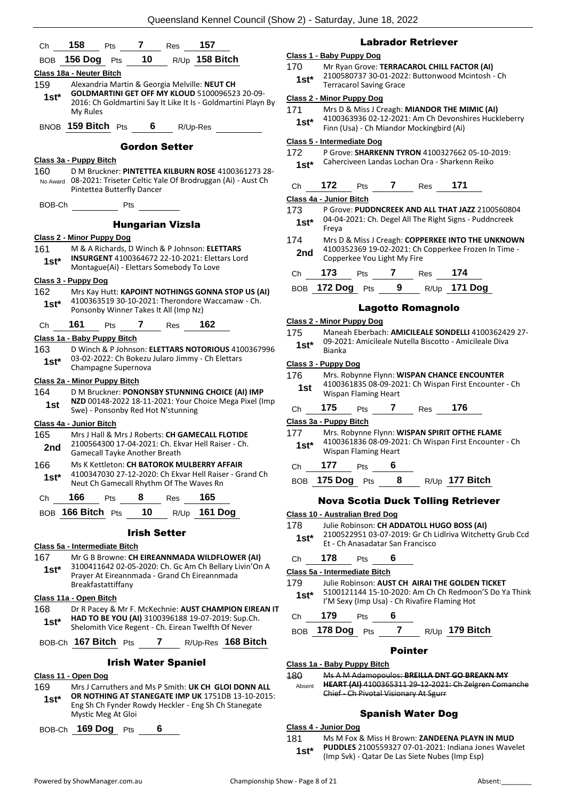| Ch                                                   | 158<br>157<br>Pts 7 Res                                                                                   | <b>Labrador Retriever</b>                                                                                         |
|------------------------------------------------------|-----------------------------------------------------------------------------------------------------------|-------------------------------------------------------------------------------------------------------------------|
| <b>BOB</b>                                           | 156 Dog $Pts$ 10 $R/Up$ 158 Bitch                                                                         | Class 1 - Baby Puppy Dog                                                                                          |
|                                                      | Class 18a - Neuter Bitch                                                                                  | 170<br>Mr Ryan Grove: TERRACAROL CHILL FACTOR (AI)                                                                |
| 159<br>Alexandria Martin & Georgia Melville: NEUT CH |                                                                                                           | 2100580737 30-01-2022: Buttonwood Mcintosh - Ch<br>$1st*$<br><b>Terracarol Saving Grace</b>                       |
| $1st^*$                                              | <b>GOLDMARTINI GET OFF MY KLOUD 5100096523 20-09-</b>                                                     | <b>Class 2 - Minor Puppy Dog</b>                                                                                  |
|                                                      | 2016: Ch Goldmartini Say It Like It Is - Goldmartini Playn By<br>My Rules                                 | Mrs D & Miss J Creagh: MIANDOR THE MIMIC (AI)<br>171                                                              |
|                                                      | BNOB 159 Bitch Pts                                                                                        | 4100363936 02-12-2021: Am Ch Devonshires Huckleberry<br>$1st^*$                                                   |
|                                                      | $6 \qquad$<br>R/Up-Res                                                                                    | Finn (Usa) - Ch Miandor Mockingbird (Ai)                                                                          |
|                                                      | <b>Gordon Setter</b>                                                                                      | <b>Class 5 - Intermediate Dog</b>                                                                                 |
|                                                      | Class 3a - Puppy Bitch                                                                                    | 172<br>P Grove: SHARKENN TYRON 4100327662 05-10-2019:<br>Caherciveen Landas Lochan Ora - Sharkenn Reiko<br>$1st*$ |
| 160                                                  | D M Bruckner: PINTETTEA KILBURN ROSE 4100361273 28-                                                       |                                                                                                                   |
|                                                      | No Award 08-2021: Triseter Celtic Yale Of Brodruggan (Ai) - Aust Ch<br>Pintettea Butterfly Dancer         | 171<br>172<br>$Pts$ 7<br>Res<br>Ch                                                                                |
|                                                      |                                                                                                           | Class 4a - Junior Bitch                                                                                           |
|                                                      | BOB-Ch Pts                                                                                                | 173<br>P Grove: PUDDNCREEK AND ALL THAT JAZZ 2100560804                                                           |
|                                                      | <b>Hungarian Vizsla</b>                                                                                   | 04-04-2021: Ch. Degel All The Right Signs - Puddncreek<br>$1st^*$<br>Freya                                        |
|                                                      | <b>Class 2 - Minor Puppy Dog</b>                                                                          | 174<br>Mrs D & Miss J Creagh: COPPERKEE INTO THE UNKNOWN                                                          |
| 161                                                  | M & A Richards, D Winch & P Johnson: ELETTARS                                                             | 4100352369 19-02-2021: Ch Copperkee Frozen In Time -<br>2nd                                                       |
| $1st*$                                               | INSURGENT 4100364672 22-10-2021: Elettars Lord<br>Montague(Ai) - Elettars Somebody To Love                | Copperkee You Light My Fire                                                                                       |
|                                                      |                                                                                                           | 173 Pts 7 Res 174<br>Ch                                                                                           |
| 162                                                  | Class 3 - Puppy Dog<br>Mrs Kay Hutt: KAPOINT NOTHINGS GONNA STOP US (AI)                                  | BOB 172 Dog Pts 9 R/Up 171 Dog                                                                                    |
| $1st*$                                               | 4100363519 30-10-2021: Therondore Waccamaw - Ch.                                                          |                                                                                                                   |
|                                                      | Ponsonby Winner Takes It All (Imp Nz)                                                                     | <b>Lagotto Romagnolo</b>                                                                                          |
| Ch                                                   | 161<br>162<br>Pts 7 Res                                                                                   | Class 2 - Minor Puppy Dog<br>Maneah Eberbach: AMICILEALE SONDELLI 4100362429 27-                                  |
|                                                      | Class 1a - Baby Puppy Bitch                                                                               | 175<br>09-2021: Amicileale Nutella Biscotto - Amicileale Diva<br>$1st^*$                                          |
| 163                                                  | D Winch & P Johnson: ELETTARS NOTORIOUS 4100367996                                                        | Bianka                                                                                                            |
| $1st^*$                                              | 03-02-2022: Ch Bokezu Jularo Jimmy - Ch Elettars<br>Champagne Supernova                                   | Class 3 - Puppy Dog                                                                                               |
|                                                      | Class 2a - Minor Puppy Bitch                                                                              | 176<br>Mrs. Robynne Flynn: WISPAN CHANCE ENCOUNTER                                                                |
| 164                                                  | D M Bruckner: PONONSBY STUNNING CHOICE (AI) IMP                                                           | 4100361835 08-09-2021: Ch Wispan First Encounter - Ch<br>1st<br>Wispan Flaming Heart                              |
| 1st                                                  | NZD 00148-2022 18-11-2021: Your Choice Mega Pixel (Imp                                                    | 176<br>175<br>Pts 7 Res<br>Ch                                                                                     |
|                                                      | Swe) - Ponsonby Red Hot N'stunning                                                                        | Class 3a - Puppy Bitch                                                                                            |
| 165                                                  | Class 4a - Junior Bitch<br>Mrs J Hall & Mrs J Roberts: CH GAMECALL FLOTIDE                                | 177<br>Mrs. Robynne Flynn: WISPAN SPIRIT OFTHE FLAME                                                              |
| 2nd                                                  | 2100564300 17-04-2021: Ch. Ekvar Hell Raiser - Ch.                                                        | 4100361836 08-09-2021: Ch Wispan First Encounter - Ch<br>$1st^*$                                                  |
|                                                      | Gamecall Tayke Another Breath                                                                             | Wispan Flaming Heart                                                                                              |
| 166                                                  | Ms K Kettleton: CH BATOROK MULBERRY AFFAIR<br>4100347030 27-12-2020: Ch Ekvar Hell Raiser - Grand Ch      | 177<br>6<br>Ch<br>Pts                                                                                             |
| $1st^*$                                              | Neut Ch Gamecall Rhythm Of The Waves Rn                                                                   | BOB 175 Dog Pts<br>$8 -$<br>R/Up 177 Bitch                                                                        |
| Ch                                                   | 166<br>8<br>165<br>Pts<br>Res                                                                             |                                                                                                                   |
|                                                      | BOB 166 Bitch Pts<br>10 <sub>1</sub><br>$R/Up$ 161 Dog                                                    | <b>Nova Scotia Duck Tolling Retriever</b>                                                                         |
|                                                      |                                                                                                           | Class 10 - Australian Bred Dog<br>178<br>Julie Robinson: CH ADDATOLL HUGO BOSS (AI)                               |
|                                                      | <b>Irish Setter</b>                                                                                       | 2100522951 03-07-2019: Gr Ch Lidlriva Witchetty Grub Ccd<br>$1st^*$                                               |
|                                                      | Class 5a - Intermediate Bitch                                                                             | Et - Ch Anasadatar San Francisco                                                                                  |
| 167                                                  | Mr G B Browne: CH EIREANNMADA WILDFLOWER (AI)                                                             | 178<br>6<br>Ch<br>Pts                                                                                             |
| $1st^*$                                              | 3100411642 02-05-2020: Ch. Gc Am Ch Bellary Livin'On A<br>Prayer At Eireannmada - Grand Ch Eireannmada    | Class 5a - Intermediate Bitch                                                                                     |
|                                                      | Breakfastattiffany                                                                                        | 179<br>Julie Robinson: AUST CH AIRAI THE GOLDEN TICKET                                                            |
|                                                      | Class 11a - Open Bitch                                                                                    | 5100121144 15-10-2020: Am Ch Ch Redmoon'S Do Ya Think<br>$1st^*$<br>I'M Sexy (Imp Usa) - Ch Rivafire Flaming Hot  |
| 168                                                  | Dr R Pacey & Mr F. McKechnie: AUST CHAMPION EIREAN IT                                                     | 179                                                                                                               |
| $1st^*$                                              | HAD TO BE YOU (AI) 3100396188 19-07-2019: Sup.Ch.<br>Shelomith Vice Regent - Ch. Eirean Twelfth Of Never  | 6<br>Pts<br>Ch                                                                                                    |
|                                                      |                                                                                                           | 7<br>178 Dog Pts<br>R/Up 179 Bitch<br><b>BOB</b>                                                                  |
|                                                      | BOB-Ch 167 Bitch Pts 7 R/Up-Res 168 Bitch                                                                 | <b>Pointer</b>                                                                                                    |
|                                                      | <b>Irish Water Spaniel</b>                                                                                | Class 1a - Baby Puppy Bitch                                                                                       |
|                                                      | Class 11 - Open Dog                                                                                       | 180<br>Ms A M Adamopoulos: BREILLA DNT GO BREAKN MY                                                               |
| 169                                                  | Mrs J Carruthers and Ms P Smith: UK CH GLOI DONN ALL                                                      | HEART (AI) 4100365311 29 12 2021: Ch Zelgren Comanche<br>Absent                                                   |
| $1st^*$                                              | OR NOTHING AT STANEGATE IMP UK 1751DB 13-10-2015:<br>Eng Sh Ch Fynder Rowdy Heckler - Eng Sh Ch Stanegate | Chief - Ch Pivotal Visionary At Sgurr                                                                             |
|                                                      | Mystic Meg At Gloi                                                                                        | <b>Spanish Water Dog</b>                                                                                          |

**Class 4 - Junior Dog**

181 Ms M Fox & Miss H Brown: **ZANDEENA PLAYN IN MUD PUDDLES** 2100559327 07-01-2021: Indiana Jones Wavelet (Imp Svk) - Qatar De Las Siete Nubes (Imp Esp) **1st\***

BOB-Ch **169 Dog** Pts **6**

#### dor Retriever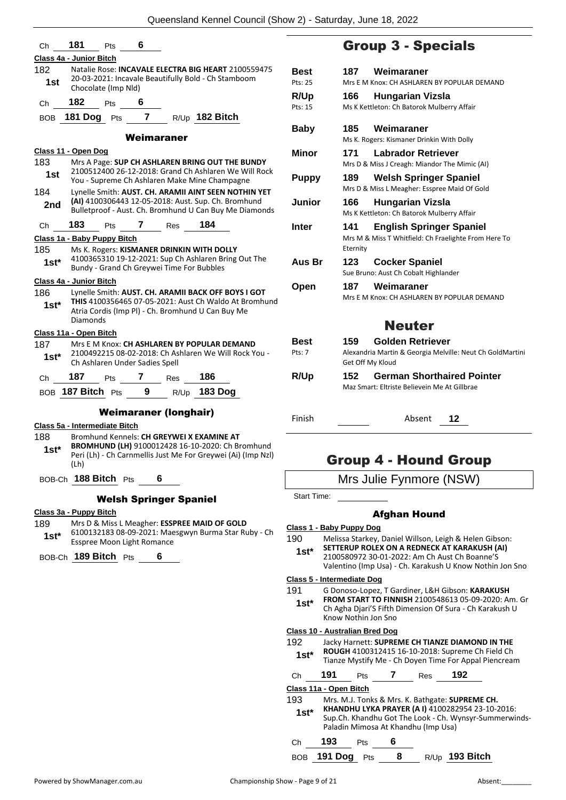| Сh         | 181                           | Pts                 | 6                              |                                           |                                                                                                                                                           |     |
|------------|-------------------------------|---------------------|--------------------------------|-------------------------------------------|-----------------------------------------------------------------------------------------------------------------------------------------------------------|-----|
|            | Class 4a - Junior Bitch       |                     |                                |                                           |                                                                                                                                                           |     |
| 182        |                               |                     |                                |                                           | Natalie Rose: <b>INCAVALE ELECTRA BIG HEART</b> 2100559475                                                                                                | Вe  |
| 1st        |                               | Chocolate (Imp Nld) |                                |                                           | 20-03-2021: Incavale Beautifully Bold - Ch Stamboom                                                                                                       | Pts |
| Ch         | 182                           | Pts                 | 6                              |                                           |                                                                                                                                                           | R/  |
| BOB        |                               |                     |                                |                                           | 181 Dog Pts 7 R/Up 182 Bitch                                                                                                                              | Pts |
|            |                               |                     |                                |                                           |                                                                                                                                                           | Вε  |
|            |                               |                     | Weimaraner                     |                                           |                                                                                                                                                           |     |
|            | Class 11 - Open Dog           |                     |                                |                                           |                                                                                                                                                           | Mi  |
| 183<br>1st |                               |                     |                                |                                           | Mrs A Page: SUP CH ASHLAREN BRING OUT THE BUNDY<br>2100512400 26-12-2018: Grand Ch Ashlaren We Will Rock<br>You - Supreme Ch Ashlaren Make Mine Champagne | Pι  |
| 184        |                               |                     |                                |                                           | Lynelle Smith: AUST. CH. ARAMII AINT SEEN NOTHIN YET                                                                                                      |     |
| 2nd        |                               |                     |                                |                                           | (AI) 4100306443 12-05-2018: Aust. Sup. Ch. Bromhund                                                                                                       | Ju  |
|            |                               |                     |                                |                                           | Bulletproof - Aust. Ch. Bromhund U Can Buy Me Diamonds                                                                                                    |     |
| Ch         | 183                           | Pts                 | 7 Res                          |                                           | 184                                                                                                                                                       | Int |
|            | Class 1a - Baby Puppy Bitch   |                     |                                |                                           |                                                                                                                                                           |     |
| 185        |                               |                     |                                |                                           | Ms K. Rogers: KISMANER DRINKIN WITH DOLLY<br>4100365310 19-12-2021: Sup Ch Ashlaren Bring Out The                                                         |     |
| 1st*       |                               |                     |                                | Bundy - Grand Ch Greywei Time For Bubbles |                                                                                                                                                           | Αι  |
|            | Class 4a - Junior Bitch       |                     |                                |                                           |                                                                                                                                                           |     |
| 186        |                               |                     |                                |                                           | Lynelle Smith: AUST. CH. ARAMII BACK OFF BOYS I GOT                                                                                                       | Οŗ  |
| 1st*       |                               |                     |                                |                                           | THIS 4100356465 07-05-2021: Aust Ch Waldo At Bromhund<br>Atria Cordis (Imp PI) - Ch. Bromhund U Can Buy Me                                                |     |
|            | Diamonds                      |                     |                                |                                           |                                                                                                                                                           |     |
|            | Class 11a - Open Bitch        |                     |                                |                                           |                                                                                                                                                           |     |
| 187        |                               |                     |                                |                                           | Mrs E M Knox: CH ASHLAREN BY POPULAR DEMAND                                                                                                               | Βe  |
| 1st*       |                               |                     | Ch Ashlaren Under Sadies Spell |                                           | 2100492215 08-02-2018: Ch Ashlaren We Will Rock You -                                                                                                     | Pts |
| Ch         | 187                           | <b>Pts</b>          |                                | 7 Res                                     | 186                                                                                                                                                       | R/  |
|            | BOB 187 Bitch Pts             |                     | 9                              |                                           | R/Up 183 Dog                                                                                                                                              |     |
|            |                               |                     |                                | <b>Weimaraner (longhair)</b>              |                                                                                                                                                           |     |
|            | Class 5a - Intermediate Bitch |                     |                                |                                           |                                                                                                                                                           | Fir |
| 188        |                               |                     |                                |                                           | Bromhund Kennels: CH GREYWEI X EXAMINE AT                                                                                                                 |     |
| $1st^*$    |                               |                     |                                |                                           | BROMHUND (LH) 9100012428 16-10-2020: Ch Bromhund<br>Peri (Lh) - Ch Carnmellis Just Me For Greywei (Ai) (Imp Nzl)                                          |     |
|            | (Lh)                          |                     |                                |                                           |                                                                                                                                                           |     |
|            | BOB-Ch 188 Bitch Pts          |                     | 6                              |                                           |                                                                                                                                                           |     |
|            |                               |                     |                                |                                           |                                                                                                                                                           | St  |
|            |                               |                     |                                | <b>Welsh Springer Spaniel</b>             |                                                                                                                                                           |     |

#### **Class 3a - Puppy Bitch**

189 Mrs D & Miss L Meagher: **ESSPREE MAID OF GOLD** 6100132183 08-09-2021: Maesgwyn Burma Star Ruby - Ch **1st\*** 6100132183 08-09-2021: Mae<br>Esspree Moon Light Romance

BOB-Ch **189 Bitch** Pts **6**

### Group 3 - Specials

| Best         | Weimaraner<br>187                                                                                          |  |
|--------------|------------------------------------------------------------------------------------------------------------|--|
| Pts: 25      | Mrs E M Knox: CH ASHLAREN BY POPULAR DEMAND                                                                |  |
| R/Up         | 166<br>Hungarian Vizsla                                                                                    |  |
| Pts: 15      | Ms K Kettleton: Ch Batorok Mulberry Affair                                                                 |  |
| Baby         | Weimaraner<br>185<br>Ms K. Rogers: Kismaner Drinkin With Dolly                                             |  |
| Minor        | <b>Labrador Retriever</b><br>171                                                                           |  |
|              | Mrs D & Miss J Creagh: Miandor The Mimic (AI)                                                              |  |
| <b>Puppy</b> | <b>Welsh Springer Spaniel</b><br>189<br>Mrs D & Miss L Meagher: Esspree Maid Of Gold                       |  |
| Junior       | 166<br>Hungarian Vizsla<br>Ms K Kettleton: Ch Batorok Mulberry Affair                                      |  |
| Inter        | 141<br><b>English Springer Spaniel</b><br>Mrs M & Miss T Whitfield: Ch Fraelighte From Here To<br>Eternity |  |
| Aus Br       | 123<br><b>Cocker Spaniel</b><br>Sue Bruno: Aust Ch Cobalt Highlander                                       |  |
| Open         | Weimaraner<br>187                                                                                          |  |
|              | Mrs E M Knox: CH ASHLAREN BY POPULAR DEMAND                                                                |  |
|              | <b>Neuter</b>                                                                                              |  |
| Best         | Golden Retriever<br>159.                                                                                   |  |
| Pts: 7       | Alexandria Martin & Georgia Melville: Neut Ch GoldMartini<br>Get Off My Kloud                              |  |
| <b>R/Up</b>  | <b>German Shorthaired Pointer</b><br>152<br>Maz Smart: Eltriste Believein Me At Gillbrae                   |  |

Finish Absent **12**

### Group 4 - Hound Group

Mrs Julie Fynmore (NSW)

art Time:

#### Afghan Hound

#### **Class 1 - Baby Puppy Dog**

190 Melissa Starkey, Daniel Willson, Leigh & Helen Gibson:

**SETTERUP ROLEX ON A REDNECK AT KARAKUSH (AI)** 2100580972 30-01-2022: Am Ch Aust Ch Boanne'S Valentino (Imp Usa) - Ch. Karakush U Know Nothin Jon Sno **1st\***

### **Class 5 - Intermediate Dog**

191 G Donoso-Lopez, T Gardiner, L&H Gibson: **KARAKUSH FROM START TO FINNISH** 2100548613 05-09-2020: Am. Gr

Ch Agha Djari'S Fifth Dimension Of Sura - Ch Karakush U Know Nothin Jon Sno **1st\***

#### **Class 10 - Australian Bred Dog**

192 Jacky Harnett: **SUPREME CH TIANZE DIAMOND IN THE ROUGH** 4100312415 16-10-2018: Supreme Ch Field Ch **1st\* ROUGH** 4100312415 16-10-2018: Supreme Ch Field Ch<br>Tianze Mystify Me - Ch Doven Time For Appal Piencream

|        |     |  | Tranze ivisitily ivide CITDOVEN Thrile For Appartment ear |  |
|--------|-----|--|-----------------------------------------------------------|--|
| $\sim$ | 101 |  | 100                                                       |  |

| 'n | 191 | ΊS | kes | 192 |
|----|-----|----|-----|-----|
|    |     |    |     |     |

**Class 11a - Open Bitch**

| 193<br>$1st*$ |     |            |   | Mrs. M.J. Tonks & Mrs. K. Bathgate: SUPREME CH.<br>KHANDHU LYKA PRAYER (A I) 4100282954 23-10-2016:<br>Sup.Ch. Khandhu Got The Look - Ch. Wynsyr-Summerwinds-<br>Paladin Mimosa At Khandhu (Imp Usa) |
|---------------|-----|------------|---|------------------------------------------------------------------------------------------------------------------------------------------------------------------------------------------------------|
| Ch            | 193 | <b>Pts</b> | 6 |                                                                                                                                                                                                      |

BOB **191 Dog** Pts **8** R/Up **193 Bitch**

Powered by ShowManager.com.au Championship Show - Page 9 of 21 Absent: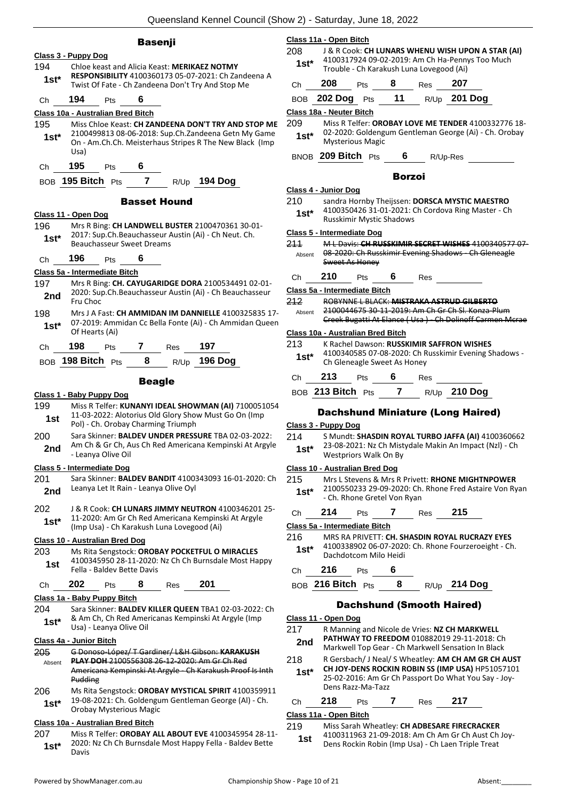#### **Basenji**

|         | Class 3 - Puppy Dog                       |            |                                  |                                            |                                                                                                                  |
|---------|-------------------------------------------|------------|----------------------------------|--------------------------------------------|------------------------------------------------------------------------------------------------------------------|
| 194     |                                           |            |                                  |                                            | Chloe keast and Alicia Keast: MERIKAEZ NOTMY                                                                     |
| $1st*$  |                                           |            |                                  |                                            | RESPONSIBILITY 4100360173 05-07-2021: Ch Zandeena A<br>Twist Of Fate - Ch Zandeena Don't Try And Stop Me         |
| Сh      | 194                                       | Pts        | 6                                |                                            |                                                                                                                  |
|         | <u> Class 10a - Australian Bred Bitch</u> |            |                                  |                                            |                                                                                                                  |
| 195     |                                           |            |                                  |                                            | Miss Chloe Keast: CH ZANDEENA DON'T TRY AND STOP ME                                                              |
| $1st*$  |                                           |            |                                  |                                            | 2100499813 08-06-2018: Sup.Ch.Zandeena Getn My Game                                                              |
|         |                                           |            |                                  |                                            | On - Am.Ch.Ch. Meisterhaus Stripes R The New Black (Imp                                                          |
|         | Usa)                                      |            |                                  |                                            |                                                                                                                  |
| Ch      | 195                                       | <b>Pts</b> | 6                                |                                            |                                                                                                                  |
|         | BOB <b>195 Bitch</b> Pts                  |            |                                  |                                            | 7 R/Up 194 Dog                                                                                                   |
|         |                                           |            |                                  | <b>Basset Hound</b>                        |                                                                                                                  |
|         | Class 11 - Open Dog                       |            |                                  |                                            |                                                                                                                  |
| 196     |                                           |            |                                  |                                            | Mrs R Bing: CH LANDWELL BUSTER 2100470361 30-01-                                                                 |
| $1st*$  |                                           |            | <b>Beauchasseur Sweet Dreams</b> |                                            | 2017: Sup.Ch.Beauchasseur Austin (Ai) - Ch Neut. Ch.                                                             |
|         |                                           |            |                                  |                                            |                                                                                                                  |
| Сh      | 196                                       | <b>Pts</b> | 6                                |                                            |                                                                                                                  |
| 197     | Class 5a - Intermediate Bitch             |            |                                  |                                            | Mrs R Bing: CH. CAYUGARIDGE DORA 2100534491 02-01-                                                               |
| 2nd     |                                           |            |                                  |                                            | 2020: Sup.Ch.Beauchasseur Austin (Ai) - Ch Beauchasseur                                                          |
|         | Fru Choc                                  |            |                                  |                                            |                                                                                                                  |
| 198     |                                           |            |                                  |                                            | Mrs J A Fast: CH AMMIDAN IM DANNIELLE 4100325835 17-<br>07-2019: Ammidan Cc Bella Fonte (Ai) - Ch Ammidan Queen  |
| 1st*    | Of Hearts (Ai)                            |            |                                  |                                            |                                                                                                                  |
| Сh      | 198                                       | Pts        | $\overline{7}$                   | Res                                        | 197                                                                                                              |
|         | BOB 198 Bitch Pts                         |            | 8                                |                                            | R/Up 196 Dog                                                                                                     |
|         |                                           |            |                                  |                                            |                                                                                                                  |
|         |                                           |            | <b>Beagle</b>                    |                                            |                                                                                                                  |
|         | Class 1 - Baby Puppy Dog                  |            |                                  |                                            |                                                                                                                  |
| 199     |                                           |            |                                  |                                            | Miss R Telfer: KUNANYI IDEAL SHOWMAN (AI) 7100051054<br>11-03-2022: Alotorius Old Glory Show Must Go On (Imp     |
| 1st     |                                           |            |                                  | Pol) - Ch. Orobay Charming Triumph         |                                                                                                                  |
| 200     |                                           |            |                                  |                                            | Sara Skinner: BALDEV UNDER PRESSURE TBA 02-03-2022:                                                              |
| 2nd     | - Leanya Olive Oil                        |            |                                  |                                            | Am Ch & Gr Ch, Aus Ch Red Americana Kempinski At Argyle                                                          |
|         | <b>Class 5 - Intermediate Dog</b>         |            |                                  |                                            |                                                                                                                  |
| 201     |                                           |            |                                  |                                            | Sara Skinner: BALDEV BANDIT 4100343093 16-01-2020: Ch                                                            |
| 2nd     |                                           |            |                                  | Leanya Let It Rain - Leanya Olive Oyl      |                                                                                                                  |
|         |                                           |            |                                  |                                            |                                                                                                                  |
| 202     |                                           |            |                                  |                                            | J & R Cook: <b>CH LUNARS JIMMY NEUTRON</b> 4100346201 25-<br>11-2020: Am Gr Ch Red Americana Kempinski At Argyle |
| $1st^*$ |                                           |            |                                  | (Imp Usa) - Ch Karakush Luna Lovegood (Ai) |                                                                                                                  |
|         | Class 10 - Australian Bred Dog            |            |                                  |                                            |                                                                                                                  |
| 203     |                                           |            |                                  |                                            | Ms Rita Sengstock: OROBAY POCKETFUL O MIRACLES                                                                   |
| 1st     |                                           |            | Fella - Baldev Bette Davis       |                                            | 4100345950 28-11-2020: Nz Ch Ch Burnsdale Most Happy                                                             |
|         | 202                                       |            |                                  |                                            |                                                                                                                  |
| Сh      |                                           | Pts        | 8                                | Res                                        | 201                                                                                                              |
| 204     | Class 1a - Baby Puppy Bitch               |            |                                  |                                            | Sara Skinner: BALDEV KILLER QUEEN TBA1 02-03-2022: Ch                                                            |
| 1st*    |                                           |            |                                  |                                            | & Am Ch, Ch Red Americanas Kempinski At Argyle (Imp                                                              |
|         | Usa) - Leanya Olive Oil                   |            |                                  |                                            |                                                                                                                  |
|         | Class 4a - Junior Bitch                   |            |                                  |                                            |                                                                                                                  |
| 205     |                                           |            |                                  |                                            | G Donoso-López/ T Gardiner/ L&H Gibson: KARAKUSH<br><b>PLAY DOH 2100556308 26 12 2020: Am Gr Ch Red</b>          |
| Absent  |                                           |            |                                  |                                            | Americana Kempinski At Argyle Ch Karakush Proof Is Inth                                                          |
|         | Pudding                                   |            |                                  |                                            |                                                                                                                  |
| 206     |                                           |            |                                  |                                            | Ms Rita Sengstock: OROBAY MYSTICAL SPIRIT 4100359911                                                             |
| $1st*$  |                                           |            | Orobay Mysterious Magic          |                                            | 19-08-2021: Ch. Goldengum Gentleman George (Al) - Ch.                                                            |
|         | <b>Class 10a - Australian Bred Bitch</b>  |            |                                  |                                            |                                                                                                                  |
| 207     |                                           |            |                                  |                                            | Miss R Telfer: OROBAY ALL ABOUT EVE 4100345954 28-11-                                                            |
| $1st^*$ | Davis                                     |            |                                  |                                            | 2020: Nz Ch Ch Burnsdale Most Happy Fella - Baldev Bette                                                         |
|         |                                           |            |                                  |                                            |                                                                                                                  |

#### **Class 11a - Open Bitch**

208 J & R Cook: **CH LUNARS WHENU WISH UPON A STAR (AI)** 4100317924 09-02-2019: Am Ch Ha-Pennys Too Much Trouble - Ch Karakush Luna Lovegood (Ai) **1st\***

|    |     |     | _____ |     |       |  |
|----|-----|-----|-------|-----|-------|--|
| Ch | 208 | Pts | -8    | Res | - 207 |  |

| BOB 202 Dog Pts 11 R/Up 201 Dog |  |  |  |
|---------------------------------|--|--|--|
|                                 |  |  |  |

|  | Class 18a - Neuter Bitch |  |
|--|--------------------------|--|
|  |                          |  |

209 Miss R Telfer: **OROBAY LOVE ME TENDER** 4100332776 18- 02-2020: Goldengum Gentleman George (Ai) - Ch. Orobay Mysterious Magic **1st\***

BNOB **209 Bitch** Pts **6** R/Up-Res

#### Borzoi

#### **Class 4 - Junior Dog**

- 210 sandra Hornby Theijssen: **DORSCA MYSTIC MAESTRO**
- 4100350426 31-01-2021: Ch Cordova Ring Master Ch Russkimir Mystic Shadows **1st\***

#### **Class 5 - Intermediate Dog**

| 211    | M L Davis: CH RUSSKIMIR SECRET WISHES 4100340577 07- |
|--------|------------------------------------------------------|
| Absent | 08-2020: Ch Russkimir Evening Shadows - Ch Gleneagle |
|        | Sweet As Honey                                       |

Ch **210** Pts **6** Res

**Class 5a - Intermediate Bitch**

212 ROBYNNE L BLACK: **MISTRAKA ASTRUD GILBERTO** 2100044675 30-11-2019: Am Ch Gr Ch Sl. Konza-Plum Creek Bugatti At Elance ( Usa ) - Ch Dolinoff Carmen Mcrae Absent

#### **Class 10a - Australian Bred Bitch**

213 K Rachel Dawson: **RUSSKIMIR SAFFRON WISHES** 4100340585 07-08-2020: Ch Russkimir Evening Shadows - 1st<sup>\*</sup> 4100340585 07-08-2020: Ch F<br>Ch Gleneagle Sweet As Honey

| $- - -$ | $040 \text{ N}$ | _ | - - - | 240E |
|---------|-----------------|---|-------|------|

#### BOB **213 Bitch** Pts **7** R/Up **210 Dog**

#### Dachshund Miniature (Long Haired)

#### **Class 3 - Puppy Dog**

- 214 S Mundt: **SHASDIN ROYAL TURBO JAFFA (AI)** 4100360662
- 23-08-2021: Nz Ch Mistydale Makin An Impact (Nzl) Ch 1st<sup>\*</sup> 23-08-2021: No Ch Mist<br>Westpriors Walk On By

#### **Class 10 - Australian Bred Dog**

- 215 Mrs L Stevens & Mrs R Privett: **RHONE MIGHTNPOWER** 2100550233 29-09-2020: Ch. Rhone Fred Astaire Von Ryan 1st\* <sup>2100550233</sup> 29-09-2020: Ch.<br>Ch. Rhone Gretel Von Ryan
- Ch **214** Pts **7** Res **215**

#### **Class 5a - Intermediate Bitch**

216 MRS RA PRIVETT: **CH. SHASDIN ROYAL RUCRAZY EYES** 4100338902 06-07-2020: Ch. Rhone Fourzeroeight - Ch. Dachdotcom Milo Heidi **1st\***

Ch **216** Pts **6**

BOB **216 Bitch** Pts **8** R/Up **214 Dog**

#### Dachshund (Smooth Haired)

#### **Class 11 - Open Dog**

- 217 R Manning and Nicole de Vries: **NZ CH MARKWELL PATHWAY TO FREEDOM** 010882019 29-11-2018: Ch 2nd PATHWAY TO FREEDOM 010882019 29-11-2018: Ch<br>Markwell Top Gear - Ch Markwell Sensation In Black
- 218 R Gersbach/ J Neal/ S Wheatley: **AM CH AM GR CH AUST** 
	- **CH JOY-DENS ROCKIN ROBIN SS (IMP USA)** HP51057101 25-02-2016: Am Gr Ch Passport Do What You Say - Joy-Dens Razz-Ma-Tazz **1st\***

### Ch **218** Pts **7** Res **217**

#### **Class 11a - Open Bitch**

219 Miss Sarah Wheatley: **CH ADBESARE FIRECRACKER**

4100311963 21-09-2018: Am Ch Am Gr Ch Aust Ch Joy-Dens Rockin Robin (Imp Usa) - Ch Laen Triple Treat **1st**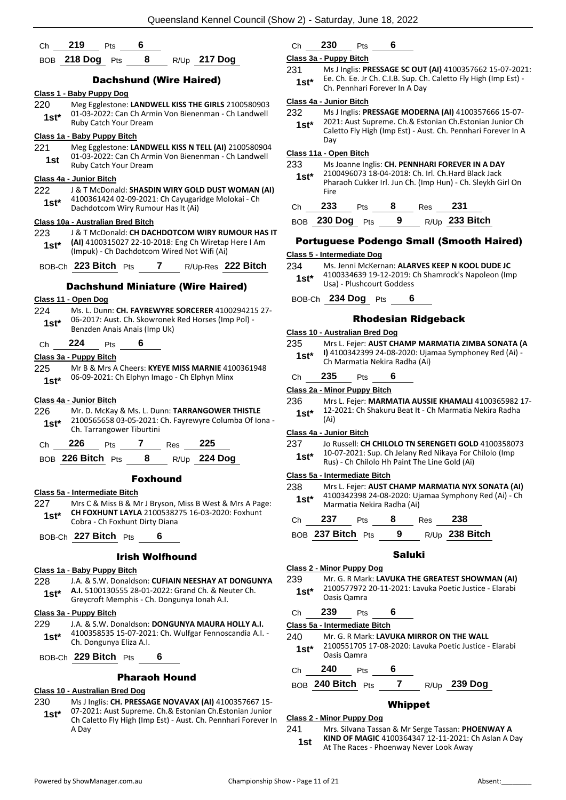| Ch.     | 219              | Pts    |   |      |                |
|---------|------------------|--------|---|------|----------------|
| $- - -$ | $240 \text{ Pa}$ | $\sim$ | 0 | $ -$ | $0.47$ $D - -$ |

### BOB **218 Dog** Pts **8** R/Up **217 Dog**

#### Dachshund (Wire Haired)

#### **Class 1 - Baby Puppy Dog**

220 Meg Egglestone: **LANDWELL KISS THE GIRLS** 2100580903 01-03-2022: Can Ch Armin Von Bienenman - Ch Landwell **1st**\* UL-03-2022: Can Ch Arm<br>Ruby Catch Your Dream

#### **Class 1a - Baby Puppy Bitch**

221 Meg Egglestone: **LANDWELL KISS N TELL (AI)** 2100580904 01-03-2022: Can Ch Armin Von Bienenman - Ch Landwell **1st** UL-03-2022: Can Ch Arm<br>Ruby Catch Your Dream

#### **Class 4a - Junior Bitch**

222 J & T McDonald: **SHASDIN WIRY GOLD DUST WOMAN (AI)** 4100361424 02-09-2021: Ch Cayugaridge Molokai - Ch **1st** 4100361424 02-09-2021: Ch Cayugari<br>Dachdotcom Wiry Rumour Has It (Ai)

#### **Class 10a - Australian Bred Bitch**

- 223 J & T McDonald: **CH DACHDOTCOM WIRY RUMOUR HAS IT (AI)** 4100315027 22-10-2018: Eng Ch Wiretap Here I Am (Impuk) - Ch Dachdotcom Wired Not Wifi (Ai) **1st\***
- BOB-Ch **223 Bitch** Pts **7** R/Up-Res **222 Bitch**

#### Dachshund Miniature (Wire Haired)

#### **Class 11 - Open Dog**

- 224 Ms. L. Dunn: **CH. FAYREWYRE SORCERER** 4100294215 27- 06-2017: Aust. Ch. Skowronek Red Horses (Imp Pol) - **1st**\* 06-2017: Aust. Ch. Skowronek<br>Benzden Anais Anais (Imp Uk)
- Ch **224** Pts **6**

#### **Class 3a - Puppy Bitch**

225 Mr B & Mrs A Cheers: **KYEYE MISS MARNIE** 4100361948 06-09-2021: Ch Elphyn Imago - Ch Elphyn Minx **1st\***

#### **Class 4a - Junior Bitch**

226 Mr. D. McKay & Ms. L. Dunn: **TARRANGOWER THISTLE** 2100565658 03-05-2021: Ch. Fayrewyre Columba Of Iona - **1st** 2100565658 03-05-2021:<br>Ch. Tarrangower Tiburtini

| Ch. | 226               | Pts |   | Res | - 225               |
|-----|-------------------|-----|---|-----|---------------------|
|     | BOB 226 Bitch Pts |     | 8 |     | R/Up <b>224 Dog</b> |

#### Foxhound

#### **Class 5a - Intermediate Bitch**

227 Mrs C & Miss B & Mr J Bryson, Miss B West & Mrs A Page: **CH FOXHUNT LAYLA** 2100538275 16-03-2020: Foxhunt **1st\*** CH FOXHONT LAYLA 21005382<br>Cobra - Ch Foxhunt Dirty Diana

BOB-Ch **227 Bitch** Pts **6**

#### Irish Wolfhound

#### **Class 1a - Baby Puppy Bitch**

- 228 J.A. & S.W. Donaldson: **CUFIAIN NEESHAY AT DONGUNYA**
- **A.I.** 5100130555 28-01-2022: Grand Ch. & Neuter Ch. **1st** A.I. 5100130555 28-01-2022: Grand Cn. & Net

#### **Class 3a - Puppy Bitch**

- 229 J.A. & S.W. Donaldson: **DONGUNYA MAURA HOLLY A.I.** 4100358535 15-07-2021: Ch. Wulfgar Fennoscandia A.I. - Ch. Dongunya Eliza A.I. **1st\***
- BOB-Ch **229 Bitch** Pts **6**

#### Pharaoh Hound

#### **Class 10 - Australian Bred Dog**

230 Ms J Inglis: **CH. PRESSAGE NOVAVAX (AI)** 4100357667 15- 07-2021: Aust Supreme. Ch.& Estonian Ch.Estonian Junior Ch Caletto Fly High (Imp Est) - Aust. Ch. Pennhari Forever In A Day **1st\***

#### Ch **230** Pts **6**

#### **Class 3a - Puppy Bitch**

231 Ms J Inglis: **PRESSAGE SC OUT (AI)** 4100357662 15-07-2021: Ee. Ch. Ee. Jr Ch. C.I.B. Sup. Ch. Caletto Fly High (Imp Est) - **1st**\* E. C. C. E. J. C. C. C. C. Sup. C.

#### **Class 4a - Junior Bitch**

232 Ms J Inglis: **PRESSAGE MODERNA (AI)** 4100357666 15-07- 2021: Aust Supreme. Ch.& Estonian Ch.Estonian Junior Ch Caletto Fly High (Imp Est) - Aust. Ch. Pennhari Forever In A Day **1st\***

#### **Class 11a - Open Bitch**

| 233        |         |            |   |     | Ms Joanne Inglis: CH. PENNHARI FOREVER IN A DAY            |  |
|------------|---------|------------|---|-----|------------------------------------------------------------|--|
| $1st*$     |         |            |   |     | 2100496073 18-04-2018: Ch. Irl. Ch.Hard Black Jack         |  |
|            | Fire    |            |   |     | Pharaoh Cukker Irl. Jun Ch. (Imp Hun) - Ch. Sleykh Girl On |  |
| Сh         | 233     | <b>Pts</b> | 8 | Res | 231                                                        |  |
| <b>BOB</b> | 230 Dog | Pts        | 9 |     | R/Up 233 Bitch                                             |  |
|            |         |            |   |     |                                                            |  |

#### Portuguese Podengo Small (Smooth Haired)

#### **Class 5 - Intermediate Dog**

- 234 Ms. Jenni McKernan: **ALARVES KEEP N KOOL DUDE JC** 4100334639 19-12-2019: Ch Shamrock's Napoleon (Imp Usa) - Plushcourt Goddess **1st\***
- BOB-Ch **234 Dog** Pts **6**

#### Rhodesian Ridgeback

#### **Class 10 - Australian Bred Dog**

235 Mrs L. Fejer: **AUST CHAMP MARMATIA ZIMBA SONATA (A I)** 4100342399 24-08-2020: Ujamaa Symphoney Red (Ai) - Ch Marmatia Nekira Radha (Ai) **1st\***

### Ch **235** Pts **6**

#### **Class 2a - Minor Puppy Bitch**

236 Mrs L. Fejer: **MARMATIA AUSSIE KHAMALI** 4100365982 17- 12-2021: Ch Shakuru Beat It - Ch Marmatia Nekira Radha (Ai) **1st\***

#### **Class 4a - Junior Bitch**

### 237 Jo Russell: **CH CHILOLO TN SERENGETI GOLD** 4100358073

10-07-2021: Sup. Ch Jelany Red Nikaya For Chilolo (Imp **1st** 10-07-2021: Sup. Ch Jelany Red Nikaya For Gold (Ai) **1st** Rus) - Ch Chilolo Hh Paint The Line Gold (Ai)

#### **Class 5a - Intermediate Bitch**

- 238 Mrs L. Fejer: **AUST CHAMP MARMATIA NYX SONATA (AI)**
- 4100342398 24-08-2020: Ujamaa Symphony Red (Ai) Ch Marmatia Nekira Radha (Ai) **1st\***
- Ch **237** Pts **8** Res **238** BOB **237 Bitch** Pts **9** R/Up **238 Bitch**

#### Saluki

#### **Class 2 - Minor Puppy Dog**

- 239 Mr. G. R Mark: **LAVUKA THE GREATEST SHOWMAN (AI)** 2100577972 20-11-2021: Lavuka Poetic Justice - Elarabi **1st**\* 2100577972<br>Oasis Qamra
- Ch **239** Pts **6**

**Class 5a - Intermediate Bitch**

- 240 Mr. G. R Mark: **LAVUKA MIRROR ON THE WALL**
- 2100551705 17-08-2020: Lavuka Poetic Justice Elarabi Oasis Qamra **1st\***
- Ch **240** Pts **6**
- BOB **240 Bitch** Pts **7** R/Up **239 Dog**

### Whippet

#### **Class 2 - Minor Puppy Dog**

241 Mrs. Silvana Tassan & Mr Serge Tassan: **PHOENWAY A KIND OF MAGIC** 4100364347 12-11-2021: Ch Aslan A Day **1st** KIND OF MAGIC 4100364347 12-11-2021: N<br>At The Races - Phoenway Never Look Away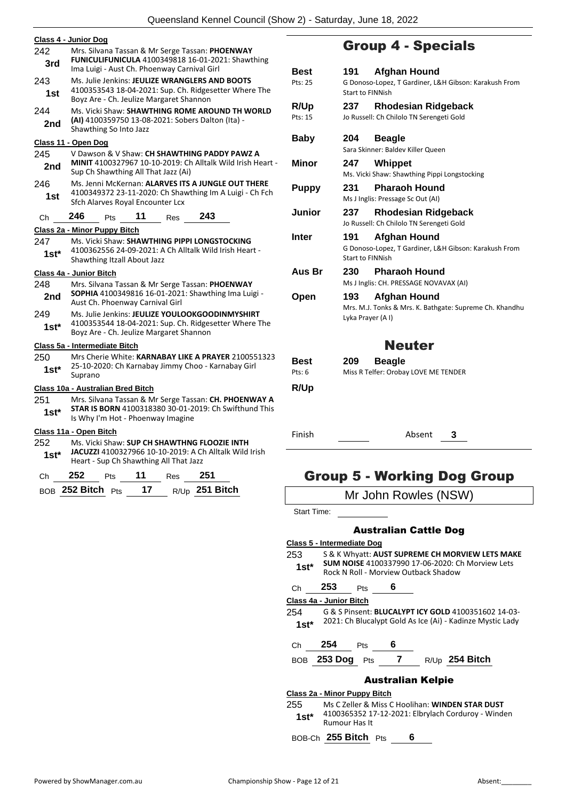|         | Class 4 - Junior Dog                                                                                     |     |
|---------|----------------------------------------------------------------------------------------------------------|-----|
| 242     | Mrs. Silvana Tassan & Mr Serge Tassan: PHOENWAY                                                          |     |
| 3rd     | FUNICULIFUNICULA 4100349818 16-01-2021: Shawthing                                                        |     |
|         | Ima Luigi - Aust Ch. Phoenway Carnival Girl                                                              | B)  |
| 243     | Ms. Julie Jenkins: JEULIZE WRANGLERS AND BOOTS                                                           | Pts |
| 1st     | 4100353543 18-04-2021: Sup. Ch. Ridgesetter Where The<br>Boyz Are - Ch. Jeulize Margaret Shannon         | R/  |
| 244     | Ms. Vicki Shaw: SHAWTHING ROME AROUND TH WORLD                                                           | Pts |
| 2nd     | (AI) 4100359750 13-08-2021: Sobers Dalton (Ita) -<br>Shawthing So Into Jazz                              |     |
|         | Class 11 - Open Dog                                                                                      | В٥  |
| 245     | V Dawson & V Shaw: CH SHAWTHING PADDY PAWZ A                                                             |     |
| 2nd     | <b>MINIT</b> 4100327967 10-10-2019: Ch Alltalk Wild Irish Heart -<br>Sup Ch Shawthing All That Jazz (Ai) | M   |
| 246     | Ms. Jenni McKernan: ALARVES ITS A JUNGLE OUT THERE                                                       | Pι  |
| 1st     | 4100349372 23-11-2020: Ch Shawthing Im A Luigi - Ch Fch<br>Sfch Alarves Royal Encounter Lcx              |     |
| Ch      | 246<br>11<br>243<br>Pts<br>Res                                                                           | Jι  |
|         | <b>Class 2a - Minor Puppy Bitch</b>                                                                      |     |
| 247     | Ms. Vicki Shaw: SHAWTHING PIPPI LONGSTOCKING                                                             | In  |
| 1st*    | 4100362556 24-09-2021: A Ch Alltalk Wild Irish Heart -<br>Shawthing Itzall About Jazz                    |     |
|         | Class 4a - Junior Bitch                                                                                  | Αι  |
| 248     | Mrs. Silvana Tassan & Mr Serge Tassan: PHOENWAY                                                          |     |
| 2nd     | SOPHIA 4100349816 16-01-2021: Shawthing Ima Luigi -<br>Aust Ch. Phoenway Carnival Girl                   | Οı  |
| 249     |                                                                                                          |     |
|         |                                                                                                          |     |
|         | Ms. Julie Jenkins: JEULIZE YOULOOKGOODINMYSHIRT<br>4100353544 18-04-2021: Sup. Ch. Ridgesetter Where The |     |
| 1st*    | Boyz Are - Ch. Jeulize Margaret Shannon                                                                  |     |
|         | Class 5a - Intermediate Bitch                                                                            |     |
| 250     | Mrs Cherie White: KARNABAY LIKE A PRAYER 2100551323                                                      | Вq  |
| 1st*    | 25-10-2020: Ch Karnabay Jimmy Choo - Karnabay Girl<br>Suprano                                            | Pts |
|         | <u> Class 10a - Australian Bred Bitch</u>                                                                | R/  |
| 251     | Mrs. Silvana Tassan & Mr Serge Tassan: CH. PHOENWAY A                                                    |     |
| 1st*    | <b>STAR IS BORN</b> 4100318380 30-01-2019: Ch Swifthund This<br>Is Why I'm Hot - Phoenway Imagine        |     |
|         | <u> Class 11a - Open Bitch</u>                                                                           | Fir |
| 252     | Ms. Vicki Shaw: SUP CH SHAWTHNG FLOOZIE INTH                                                             |     |
| $1st^*$ | JACUZZI 4100327966 10-10-2019: A Ch Alltalk Wild Irish<br>Heart - Sup Ch Shawthing All That Jazz         |     |
| Ch      | 252<br>11<br>251<br>Pts<br>Res<br>R/Up 251 Bitch                                                         |     |

### Group 4 - Specials

| Best<br>Pts: 25        | 191<br><b>Start to FINNish</b> | <b>Afghan Hound</b><br>G Donoso-Lopez, T Gardiner, L&H Gibson: Karakush From                |
|------------------------|--------------------------------|---------------------------------------------------------------------------------------------|
| <b>R/Up</b><br>Pts: 15 | 237                            | Rhodesian Ridgeback<br>Jo Russell: Ch Chilolo TN Serengeti Gold                             |
| Baby                   | 204                            | <b>Beagle</b><br>Sara Skinner: Baldev Killer Queen                                          |
| Minor                  | 247                            | Whippet<br>Ms. Vicki Shaw: Shawthing Pippi Longstocking                                     |
| <b>Puppy</b>           | 231                            | <b>Pharaoh Hound</b><br>Ms J Inglis: Pressage Sc Out (AI)                                   |
| Junior                 | 237                            | Rhodesian Ridgeback<br>Jo Russell: Ch Chilolo TN Serengeti Gold                             |
| <b>Inter</b>           | 191<br><b>Start to FINNish</b> | <b>Afghan Hound</b><br>G Donoso-Lopez, T Gardiner, L&H Gibson: Karakush From                |
| Aus Br                 | 230                            | <b>Pharaoh Hound</b><br>Ms J Inglis: CH. PRESSAGE NOVAVAX (AI)                              |
| Open                   | 193 —                          | Afghan Hound<br>Mrs. M.J. Tonks & Mrs. K. Bathgate: Supreme Ch. Khandhu<br>Lyka Prayer (AI) |
|                        |                                | <b>Neuter</b>                                                                               |
| <b>Best</b><br>Pts: 6  | 209                            | <b>Beagle</b><br>Miss R Telfer: Orobay LOVE ME TENDER                                       |

#### **R/Up**

Finish Absent **3**

### Group 5 - Working Dog Group

|             | Mr John Rowles (NSW)                                                |  |
|-------------|---------------------------------------------------------------------|--|
| Start Time: |                                                                     |  |
|             | <b>Australian Cattle Dog</b>                                        |  |
|             | Class 5 - Intermediate Dog                                          |  |
| 253         | S & K Whyatt: AUST SUPREME CH MORVIEW LETS MAKE                     |  |
| $1st^*$     | <b>SUM NOISE 4100337990 17-06-2020: Ch Morview Lets</b>             |  |
|             | Rock N Roll - Morview Outback Shadow                                |  |
| Сh          | 253<br>6<br>Pts                                                     |  |
|             | Class 4a - Junior Bitch                                             |  |
| 254         | G & S Pinsent: <b>BLUCALYPT ICY GOLD</b> 4100351602 14-03-          |  |
| $1st*$      | 2021: Ch Blucalypt Gold As Ice (Ai) - Kadinze Mystic Lady           |  |
| Ch          | 254<br>6<br>Pts                                                     |  |
| <b>BOB</b>  | $253$ Dog Pts<br>$\mathbf{7}$<br>R/Up 254 Bitch                     |  |
|             | <b>Australian Kelpie</b>                                            |  |
|             | Class 2a - Minor Puppy Bitch                                        |  |
| 255         | Ms C Zeller & Miss C Hoolihan: WINDEN STAR DUST                     |  |
| $1st^*$     | 4100365352 17-12-2021: Elbrylach Corduroy - Winden<br>Rumour Has It |  |
|             | BOB-Ch 255 Bitch Pts<br>6                                           |  |
|             |                                                                     |  |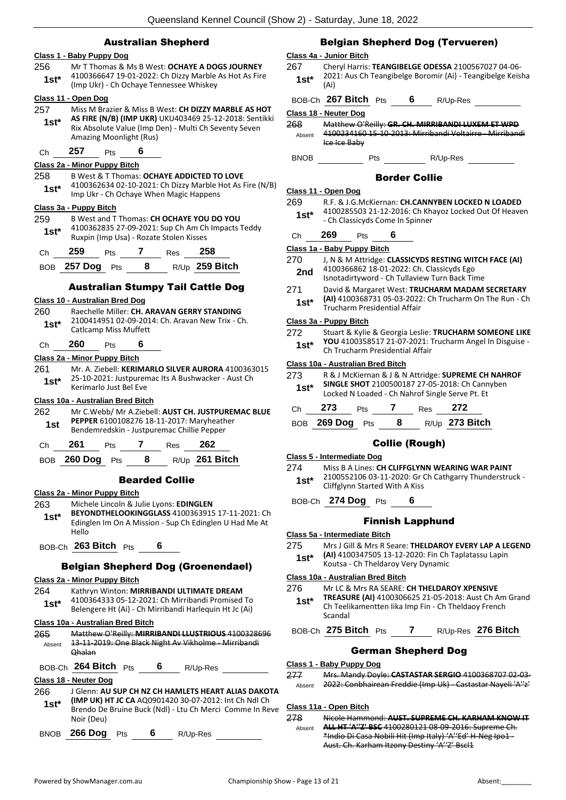#### Australian Shepherd

#### **Class 1 - Baby Puppy Dog**

- 256 Mr T Thomas & Ms B West: **OCHAYE A DOGS JOURNEY** 4100366647 19-01-2022: Ch Dizzy Marble As Hot As Fire
- (Imp Ukr) Ch Ochaye Tennessee Whiskey **1st\***

#### **Class 11 - Open Dog**

- 257 Miss M Brazier & Miss B West: **CH DIZZY MARBLE AS HOT AS FIRE (N/B) (IMP UKR)** UKU403469 25-12-2018: Sentikki Rix Absolute Value (Imp Den) - Multi Ch Seventy Seven Amazing Moonlight (Rus) **1st\***
- Ch **257** Pts **6**

#### **Class 2a - Minor Puppy Bitch**

- 258 B West & T Thomas: **OCHAYE ADDICTED TO LOVE**
- 4100362634 02-10-2021: Ch Dizzy Marble Hot As Fire (N/B) Imp Ukr - Ch Ochaye When Magic Happens **1st\***

#### **Class 3a - Puppy Bitch**

259 B West and T Thomas: **CH OCHAYE YOU DO YOU** 4100362835 27-09-2021: Sup Ch Am Ch Impacts Teddy Ruxpin (Imp Usa) - Rozate Stolen Kisses **1st\***

| ---- |  | $\cdots$ |  |
|------|--|----------|--|
|      |  |          |  |

BOB **257 Dog** Pts **8** R/Up **259 Bitch**

#### Australian Stumpy Tail Cattle Dog

#### **Class 10 - Australian Bred Dog**

#### 260 Raechelle Miller: **CH. ARAVAN GERRY STANDING**

- 2100414951 02-09-2014: Ch. Aravan New Trix Ch. **1st\*** <u>Catlcamp</u> Miss Muffett
- Ch **260** Pts **6**

#### **Class 2a - Minor Puppy Bitch**

261 Mr. A. Ziebell: **KERIMARLO SILVER AURORA** 4100363015 25-10-2021: Justpuremac Its A Bushwacker - Aust Ch **1st**\* <sup>25-10-2021: Justpurer<br>Kerimarlo Just Bel Eve</sup>

#### **Class 10a - Australian Bred Bitch**

- 262 Mr C.Webb/ Mr A.Ziebell: **AUST CH. JUSTPUREMAC BLUE PEPPER** 6100108276 18-11-2017: Maryheather **1st PEPPER 6100108276 18-11-2017: Maryheath**<br>Bendemredskin - Justpuremac Chillie Pepper
- Ch **261** Pts **7** Res **262**
- BOB **260 Dog** Pts **8** R/Up **261 Bitch**

#### Bearded Collie

#### **Class 2a - Minor Puppy Bitch**

263 Michele Lincoln & Julie Lyons: **EDINGLEN** 

- **BEYONDTHELOOKINGGLASS** 4100363915 17-11-2021: Ch Edinglen Im On A Mission - Sup Ch Edinglen U Had Me At Hello **1st\***
- BOB-Ch **263 Bitch** Pts **6**

#### Belgian Shepherd Dog (Groenendael)

#### **Class 2a - Minor Puppy Bitch**

- 264 Kathryn Winton: **MIRRIBANDI ULTIMATE DREAM**
- 4100364333 05-12-2021: Ch Mirribandi Promised To Belengere Ht (Ai) - Ch Mirribandi Harlequin Ht Jc (Ai) **1st\***

#### **Class 10a - Australian Bred Bitch**

| Absent | Matthow O'Reilly: MIRRIBANDI LLUSTRIOUS 4100328696<br><u> Ohalan</u> |   | -2019: One Black Night Av Vikholme - Mirribandi |                                                          |
|--------|----------------------------------------------------------------------|---|-------------------------------------------------|----------------------------------------------------------|
|        | BOB-Ch 264 Bitch Pts                                                 | 6 | R/Up-Res                                        |                                                          |
|        | Class 18 - Neuter Dog                                                |   |                                                 |                                                          |
| 266    |                                                                      |   |                                                 | J Glenn: AU SUP CH NZ CH HAMLETS HEART ALIAS DAKOTA      |
| $1st*$ | (IMP UK) HT JC CA AQ0901420 30-07-2012: Int Ch Ndl Ch<br>Noir (Deu)  |   |                                                 | Brendo De Bruine Buck (Ndl) - Ltu Ch Merci Comme In Reve |

BNOB **266 Dog** Pts **6** R/Up-Res

### Belgian Shepherd Dog (Tervueren)

#### **Class 4a - Junior Bitch**

- 267 Cheryl Harris: **TEANGIBELGE ODESSA** 2100567027 04-06- 2021: Aus Ch Teangibelge Boromir (Ai) - Teangibelge Keisha **1st**\*  $\frac{20}{(Ai)}$
- BOB-Ch **267 Bitch** Pts **6** R/Up-Res **Class 18 - Neuter Dog** 268 Matthew O'Reilly: **GR. CH. MIRRIBANDI LUXEM ET WPD** 4100234160 15-10-2013: Mirribandi Voltairre - Mirribandi Ice Ice Baby Absent
- BNOB Pts R/Up-Res

#### Border Collie

#### **Class 11 - Open Dog**

- 269 R.F. & J.G.McKiernan: **CH.CANNYBEN LOCKED N LOADED** 4100285503 21-12-2016: Ch Khayoz Locked Out Of Heaven - Ch Classicyds Come In Spinner **1st\***
- Ch **269** Pts **6**

#### **Class 1a - Baby Puppy Bitch**

- 270 J, N & M Attridge: **CLASSICYDS RESTING WITCH FACE (AI)** 4100366862 18-01-2022: Ch. Classicyds Ego 2nd 4100366862 18-01-2022: Ch. Classicyds Ego<br>Isnotadirtyword - Ch Tullaview Turn Back Time
- 
- 271 David & Margaret West: **TRUCHARM MADAM SECRETARY (AI)** 4100368731 05-03-2022: Ch Trucharm On The Run - Ch Trucharm Presidential Affair **1st\***

#### **Class 3a - Puppy Bitch**

272 Stuart & Kylie & Georgia Leslie: **TRUCHARM SOMEONE LIKE YOU** 4100358517 21-07-2021: Trucharm Angel In Disguise - Ch Trucharm Presidential Affair **1st\***

#### **Class 10a - Australian Bred Bitch**

| 273<br>$1st*$ |     |            |     | SINGLE SHOT 2100500187 27-05-2018: Ch Cannyben<br>Locked N Loaded - Ch Nahrof Single Serve Pt. Et | R & J McKiernan & J & N Attridge: SUPREME CH NAHROF |
|---------------|-----|------------|-----|---------------------------------------------------------------------------------------------------|-----------------------------------------------------|
| Ch            | 273 | <b>Pts</b> | Res | 272                                                                                               |                                                     |

BOB **269 Dog** Pts **8** R/Up **273 Bitch**

#### Collie (Rough)

#### **Class 5 - Intermediate Dog**

274 Miss B A Lines: **CH CLIFFGLYNN WEARING WAR PAINT** 2100552106 03-11-2020: Gr Ch Cathgarry Thunderstruck - 1st\* 2100552106 03-11-2020: Gr \,<br>Cliffglynn Started With A Kiss

BOB-Ch **274 Dog** Pts **6**

#### Finnish Lapphund

#### **Class 5a - Intermediate Bitch**

- 275 Mrs J Gill & Mrs R Seare: **THELDAROY EVERY LAP A LEGEND**
- **(AI)** 4100347505 13-12-2020: Fin Ch Taplatassu Lapin 1st\* **(AI)** 4100347505 13-12-2020: Fin Ch<br>Koutsa - Ch Theldaroy Very Dynamic

#### **Class 10a - Australian Bred Bitch**

- 276 Mr LC & Mrs RA SEARE: **CH THELDAROY XPENSIVE**
- **TREASURE (AI)** 4100306625 21-05-2018: Aust Ch Am Grand Ch Teelikamentten Iika Imp Fin - Ch Theldaoy French Scandal **1st\***

#### BOB-Ch **275 Bitch** Pts **7** R/Up-Res **276 Bitch**

#### German Shepherd Dog

#### **Class 1 - Baby Puppy Dog**

277 Mrs. Mandy Doyle: **CASTASTAR SERGIO** 4100368707 02-03- Absent 2022: Conbhairean Freddie (Imp Uk) - Castastar Nayeli 'A''z'

#### **Class 11a - Open Bitch**

278 Nicole Hammond: **AUST. SUPREME CH. KARHAM KNOW IT ALL HT 'A''Z' BSC** 4100280121 08-09-2016: Supreme Ch. \*Indio Di Casa Nobili Hit (Imp Italy) 'A''Ed' H-Neg Ipo1 - Aust. Ch. Karham Itzony Destiny 'A''Z' Bscl1 Absent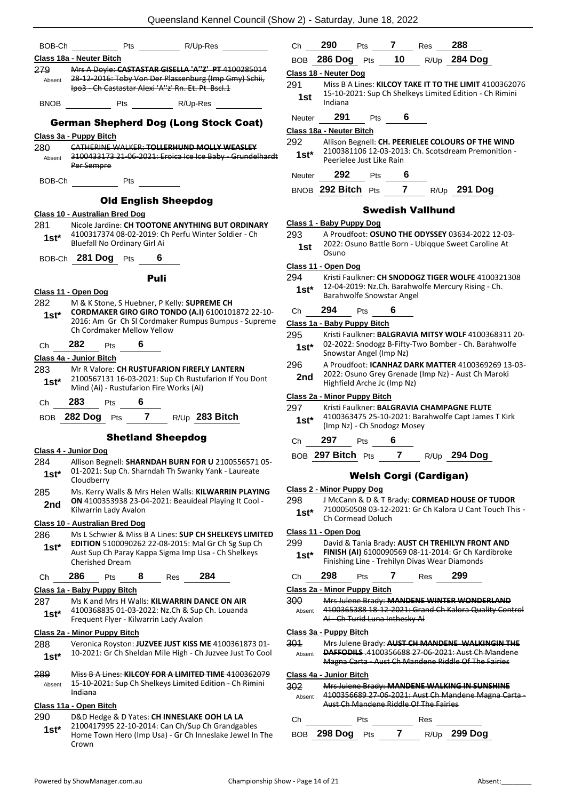| BOB-Ch         | Pts<br>R/Up-Res                                                                                                                                                        |
|----------------|------------------------------------------------------------------------------------------------------------------------------------------------------------------------|
|                | Class 18a - Neuter Bitch                                                                                                                                               |
| 279.           | Mrs A Doyle: CASTASTAR GISELLA 'A"Z' PT 4100285014<br>Absent 28-12-2016: Toby Von Der Plassenburg (Imp Gmy) Schii,<br>Ipo3 Ch Castastar Alexi 'A''z' Rn. Et. Pt Bscl.1 |
| BNOB           |                                                                                                                                                                        |
|                | <b>German Shepherd Dog (Long Stock Coat)</b>                                                                                                                           |
|                | Class 3a - Puppy Bitch                                                                                                                                                 |
| 280            | CATHERINE WALKER: TOLLERHUND MOLLY WEASLEY                                                                                                                             |
| Absent         | 3100433173 21-06-2021: Eroica Ice Ice Baby - Grundelhardt<br>Per Sempre                                                                                                |
| BOB-Ch         | <b>Pts</b>                                                                                                                                                             |
|                | <b>Old English Sheepdog</b>                                                                                                                                            |
|                | Class 10 - Australian Bred Dog                                                                                                                                         |
| 1st*           | 281 Nicole Jardine: CH TOOTONE ANYTHING BUT ORDINARY<br>4100317374 08-02-2019: Ch Perfu Winter Soldier - Ch<br>Bluefall No Ordinary Girl Ai                            |
|                | BOB-Ch 281 Dog Pts<br>$6 \quad$                                                                                                                                        |
|                | <b>Puli</b>                                                                                                                                                            |
|                | Class 11 - Open Dog                                                                                                                                                    |
| 282            | M & K Stone, S Huebner, P Kelly: <b>SUPREME CH</b>                                                                                                                     |
| 1st*           | CORDMAKER GIRO GIRO TONDO (A.I) 6100101872 22-10-                                                                                                                      |
|                | 2016: Am Gr Ch SI Cordmaker Rumpus Bumpus - Supreme<br>Ch Cordmaker Mellow Yellow                                                                                      |
|                | Ch 282 Pts 6                                                                                                                                                           |
|                | Class 4a - Junior Bitch                                                                                                                                                |
|                | 283 Mr R Valore: CH RUSTUFARION FIREFLY LANTERN                                                                                                                        |
|                | 1st* 2100567131 16-03-2021: Sup Ch Rustufarion If You Dont<br>Mind (Ai) - Rustufarion Fire Works (Ai)                                                                  |
|                | Ch 283 Pts 6                                                                                                                                                           |
|                | BOB 282 Dog Pts 7 R/Up 283 Bitch                                                                                                                                       |
|                | <b>Shetland Sheepdog</b>                                                                                                                                               |
|                | Class 4 - Junior Dog                                                                                                                                                   |
| 284<br>$1st^*$ | Allison Begnell: SHARNDAH BURN FOR U 2100556571 05-<br>01-2021: Sup Ch. Sharndah Th Swanky Yank - Laureate                                                             |
|                | Cloudberry                                                                                                                                                             |
| 285<br>2nd     | Ms. Kerry Walls & Mrs Helen Walls: KILWARRIN PLAYING<br>ON 4100353938 23-04-2021: Beauideal Playing It Cool -<br>Kilwarrin Lady Avalon                                 |
|                | <u> Class 10 - Australian Bred Doq</u>                                                                                                                                 |
| 286            | Ms L Schwier & Miss B A Lines: SUP CH SHELKEYS LIMITED                                                                                                                 |
| $1st^*$        | EDITION 5100090262 22-08-2015: Mal Gr Ch Sg Sup Ch<br>Aust Sup Ch Paray Kappa Sigma Imp Usa - Ch Shelkeys<br><b>Cherished Dream</b>                                    |
| Ch             | 284<br>286<br>8<br>Pts<br>Res                                                                                                                                          |
|                | <u> Class 1a - Baby Puppy Bitch</u>                                                                                                                                    |
| 287            | Ms K and Mrs H Walls: KILWARRIN DANCE ON AIR                                                                                                                           |
| 1st*           | 4100368835 01-03-2022: Nz.Ch & Sup Ch. Louanda<br>Frequent Flyer - Kilwarrin Lady Avalon                                                                               |
|                | Class 2a - Minor Puppy Bitch                                                                                                                                           |
| 288<br>1st*    | Veronica Royston: JUZVEE JUST KISS ME 4100361873 01-<br>10-2021: Gr Ch Sheldan Mile High - Ch Juzvee Just To Cool                                                      |
|                | Miss B A Lines: KILCOY FOR A LIMITED TIME 4100362079                                                                                                                   |
| 289<br>Absent  | 15-10-2021: Sup Ch Shelkeys Limited Edition - Ch Rimini<br><del>Indiana</del>                                                                                          |
|                | Class 11a - Open Bitch                                                                                                                                                 |
| 290            | D&D Hedge & D Yates: CH INNESLAKE OOH LA LA                                                                                                                            |
|                | 2100417995 22-10-2014: Can Ch/Sup Ch Grandgables                                                                                                                       |

Home Town Hero (Imp Usa) - Gr Ch Inneslake Jewel In The

| BOB.    | $286$ Dog Pts                                 |     | 10                     |     | R/Up 284 Dog                                                                                                    |
|---------|-----------------------------------------------|-----|------------------------|-----|-----------------------------------------------------------------------------------------------------------------|
|         | <u>Class 18 - Neuter Dog</u>                  |     |                        |     |                                                                                                                 |
| 291     |                                               |     |                        |     | Miss B A Lines: KILCOY TAKE IT TO THE LIMIT 4100362076                                                          |
| 1st     | Indiana                                       |     |                        |     | 15-10-2021: Sup Ch Shelkeys Limited Edition - Ch Rimini                                                         |
|         | 291                                           |     | 6                      |     |                                                                                                                 |
| Neuter  |                                               | Pts |                        |     |                                                                                                                 |
| 292     | Class 18a - Neuter Bitch                      |     |                        |     | Allison Begnell: CH. PEERIELEE COLOURS OF THE WIND                                                              |
| 1st*    |                                               |     |                        |     | 2100381106 12-03-2013: Ch. Scotsdream Premonition -                                                             |
|         | Peerielee Just Like Rain                      |     |                        |     |                                                                                                                 |
| Neuter  | 292                                           | Pts | 6                      |     |                                                                                                                 |
|         | BNOB 292 Bitch                                | Pts | $\mathbf{7}$           |     | R/Up 291 Dog                                                                                                    |
|         |                                               |     | Swedish Vallhund       |     |                                                                                                                 |
|         | <u> Class 1 - Baby Puppy Dog</u>              |     |                        |     |                                                                                                                 |
| 293     |                                               |     |                        |     | A Proudfoot: OSUNO THE ODYSSEY 03634-2022 12-03-                                                                |
| 1st     | Osuno                                         |     |                        |     | 2022: Osuno Battle Born - Ubiqque Sweet Caroline At                                                             |
|         | Class 11 - Open Dog                           |     |                        |     |                                                                                                                 |
| 294     |                                               |     |                        |     | Kristi Faulkner: CH SNODOGZ TIGER WOLFE 4100321308                                                              |
| 1st*    |                                               |     |                        |     | 12-04-2019: Nz.Ch. Barahwolfe Mercury Rising - Ch.                                                              |
|         | Barahwolfe Snowstar Angel                     |     |                        |     |                                                                                                                 |
| Сh      | 294<br>Pts                                    |     | 6                      |     |                                                                                                                 |
|         | Class 1a - Baby Puppy Bitch                   |     |                        |     |                                                                                                                 |
| 295     |                                               |     |                        |     | Kristi Faulkner: BALGRAVIA MITSY WOLF 4100368311 20-<br>02-2022: Snodogz B-Fifty-Two Bomber - Ch. Barahwolfe    |
| 1st*    | Snowstar Angel (Imp Nz)                       |     |                        |     |                                                                                                                 |
| 296     |                                               |     |                        |     | A Proudfoot: ICANHAZ DARK MATTER 4100369269 13-03-<br>2022: Osuno Grey Grenade (Imp Nz) - Aust Ch Maroki        |
| 2nd     | Highfield Arche Jc (Imp Nz)                   |     |                        |     |                                                                                                                 |
|         | Class 2a - Minor Puppy Bitch                  |     |                        |     |                                                                                                                 |
| 297     |                                               |     |                        |     | Kristi Faulkner: BALGRAVIA CHAMPAGNE FLUTE                                                                      |
| $1st^*$ | (Imp Nz) - Ch Snodogz Mosey                   |     |                        |     | 4100363475 25-10-2021: Barahwolfe Capt James T Kirk                                                             |
| Сh      | 297<br>Pts                                    |     | 6                      |     |                                                                                                                 |
|         | BOB 297 Bitch Pts                             |     | $\overline{7}$         |     | R/Up 294 Dog                                                                                                    |
|         |                                               |     |                        |     |                                                                                                                 |
|         |                                               |     | Welsh Corgi (Cardigan) |     |                                                                                                                 |
|         | <b>Class 2 - Minor Puppy Dog</b>              |     |                        |     |                                                                                                                 |
| 298     |                                               |     |                        |     | J McCann & D & T Brady: CORMEAD HOUSE OF TUDOR<br>7100050508 03-12-2021: Gr Ch Kalora U Cant Touch This -       |
| 1st*    | Ch Cormead Doluch                             |     |                        |     |                                                                                                                 |
|         | Class 11 - Open Dog                           |     |                        |     |                                                                                                                 |
| 299     |                                               |     |                        |     | David & Tania Brady: AUST CH TREHILYN FRONT AND<br>FINISH (AI) 6100090569 08-11-2014: Gr Ch Kardibroke          |
| $1st*$  | Finishing Line - Trehilyn Divas Wear Diamonds |     |                        |     |                                                                                                                 |
| Сh      | 298<br>Pts                                    |     | 7                      | Res | 299                                                                                                             |
|         | <b>Class 2a - Minor Puppy Bitch</b>           |     |                        |     |                                                                                                                 |
| 300     |                                               |     |                        |     | Mrs Julene Brady: MANDENE WINTER WONDERLAND                                                                     |
| Absent  | Ai - Ch Turid Luna Inthesky Ai                |     |                        |     | 4100365388 18-12-2021: Grand Ch Kalora Quality Control                                                          |
|         | Class 3a - Puppy Bitch                        |     |                        |     |                                                                                                                 |
| 301     |                                               |     |                        |     | Mrs Julene Brady: AUST CH MANDENE WALKINGIN THE                                                                 |
| Absent  |                                               |     |                        |     | <b>DAFFODILS</b> .4100356688 27-06-2021: Aust Ch Mandene<br>Magna Carta - Aust Ch Mandene Riddle Of The Fairies |
|         |                                               |     |                        |     |                                                                                                                 |

Ch **290** Pts **7** Res **288**

**Class 4a - Junior Bitch** 302 Mrs Julene Brady: **MANDENE WALKING IN SUNSHINE** Absent 4100356689 27-06-2021: Aust Ch Mandene Magna Carta -Aust Ch Mandene Riddle Of The Fairies

| Ch. |                 |  | Res |              |
|-----|-----------------|--|-----|--------------|
|     | BOB 298 Dog Pts |  |     | R/Up 299 Dog |

Crown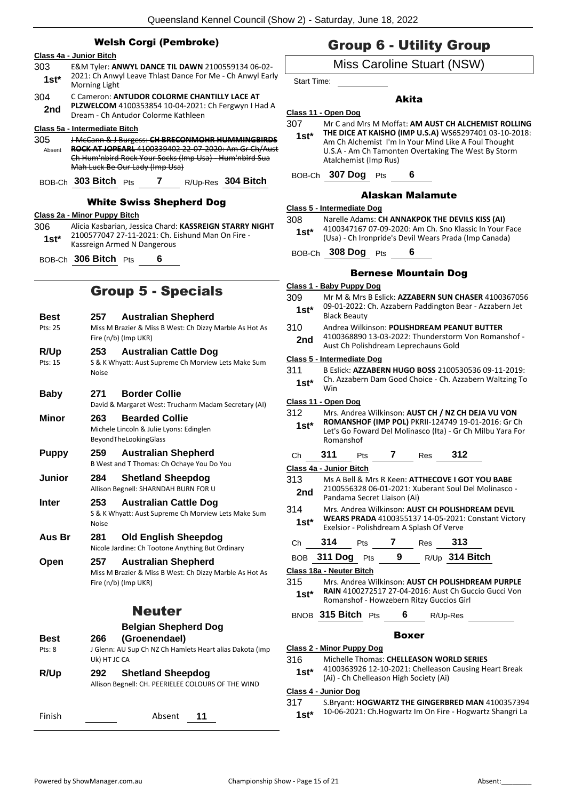|                        | Queensland Kennel Council (Show                                                                                                                                                                               |                       |
|------------------------|---------------------------------------------------------------------------------------------------------------------------------------------------------------------------------------------------------------|-----------------------|
|                        | <b>Welsh Corgi (Pembroke)</b>                                                                                                                                                                                 |                       |
| 303<br>$1st^*$         | Class 4a - Junior Bitch<br>E&M Tyler: ANWYL DANCE TIL DAWN 2100559134 06-02-<br>2021: Ch Anwyl Leave Thlast Dance For Me - Ch Anwyl Early                                                                     | Ś                     |
| 304                    | Morning Light<br>C Cameron: ANTUDOR COLORME CHANTILLY LACE AT<br>PLZWELCOM 4100353854 10-04-2021: Ch Fergwyn I Had A                                                                                          |                       |
| 2nd                    | Dream - Ch Antudor Colorme Kathleen<br>Class 5a - Intermediate Bitch                                                                                                                                          | <u>Cla</u><br>30      |
| 305<br>Absent          | J McCann & J Burgess: CH BRECONMOHR HUMMINGBIRDS<br>ROCK AT JOPEARL 4100339402 22 07 2020: Am Gr Ch/Aust<br>Ch Hum'nbird Rock Your Socks (Imp Usa) - Hum'nbird Sua<br>Mah Luck Be Our Lady (Imp Usa)          |                       |
|                        | BOB-Ch 303 Bitch Pts<br>7 $R/Up-Res$ 304 Bitch                                                                                                                                                                | В                     |
| 306<br>$1st*$          | <b>White Swiss Shepherd Dog</b><br>Class 2a - Minor Puppy Bitch<br>Alicia Kasbarian, Jessica Chard: KASSREIGN STARRY NIGHT<br>2100577047 27-11-2021: Ch. Eishund Man On Fire -<br>Kassreign Armed N Dangerous | <u>Cla</u><br>30      |
|                        | BOB-Ch 306 Bitch Pts<br>6                                                                                                                                                                                     | B                     |
|                        | <b>Group 5 - Specials</b>                                                                                                                                                                                     | <u>Cla</u><br>30      |
| <b>Best</b><br>Pts: 25 | <b>Australian Shepherd</b><br>257<br>Miss M Brazier & Miss B West: Ch Dizzy Marble As Hot As<br>Fire (n/b) (Imp UKR)                                                                                          | 31                    |
| R/Up<br>Pts: 15        | 253<br><b>Australian Cattle Dog</b><br>S & K Whyatt: Aust Supreme Ch Morview Lets Make Sum<br><b>Noise</b>                                                                                                    | <u>Cla</u><br>31      |
| <b>Baby</b>            | <b>Border Collie</b><br>271<br>David & Margaret West: Trucharm Madam Secretary (AI)                                                                                                                           | <u>Cla</u>            |
| Minor                  | 263<br><b>Bearded Collie</b><br>Michele Lincoln & Julie Lyons: Edinglen<br>BeyondTheLookingGlass                                                                                                              | 31                    |
| <b>Puppy</b>           | <b>Australian Shepherd</b><br>259<br>B West and T Thomas: Ch Ochaye You Do You                                                                                                                                | С<br><u>Cla</u>       |
| Junior                 | <b>Shetland Sheepdog</b><br>284<br>Allison Begnell: SHARNDAH BURN FOR U                                                                                                                                       | 31                    |
| <b>Inter</b>           | 253<br><b>Australian Cattle Dog</b><br>S & K Whyatt: Aust Supreme Ch Morview Lets Make Sum<br><b>Noise</b>                                                                                                    | 31                    |
| Aus Br                 | <b>Old English Sheepdog</b><br>281<br>Nicole Jardine: Ch Tootone Anything But Ordinary                                                                                                                        | С                     |
| Open                   | <b>Australian Shepherd</b><br>257<br>Miss M Brazier & Miss B West: Ch Dizzy Marble As Hot As<br>Fire (n/b) (Imp UKR)                                                                                          | в<br><u>Cla</u><br>31 |
|                        | <b>Neuter</b>                                                                                                                                                                                                 | В                     |
| <b>Best</b><br>Pts: 8  | <b>Belgian Shepherd Dog</b><br>(Groenendael)<br>266<br>J Glenn: AU Sup Ch NZ Ch Hamlets Heart alias Dakota (imp                                                                                               | <u>Cla</u>            |
| R/Up                   | Uk) HT JC CA<br><b>Shetland Sheepdog</b><br>292<br>Allison Begnell: CH. PEERIELEE COLOURS OF THE WIND                                                                                                         | 31<br><u>Cla</u>      |
| Finish                 | Absent<br>11                                                                                                                                                                                                  | 31                    |
|                        |                                                                                                                                                                                                               |                       |

### Group 6 - Utility Group

### Miss Caroline Stuart (NSW)

Start Time:

Akita

#### **Class 11 - Open Dog**

307 Mr C and Mrs M Moffat: **AM AUST CH ALCHEMIST ROLLING THE DICE AT KAISHO (IMP U.S.A)** WS65297401 03-10-2018: Am Ch Alchemist I'm In Your Mind Like A Foul Thought U.S.A - Am Ch Tamonten Overtaking The West By Storm **1st\***

Atalchemist (Imp Rus) BOB-Ch **307 Dog** Pts **6**

#### Alaskan Malamute

|--|

- 308 Narelle Adams: **CH ANNAKPOK THE DEVILS KISS (AI)**
- 4100347167 07-09-2020: Am Ch. Sno Klassic In Your Face (Usa) - Ch Ironpride's Devil Wears Prada (Imp Canada) **1st\***

#### BOB-Ch **308 Dog** Pts **6**

#### Bernese Mountain Dog

- **Class 1 - Baby Puppy Dog** 309 Mr M & Mrs B Eslick: **AZZABERN SUN CHASER** 4100367056 09-01-2022: Ch. Azzabern Paddington Bear - Azzabern Jet **1st**\* 09-01-2022:<br>Black Beauty 310 Andrea Wilkinson: **POLISHDREAM PEANUT BUTTER** 4100368890 13-03-2022: Thunderstorm Von Romanshof - 2nd 4100368890 13-03-2022: Inungerstorm<br>Aust Ch Polishdream Leprechauns Gold **Class 5 - Intermediate Dog** 311 B Eslick: **AZZABERN HUGO BOSS** 2100530536 09-11-2019: Ch. Azzabern Dam Good Choice - Ch. Azzabern Waltzing To Win **1st\* Class 11 - Open Dog** 312 Mrs. Andrea Wilkinson: **AUST CH / NZ CH DEJA VU VON ROMANSHOF (IMP POL)** PKRII-124749 19-01-2016: Gr Ch Let's Go Foward Del Molinasco (Ita) - Gr Ch Milbu Yara For Romanshof **1st\*** Ch **311** Pts **7** Res **312 Class 4a - Junior Bitch** 313 Ms A Bell & Mrs R Keen: **ATTHECOVE I GOT YOU BABE** 2100556328 06-01-2021: Xuberant Soul Del Molinasco - **2nd** <sup>2100556328 06-01-2021: XL</sup><br>Pandama Secret Liaison (Ai) 314 Mrs. Andrea Wilkinson: **AUST CH POLISHDREAM DEVIL WEARS PRADA** 4100355137 14-05-2021: Constant Victory Exelsior - Polishdream A Splash Of Verve **1st\*** Ch **314** Pts **7** Res **313** BOB **311 Dog** Pts **9** R/Up **314 Bitch Class 18a - Neuter Bitch** 315 Mrs. Andrea Wilkinson: **AUST CH POLISHDREAM PURPLE RAIN** 4100272517 27-04-2016: Aust Ch Guccio Gucci Von Romanshof - Howzebern Ritzy Guccios Girl **1st\*** BNOB **315 Bitch** Pts **6** R/Up-Res Boxer **Class 2 - Minor Puppy Dog**
	- 316 Michelle Thomas: **CHELLEASON WORLD SERIES**
	- 4100363926 12-10-2021: Chelleason Causing Heart Break (Ai) - Ch Chelleason High Society (Ai) **1st\***

#### **Class 4 - Junior Dog**

- 317 S.Bryant: **HOGWARTZ THE GINGERBRED MAN** 4100357394
- 10-06-2021: Ch.Hogwartz Im On Fire Hogwartz Shangri La **1st\***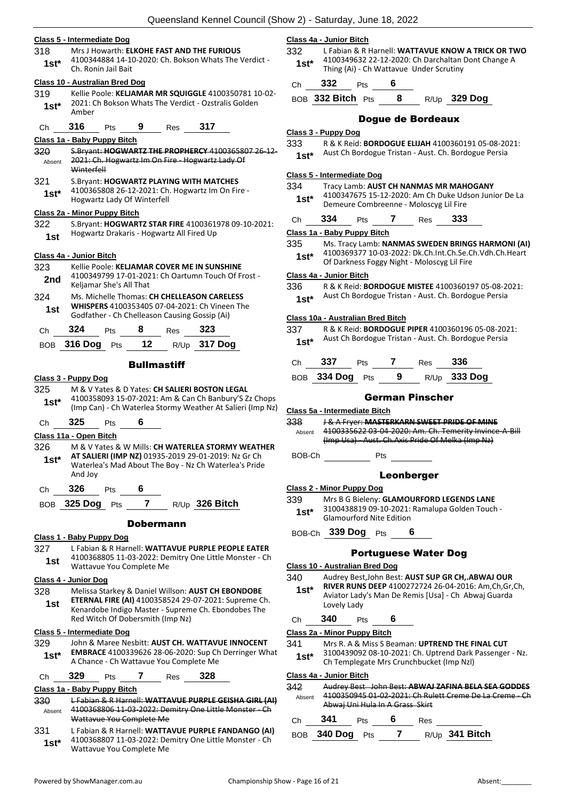#### **Class 5 - Intermediate Dog**

| 318 | Mrs J Howarth: ELKOHE FAST AND THE FURIOUS          |
|-----|-----------------------------------------------------|
|     | 4100344884 14-10-2020; Ch. Bokson Whats The Verdict |

Ch. Ronin Jail Bait **1st\***

#### **Class 10 - Australian Bred Dog**

- 319 Kellie Poole: **KELJAMAR MR SQUIGGLE** 4100350781 10-02- 2021: Ch Bokson Whats The Verdict - Ozstralis Golden  $1$ **st**\*  $\frac{202111}{Amber}$
- Ch **316** Pts **9** Res **317**

#### **Class 1a - Baby Puppy Bitch**

| Absent        | S.Brvant: HOGWARTZ THE PROPHERCY 4100365807 26 12-<br>2021: Ch. Hogwartz Im On Fire - Hogwartz Lady Of<br>Winterfell        |
|---------------|-----------------------------------------------------------------------------------------------------------------------------|
| 321<br>$1st*$ | S. Bryant: HOGWARTZ PLAYING WITH MATCHES<br>4100365808 26-12-2021: Ch. Hogwartz Im On Fire -<br>Hogwartz Lady Of Winterfell |
|               | Class 2a - Minor Puppy Bitch                                                                                                |
| 322           | S. Bryant: HOGWARTZ STAR FIRE 4100361978 09-10-2021:                                                                        |
| 1st           | Hogwartz Drakaris - Hogwartz All Fired Up                                                                                   |

#### **Class 4a - Junior Bitch**

| 323<br>2nd |     | Keljamar She's All That |     | Kellie Poole: KELJAMAR COVER ME IN SUNSHINE<br>4100349799 17-01-2021: Ch Oartumn Touch Of Frost -                                             |  |
|------------|-----|-------------------------|-----|-----------------------------------------------------------------------------------------------------------------------------------------------|--|
| 324<br>1st |     |                         |     | Ms. Michelle Thomas: CH CHELLEASON CARELESS<br>WHISPERS 4100353405 07-04-2021: Ch Vineen The<br>Godfather - Ch Chelleason Causing Gossip (Ai) |  |
| C.h        | 324 | <b>Pts</b>              | Res | 323                                                                                                                                           |  |

| BOB 316 Dog Pts 12 R/Up 317 Dog |  |  |
|---------------------------------|--|--|
|                                 |  |  |

#### **Bullmastiff**

#### **Class 3 - Puppy Dog**

325 M & V Yates & D Yates: **CH SALIERI BOSTON LEGAL** 4100358093 15-07-2021: Am & Can Ch Banbury'S Zz Chops (Imp Can) - Ch Waterlea Stormy Weather At Salieri (Imp Nz) **1st\***

#### Ch **325** Pts **6**

#### **Class 11a - Open Bitch**

| 326<br>$1st*$ | And Joy |            |   | M & V Yates & W Mills: CH WATERLEA STORMY WEATHER<br>AT SALIERI (IMP NZ) 01935-2019 29-01-2019: Nz Gr Ch<br>Waterlea's Mad About The Boy - Nz Ch Waterlea's Pride |
|---------------|---------|------------|---|-------------------------------------------------------------------------------------------------------------------------------------------------------------------|
| Ch.           | 326     | <b>Pts</b> | 6 |                                                                                                                                                                   |

BOB **325 Dog** Pts **7** R/Up **326 Bitch**

#### Dobermann

#### **Class 1 - Baby Puppy Dog**

327 L Fabian & R Harnell: **WATTAVUE PURPLE PEOPLE EATER** 4100368805 11-03-2022: Demitry One Little Monster - Ch 1st 4100368805 11-03-2022: De<br>Wattavue You Complete Me

#### **Class 4 - Junior Dog**

328 Melissa Starkey & Daniel Willson: **AUST CH EBONDOBE ETERNAL FIRE (AI)** 4100358524 29-07-2021: Supreme Ch. Kenardobe Indigo Master - Supreme Ch. Ebondobes The Red Witch Of Dobersmith (Imp Nz) **1st**

#### **Class 5 - Intermediate Dog**

329 John & Maree Nesbitt: **AUST CH. WATTAVUE INNOCENT EMBRACE** 4100339626 28-06-2020: Sup Ch Derringer What A Chance - Ch Wattavue You Complete Me **1st\***

Ch **329** Pts **7** Res **328**

#### **Class 1a - Baby Puppy Bitch**

- 330 L Fabian & R Harnell: **WATTAVUE PURPLE GEISHA GIRL (AI)** 4100368806 11-03-2022: Demitry One Little Monster - Ch Wattavue You Complete Me Absent
- 331 L Fabian & R Harnell: **WATTAVUE PURPLE FANDANGO (AI)** 4100368807 11-03-2022: Demitry One Little Monster - Ch Wattavue You Complete Me **1st\***

#### **Class 4a - Junior Bitch**

332 L Fabian & R Harnell: **WATTAVUE KNOW A TRICK OR TWO** 4100349632 22-12-2020: Ch Darchaltan Dont Change A Thing (Ai) - Ch Wattavue Under Scrutiny **1st\***

#### Ch **332** Pts **6**

BOB **332 Bitch** Pts **8** R/Up **329 Dog**

#### Dogue de Bordeaux

#### **Class 3 - Puppy Dog**

| 333 | R & K Reid: <b>BORDOGUE ELIJAH</b> 4100360191 05-08-2021: |
|-----|-----------------------------------------------------------|
|-----|-----------------------------------------------------------|

Aust Ch Bordogue Tristan - Aust. Ch. Bordogue Persia **1st\***

#### **Class 5 - Intermediate Dog**

334 Tracy Lamb: **AUST CH NANMAS MR MAHOGANY** 4100347675 15-12-2020: Am Ch Duke Udson Junior De La Demeure Combreenne - Moloscyg Lil Fire **1st\***

| -334                        |  | Res |  |
|-----------------------------|--|-----|--|
| Class 1a - Baby Puppy Bitch |  |     |  |

- 335 Ms. Tracy Lamb: **NANMAS SWEDEN BRINGS HARMONI (AI)**
- 4100369377 10-03-2022: Dk.Ch.Int.Ch.Se.Ch.Vdh.Ch.Heart **1st**\* 4100369377 10-03-2022: DK.Ch.Int.Ch.Se.C<br>Of Darkness Foggy Night - Moloscyg Lil Fire

#### **Class 4a - Junior Bitch**

336 R & K Reid: **BORDOGUE MISTEE** 4100360197 05-08-2021: Aust Ch Bordogue Tristan - Aust. Ch. Bordogue Persia **1st\***

#### **Class 10a - Australian Bred Bitch**

337 R & K Reid: **BORDOGUE PIPER** 4100360196 05-08-2021: 1st\* Aust Ch Bordogue Tristan - Aust. Ch. Bordogue Persia

| $Ch$ 337        | <b>Pts</b> |     | Res <b>336</b> |                |
|-----------------|------------|-----|----------------|----------------|
| BOB 334 Dog Pts |            | - 9 |                | $R/Up$ 333 Dog |

#### German Pinscher

#### **Class 5a - Intermediate Bitch**

338 J & A Fryer: **MASTERKARN SWEET PRIDE OF MINE** 4100335622 03-04-2020: Am. Ch. Temerity Invince-A-Bill (Imp Usa) - Aust. Ch.Axis Pride Of Melka (Imp Nz) Absent

BOB-Ch Pts

#### Leonberger

#### **Class 2 - Minor Puppy Dog**

- 339 Mrs B G Bieleny: **GLAMOURFORD LEGENDS LANE** 3100438819 09-10-2021: Ramalupa Golden Touch -
- Glamourford Nite Edition **1st\***
- BOB-Ch **339 Dog** Pts **6**

#### Portuguese Water Dog

#### **Class 10 - Australian Bred Dog**

- 340 Audrey Best,John Best: **AUST SUP GR CH,.ABWAJ OUR RIVER RUNS DEEP** 4100272724 26-04-2016: Am,Ch,Gr,Ch, Aviator Lady's Man De Remis [Usa] - Ch Abwaj Guarda Lovely Lady **1st\***
- Ch **340** Pts **6**

#### **Class 2a - Minor Puppy Bitch**

- 341 Mrs R. A & Miss S Beaman: **UPTREND THE FINAL CUT**
	- 3100439092 08-10-2021: Ch. Uptrend Dark Passenger Nz. Ch Templegate Mrs Crunchbucket (Imp Nzl) **1st\***

#### **Class 4a - Junior Bitch**

| 342    | Audrey Best John Best: ABWAJ ZAFINA BELA SEA GODDES     |
|--------|---------------------------------------------------------|
| Absent | 4100350945 01-02-2021: Ch Rulett Creme De La Creme - Ch |
|        | Abwaj Uni Hula In A Grass Skirt                         |
|        |                                                         |

| Ch | - 341           | Pts | - 6 | Res |                  |
|----|-----------------|-----|-----|-----|------------------|
|    | BOB 340 Dog Pts |     |     |     | $R/Up$ 341 Bitch |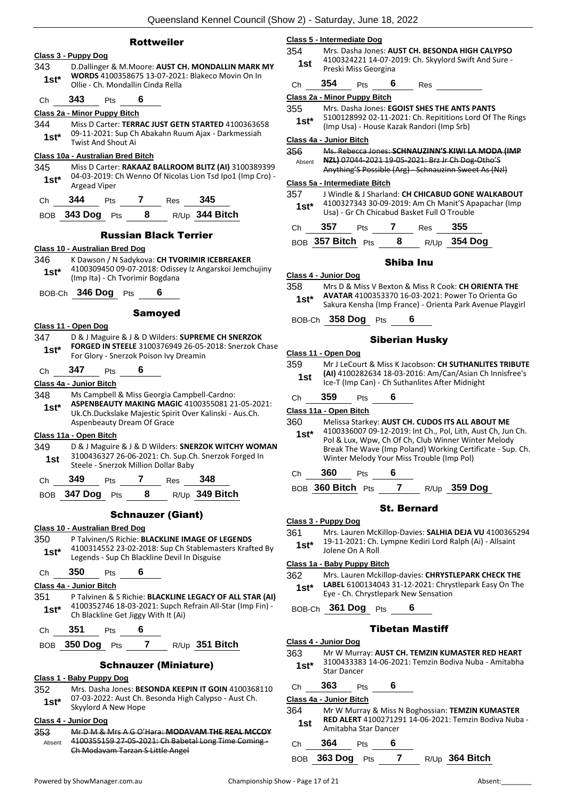|                                                                | <b>Rottweiler</b>                                                                                         |         | Class 5 - Intermediate Dog    |                      |                    |                                             |                                                                                                       |
|----------------------------------------------------------------|-----------------------------------------------------------------------------------------------------------|---------|-------------------------------|----------------------|--------------------|---------------------------------------------|-------------------------------------------------------------------------------------------------------|
| Class 3 - Puppy Dog                                            |                                                                                                           | 354     |                               |                      |                    |                                             | Mrs. Dasha Jones: AUST CH. BESONDA HIGH CALYPSO                                                       |
| 343                                                            | D.Dallinger & M.Moore: AUST CH. MONDALLIN MARK MY                                                         | 1st     |                               |                      |                    |                                             | 4100324221 14-07-2019: Ch. Skyylord Swift And Sure -                                                  |
| $1st*$                                                         | WORDS 4100358675 13-07-2021: Blakeco Movin On In                                                          |         | 354                           | Preski Miss Georgina | 6                  |                                             |                                                                                                       |
| Ollie - Ch. Mondallin Cinda Rella                              |                                                                                                           | Ch      |                               | Pts                  |                    | Res                                         |                                                                                                       |
| 343<br>6<br>Pts<br>Ch                                          |                                                                                                           |         | Class 2a - Minor Puppy Bitch  |                      |                    |                                             |                                                                                                       |
| Class 2a - Minor Puppy Bitch                                   |                                                                                                           | 355     |                               |                      |                    |                                             | Mrs. Dasha Jones: EGOIST SHES THE ANTS PANTS<br>5100128992 02-11-2021: Ch. Repititions Lord Of The Ri |
| 344                                                            | Miss D Carter: TERRAC JUST GETN STARTED 4100363658                                                        | $1st*$  |                               |                      |                    | (Imp Usa) - House Kazak Randori (Imp Srb)   |                                                                                                       |
| $1st^*$                                                        | 09-11-2021: Sup Ch Abakahn Ruum Ajax - Darkmessiah                                                        |         |                               |                      |                    |                                             |                                                                                                       |
| <b>Twist And Shout Ai</b>                                      |                                                                                                           | 356     | Class 4a - Junior Bitch       |                      |                    |                                             | Ms. Rebecca Jones: SCHNAUZINN'S KIWI LA MODA (IN                                                      |
| Class 10a - Australian Bred Bitch                              |                                                                                                           | Absent  |                               |                      |                    |                                             | NZL) 07044-2021 19-05-2021: Brz Jr Ch Dog-Otho'S                                                      |
| 345                                                            | Miss D Carter: RAKAAZ BALLROOM BLITZ (AI) 3100389399                                                      |         |                               |                      |                    |                                             | Anything'S Possible (Arg) Schnauzinn Sweet As (Nzl)                                                   |
| $1st^*$<br>Argead Viper                                        | 04-03-2019: Ch Wenno Of Nicolas Lion Tsd Ipo1 (Imp Cro) -                                                 |         | Class 5a - Intermediate Bitch |                      |                    |                                             |                                                                                                       |
|                                                                |                                                                                                           | 357     |                               |                      |                    |                                             | J Windle & J Sharland: CH CHICABUD GONE WALKABO                                                       |
| 344<br>Pts<br>Ch                                               | 345<br>7<br><b>Res</b>                                                                                    | $1st^*$ |                               |                      |                    |                                             | 4100327343 30-09-2019: Am Ch Manit'S Apapachar (In                                                    |
| BOB 343 Dog Pts                                                | 8<br>R/Up 344 Bitch                                                                                       |         |                               |                      |                    | Usa) - Gr Ch Chicabud Basket Full O Trouble |                                                                                                       |
|                                                                |                                                                                                           | Ch      | 357                           | Pts                  | 7                  | Res                                         | 355                                                                                                   |
|                                                                | <b>Russian Black Terrier</b>                                                                              |         | BOB 357 Bitch Pts             |                      | 8                  |                                             | $R/Up$ 354 Dog                                                                                        |
| Class 10 - Australian Bred Dog                                 |                                                                                                           |         |                               |                      |                    |                                             |                                                                                                       |
| 346                                                            | K Dawson / N Sadykova: CH TVORIMIR ICEBREAKER                                                             |         |                               |                      | <b>Shiba Inu</b>   |                                             |                                                                                                       |
| $1st^*$                                                        | 4100309450 09-07-2018: Odissey Iz Angarskoi Jemchujiny                                                    |         | Class 4 - Junior Dog          |                      |                    |                                             |                                                                                                       |
| (Imp Ita) - Ch Tvorimir Bogdana                                |                                                                                                           | 358     |                               |                      |                    |                                             | Mrs D & Miss V Bexton & Miss R Cook: CH ORIENTA TH                                                    |
| BOB-Ch 346 Dog Pts                                             |                                                                                                           | $1st^*$ |                               |                      |                    |                                             | AVATAR 4100353370 16-03-2021: Power To Orienta G                                                      |
|                                                                |                                                                                                           |         |                               |                      |                    |                                             | Sakura Kensha (Imp France) - Orienta Park Avenue Play                                                 |
|                                                                | <b>Samoyed</b>                                                                                            |         | BOB-Ch 358 Dog Pts            |                      |                    | 6                                           |                                                                                                       |
| Class 11 - Open Dog                                            |                                                                                                           |         |                               |                      |                    |                                             |                                                                                                       |
| 347                                                            | D & J Maguire & J & D Wilders: SUPREME CH SNERZOK                                                         |         |                               |                      |                    | <b>Siberian Husky</b>                       |                                                                                                       |
| $1st*$                                                         | FORGED IN STEELE 3100376949 26-05-2018: Snerzok Chase                                                     |         | Class 11 - Open Dog           |                      |                    |                                             |                                                                                                       |
| For Glory - Snerzok Poison Ivy Dreamin                         |                                                                                                           | 359     |                               |                      |                    |                                             | Mr J LeCourt & Miss K Jacobson: CH SUTHANLITES TRIE                                                   |
| 347<br>6<br>Pts<br>Ch                                          |                                                                                                           | 1st     |                               |                      |                    |                                             | (AI) 4100282634 18-03-2016: Am/Can/Asian Ch Innisfr                                                   |
| Class 4a - Junior Bitch                                        |                                                                                                           |         |                               |                      |                    |                                             | Ice-T (Imp Can) - Ch Suthanlites After Midnight                                                       |
| 348                                                            | Ms Campbell & Miss Georgia Campbell-Cardno:                                                               | Ch      | 359                           | Pts                  | 6                  |                                             |                                                                                                       |
| $1st*$                                                         | ASPENBEAUTY MAKING MAGIC 4100355081 21-05-2021:                                                           |         | Class 11a - Open Bitch        |                      |                    |                                             |                                                                                                       |
| Aspenbeauty Dream Of Grace                                     | Uk.Ch.Duckslake Majestic Spirit Over Kalinski - Aus.Ch.                                                   | 360     |                               |                      |                    |                                             | Melissa Starkey: AUST CH. CUDOS ITS ALL ABOUT ME                                                      |
|                                                                |                                                                                                           | $1st*$  |                               |                      |                    |                                             | 4100336007 09-12-2019: Int Ch., Pol, Lith, Aust Ch, Jun                                               |
| Class 11a - Open Bitch<br>349                                  | D & J Maguire & J & D Wilders: SNERZOK WITCHY WOMAN                                                       |         |                               |                      |                    |                                             | Pol & Lux, Wpw, Ch Of Ch, Club Winner Winter Melody                                                   |
|                                                                | 3100436327 26-06-2021: Ch. Sup.Ch. Snerzok Forged In                                                      |         |                               |                      |                    | Winter Melody Your Miss Trouble (Imp Pol)   | Break The Wave (Imp Poland) Working Certificate - Sup                                                 |
| 1st.<br>Steele - Snerzok Million Dollar Baby                   |                                                                                                           |         |                               |                      |                    |                                             |                                                                                                       |
| 349<br>Pts<br>Ch                                               | 348<br>7<br>Res                                                                                           | Ch      | 360                           | Pts                  | 6                  |                                             |                                                                                                       |
|                                                                |                                                                                                           |         | BOB 360 Bitch Pts             |                      | $\overline{7}$     |                                             | $R/Up$ 359 Dog                                                                                        |
| BOB 347 Dog Pts                                                | 8<br>R/Up 349 Bitch                                                                                       |         |                               |                      |                    |                                             |                                                                                                       |
|                                                                | <b>Schnauzer (Giant)</b>                                                                                  |         |                               |                      | <b>St. Bernard</b> |                                             |                                                                                                       |
|                                                                |                                                                                                           |         | Class 3 - Puppy Dog           |                      |                    |                                             |                                                                                                       |
| <b>Class 10 - Australian Bred Dog</b>                          |                                                                                                           | 361     |                               |                      |                    |                                             | Mrs. Lauren McKillop-Davies: SALHIA DEJA VU 410036.                                                   |
| 350                                                            | P Talvinen/S Richie: BLACKLINE IMAGE OF LEGENDS<br>4100314552 23-02-2018: Sup Ch Stablemasters Krafted By | $1st*$  |                               |                      |                    |                                             | 19-11-2021: Ch. Lympne Kediri Lord Ralph (Ai) - Allsain                                               |
| $1st^*$                                                        | Legends - Sup Ch Blackline Devil In Disguise                                                              |         |                               | Jolene On A Roll     |                    |                                             |                                                                                                       |
|                                                                |                                                                                                           |         | Class 1a - Baby Puppy Bitch   |                      |                    |                                             |                                                                                                       |
| 350<br>6<br>Pts<br>Ch                                          |                                                                                                           | 362     |                               |                      |                    |                                             | Mrs. Lauren Mckillop-davies: CHRYSTLEPARK CHECK TI                                                    |
| Class 4a - Junior Bitch                                        |                                                                                                           | $1st^*$ |                               |                      |                    | Eye - Ch. Chrystlepark New Sensation        | LABEL 6100134043 31-12-2021: Chrystlepark Easy On 1                                                   |
| 351                                                            | P Talvinen & S Richie: BLACKLINE LEGACY OF ALL STAR (AI)                                                  |         |                               |                      |                    |                                             |                                                                                                       |
| $1st^*$<br>Ch Blackline Get Jiggy With It (Ai)                 | 4100352746 18-03-2021: Supch Refrain All-Star (Imp Fin) -                                                 |         | BOB-Ch 361 Dog Pts            |                      |                    | 6                                           |                                                                                                       |
| 351<br>6                                                       |                                                                                                           |         |                               |                      |                    | <b>Tibetan Mastiff</b>                      |                                                                                                       |
| Pts<br>Ch                                                      |                                                                                                           |         |                               |                      |                    |                                             |                                                                                                       |
| 350 Dog Pts<br><b>BOB</b>                                      | $\overline{\mathbf{z}}$<br>R/Up 351 Bitch                                                                 |         | Class 4 - Junior Dog          |                      |                    |                                             |                                                                                                       |
|                                                                |                                                                                                           | 363     |                               |                      |                    |                                             | Mr W Murray: AUST CH. TEMZIN KUMASTER RED HEA<br>3100433383 14-06-2021: Temzin Bodiva Nuba - Amital   |
|                                                                |                                                                                                           | $1st*$  |                               |                      |                    |                                             |                                                                                                       |
| <b>Schnauzer (Miniature)</b>                                   |                                                                                                           |         | <b>Star Dancer</b>            |                      |                    |                                             |                                                                                                       |
|                                                                |                                                                                                           |         |                               |                      |                    |                                             |                                                                                                       |
|                                                                | Mrs. Dasha Jones: BESONDA KEEPIN IT GOIN 4100368110                                                       | Ch      | 363                           | Pts                  | 6                  |                                             |                                                                                                       |
| Class 1 - Baby Puppy Dog<br>352<br>1st*<br>Skyylord A New Hope | 07-03-2022: Aust Ch. Besonda High Calypso - Aust Ch.                                                      | 364     | Class 4a - Junior Bitch       |                      |                    |                                             | Mr W Murray & Miss N Boghossian: TEMZIN KUMASTE                                                       |

#### **Class 4 - Junior Dog**

353 Mr D M & Mrs A G O'Hara: **MODAVAM THE REAL MCCOY** 4100355159 27 05 2021: Ch Babetal Long Time Coming -Ch Modavam Tarzan S Little Angel Absent

| 0363658                     | 355<br>$1st^*$ | Mrs. Dasha Jones: EGOIST SHES THE ANTS PANTS<br>(Imp Usa) - House Kazak Randori (Imp Srb) |                    |                       | 5100128992 02-11-2021: Ch. Repititions Lord Of The Rings                                                                                                                                                                             |  |
|-----------------------------|----------------|-------------------------------------------------------------------------------------------|--------------------|-----------------------|--------------------------------------------------------------------------------------------------------------------------------------------------------------------------------------------------------------------------------------|--|
| าessiah                     |                | Class 4a - Junior Bitch                                                                   |                    |                       |                                                                                                                                                                                                                                      |  |
| 100389399                   | 356<br>Absent  | NZL) 07044-2021 19-05-2021: Brz Jr Ch Dog-Otho'S                                          |                    |                       | Ms. Rebecca Jones: SCHNAUZINN'S KIWI LA MODA (IMP<br>Anything'S Possible (Arg) Schnauzinn Sweet As (Nzl)                                                                                                                             |  |
| (Imp Cro) -                 |                | Class 5a - Intermediate Bitch                                                             |                    |                       |                                                                                                                                                                                                                                      |  |
|                             | 357<br>$1st^*$ | Usa) - Gr Ch Chicabud Basket Full O Trouble                                               |                    |                       | J Windle & J Sharland: CH CHICABUD GONE WALKABOUT<br>4100327343 30-09-2019: Am Ch Manit'S Apapachar (Imp                                                                                                                             |  |
|                             | Ch             | 357<br>Pts                                                                                | $\mathbf{7}$       | <b>Res</b>            | 355                                                                                                                                                                                                                                  |  |
|                             |                | BOB 357 Bitch Pts                                                                         | 8                  |                       | R/Up 354 Dog                                                                                                                                                                                                                         |  |
| KER<br>emchujiny            |                |                                                                                           | Shiba Inu          |                       |                                                                                                                                                                                                                                      |  |
|                             | 358<br>$1st^*$ | Class 4 - Junior Dog                                                                      |                    |                       | Mrs D & Miss V Bexton & Miss R Cook: CH ORIENTA THE<br><b>AVATAR 4100353370 16-03-2021: Power To Orienta Go</b><br>Sakura Kensha (Imp France) - Orienta Park Avenue Playgirl                                                         |  |
|                             |                | BOB-Ch 358 Dog Pts                                                                        | 6                  |                       |                                                                                                                                                                                                                                      |  |
| <b>ERZOK</b><br>erzok Chase |                | Class 11 - Open Dog                                                                       |                    | <b>Siberian Husky</b> |                                                                                                                                                                                                                                      |  |
|                             | 359<br>1st     | Ice-T (Imp Can) - Ch Suthanlites After Midnight                                           |                    |                       | Mr J LeCourt & Miss K Jacobson: CH SUTHANLITES TRIBUTE<br>(AI) 4100282634 18-03-2016: Am/Can/Asian Ch Innisfree's                                                                                                                    |  |
| $-05 - 2021$ :              | Ch             | 359<br>Pts                                                                                | 6                  |                       |                                                                                                                                                                                                                                      |  |
| us.Ch.                      |                | Class 11a - Open Bitch                                                                    |                    |                       |                                                                                                                                                                                                                                      |  |
| IY WOMAN<br>orged In        | 360<br>1st*    | Winter Melody Your Miss Trouble (Imp Pol)                                                 |                    |                       | Melissa Starkey: AUST CH. CUDOS ITS ALL ABOUT ME<br>4100336007 09-12-2019: Int Ch., Pol, Lith, Aust Ch, Jun Ch.<br>Pol & Lux, Wpw, Ch Of Ch, Club Winner Winter Melody<br>Break The Wave (Imp Poland) Working Certificate - Sup. Ch. |  |
|                             | Ch             | 360<br>Pts                                                                                | 6                  |                       |                                                                                                                                                                                                                                      |  |
|                             |                | BOB 360 Bitch Pts 7 R/Up 359 Dog                                                          |                    |                       |                                                                                                                                                                                                                                      |  |
|                             |                |                                                                                           | <b>St. Bernard</b> |                       |                                                                                                                                                                                                                                      |  |
| <b>NDS</b><br>Krafted By    | 361<br>$1st^*$ | Class 3 - Puppy Dog<br>Jolene On A Roll                                                   |                    |                       | Mrs. Lauren McKillop-Davies: SALHIA DEJA VU 4100365294<br>19-11-2021: Ch. Lympne Kediri Lord Ralph (Ai) - Allsaint                                                                                                                   |  |
|                             |                | Class 1a - Baby Puppy Bitch                                                               |                    |                       |                                                                                                                                                                                                                                      |  |
| I CTAD (AI)                 | 362<br>$1st*$  | Eye - Ch. Chrystlepark New Sensation                                                      |                    |                       | Mrs. Lauren Mckillop-davies: CHRYSTLEPARK CHECK THE<br>LABEL 6100134043 31-12-2021: Chrystlepark Easy On The                                                                                                                         |  |

### betan Mastiff

#### Ch **363** Pts **6**

- 364 Mr W Murray & Miss N Boghossian: **TEMZIN KUMASTER RED ALERT** 4100271291 14-06-2021: Temzin Bodiva Nuba - **1st** RED ALERT 41002/129<br>Amitabha Star Dancer
- Ch **364** Pts **6**

BOB **363 Dog** Pts **7** R/Up **364 Bitch**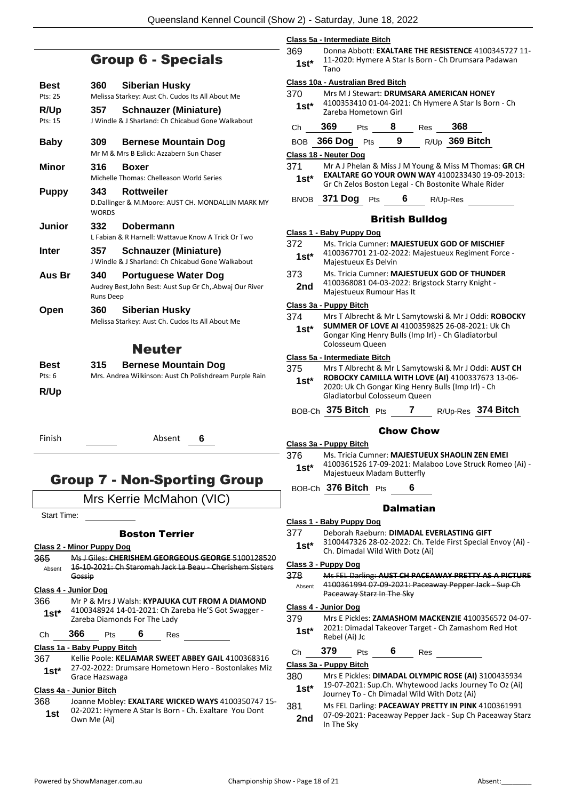### Group 6 - Specials

| Best<br>$P$ <sup>ts</sup> : 25 | 360                     | Siberian Husky<br>Melissa Starkey: Aust Ch. Cudos Its All About Me                     |
|--------------------------------|-------------------------|----------------------------------------------------------------------------------------|
| R/Up<br>Pts: 15                | 357                     | <b>Schnauzer (Miniature)</b><br>J Windle & J Sharland: Ch Chicabud Gone Walkabout      |
| Baby                           | 309.                    | <b>Bernese Mountain Dog</b><br>Mr M & Mrs B Eslick: Azzabern Sun Chaser                |
| Minor                          | 316                     | <b>Boxer</b><br>Michelle Thomas: Chelleason World Series                               |
| <b>Puppy</b>                   | 343<br><b>WORDS</b>     | Rottweiler<br>D.Dallinger & M.Moore: AUST CH. MONDALLIN MARK MY                        |
| Junior                         | 332                     | Dobermann<br>L Fabian & R Harnell: Wattavue Know A Trick Or Two                        |
| Inter                          | 357                     | <b>Schnauzer (Miniature)</b><br>I Windle & I Sharland: Ch Chicabud Gone Walkabout      |
| Aus Br                         | 340<br><b>Runs Deep</b> | <b>Portuguese Water Dog</b><br>Audrey Best, John Best: Aust Sup Gr Ch, Abwaj Our River |
| Open                           | 360                     | Siberian Husky<br>Melissa Starkey: Aust Ch. Cudos Its All About Me                     |

### Neuter

| <b>Best</b> | 315 | <b>Bernese Mountain Dog</b>                            |
|-------------|-----|--------------------------------------------------------|
| Pts: 6      |     | Mrs. Andrea Wilkinson: Aust Ch Polishdream Purple Rain |
| R/Up        |     |                                                        |

Finish Absent **6**

### Group 7 - Non-Sporting Group

### Mrs Kerrie McMahon (VIC)

Start Time:

#### Boston Terrier

- **Class 2 - Minor Puppy Dog**
- 365 Ms J Giles: **CHERISHEM GEORGEOUS GEORGE** 5100128520 16-10-2021: Ch Staromah Jack La Beau - Cherishem Sisters Gossip Absent

#### **Class 4 - Junior Dog**

- 366 Mr P & Mrs J Walsh: **KYPAJUKA CUT FROM A DIAMOND** 4100348924 14-01-2021: Ch Zareba He'S Got Swagger - **1st**\* 4100348924 14-01-2021: Ch 2a<br>Zareba Diamonds For The Lady
- Ch **366** Pts **6** Res

**Class 1a - Baby Puppy Bitch**

367 Kellie Poole: **KELJAMAR SWEET ABBEY GAIL** 4100368316 27-02-2022: Drumsare Hometown Hero - Bostonlakes Miz **1st**\* <sup>27-02-2022: Dru</sup><br>Grace Hazswaga

#### **Class 4a - Junior Bitch**

368 Joanne Mobley: **EXALTARE WICKED WAYS** 4100350747 15- 02-2021: Hymere A Star Is Born - Ch. Exaltare You Dont **1st**  $\frac{02-2021}{1}$  Hyper-

| Class 5a - Intermediate Bitch |                                                      |  |  |
|-------------------------------|------------------------------------------------------|--|--|
| 369                           | Donna Abbott: EXALTARE THE RESISTENCE 4100345727 11- |  |  |
| $1st*$                        | 11-2020: Hymere A Star Is Born - Ch Drumsara Padawan |  |  |
|                               | Tano                                                 |  |  |

#### **Class 10a - Australian Bred Bitch**

**Class 1 - Baby Puppy Dog**

370 Mrs M J Stewart: **DRUMSARA AMERICAN HONEY** 4100353410 01-04-2021: Ch Hymere A Star Is Born - Ch **1st**\* 4100333410 01-04-202

|             | <u>ZUI CDU TIUITICLUWIT UITI</u> |     |     |                                                                                                        |  |
|-------------|----------------------------------|-----|-----|--------------------------------------------------------------------------------------------------------|--|
| Ch          | 369                              | Pts | Res | 368                                                                                                    |  |
| <b>BOB</b>  | <b>366 Dog</b>                   | Pts |     | R/Up 369 Bitch                                                                                         |  |
|             | Class 18 - Neuter Dog            |     |     |                                                                                                        |  |
| 371         |                                  |     |     | Mr A J Phelan & Miss J M Young & Miss M Thomas: GR CH                                                  |  |
| $1st*$      |                                  |     |     | EXALTARE GO YOUR OWN WAY 4100233430 19-09-2013:<br>Gr Ch Zelos Boston Legal - Ch Bostonite Whale Rider |  |
| <b>BNOB</b> | <b>371 Dog</b>                   | Pts |     | R/Up-Res                                                                                               |  |

#### British Bulldog

|                | Class 1 - Baby Puppy Dog                                                                                                               |
|----------------|----------------------------------------------------------------------------------------------------------------------------------------|
| 372<br>$1st^*$ | Ms. Tricia Cumner: MAJESTUEUX GOD OF MISCHIEF<br>4100367701 21-02-2022: Majestueux Regiment Force -<br>Majestueux Es Delvin            |
| 373<br>2nd     | Ms. Tricia Cumner: MAJESTUEUX GOD OF THUNDER<br>4100368081 04-03-2022: Brigstock Starry Knight -<br>Majestueux Rumour Has It           |
|                | Class 3a - Puppy Bitch                                                                                                                 |
| 374            | Mrs T Albrecht & Mr L Samytowski & Mr J Oddi: ROBOCKY                                                                                  |
| $1st^*$        | <b>SUMMER OF LOVE AI 4100359825 26-08-2021: Uk Ch</b><br>Gongar King Henry Bulls (Imp Irl) - Ch Gladiatorbul<br>Colosseum Queen        |
|                | Class 5a - Intermediate Bitch                                                                                                          |
| 375.           | Mrs T Albrecht & Mr L Samytowski & Mr J Oddi: AUST CH                                                                                  |
| $1st^*$        | ROBOCKY CAMILLA WITH LOVE (AI) 4100337673 13-06-<br>2020: Uk Ch Gongar King Henry Bulls (Imp Irl) - Ch<br>Gladiatorbul Colosseum Queen |
|                | BOB-Ch 375 Bitch Pts<br>R/Up-Res 374 Bitch<br>7                                                                                        |
|                | Chow Chow                                                                                                                              |

**Class 3a - Puppy Bitch**

- 376 Ms. Tricia Cumner: **MAJESTUEUX SHAOLIN ZEN EMEI**
- 4100361526 17-09-2021: Malaboo Love Struck Romeo (Ai) Majestueux Madam Butterfly **1st\***
- BOB-Ch **376 Bitch** Pts **6**

#### **Dalmatian**

- **Class 1 - Baby Puppy Dog**
- 377 Deborah Raeburn: **DIMADAL EVERLASTING GIFT**
- 3100447326 28-02-2022: Ch. Telde First Special Envoy (Ai) Ch. Dimadal Wild With Dotz (Ai) **1st\***

#### **Class 3 - Puppy Dog**

378 Ms FEL Darling: **AUST CH PACEAWAY PRETTY AS A PICTURE** 4100361994 07-09-2021: Paceaway Pepper Jack - Sup Ch Paceaway Starz In The Sky Absent

#### **Class 4 - Junior Dog**

379 Mrs E Pickles: **ZAMASHOM MACKENZIE** 4100356572 04-07- 2021: Dimadal Takeover Target - Ch Zamashom Red Hot **1st**\* <sup>2021: Dimac<br>Rebel (Ai) Jc</sup>

Ch **379** Pts **6** Res

#### **Class 3a - Puppy Bitch**

- 380 Mrs E Pickles: **DIMADAL OLYMPIC ROSE (AI)** 3100435934 19-07-2021: Sup.Ch. Whytewood Jacks Journey To Oz (Ai)
	- **1St** 19-07-2021: Sup.Ch. Whytewood Jacks Journey To Ch Dimadal Wild With Dotz (Ai)
- 381 Ms FEL Darling: **PACEAWAY PRETTY IN PINK** 4100361991 07-09-2021: Paceaway Pepper Jack - Sup Ch Paceaway Starz **2nd** U<sub>1</sub> U<sub>1</sub> U<sub>2</sub> U<sub>2</sub> U<sub>2</sub> U<sub>2</sub>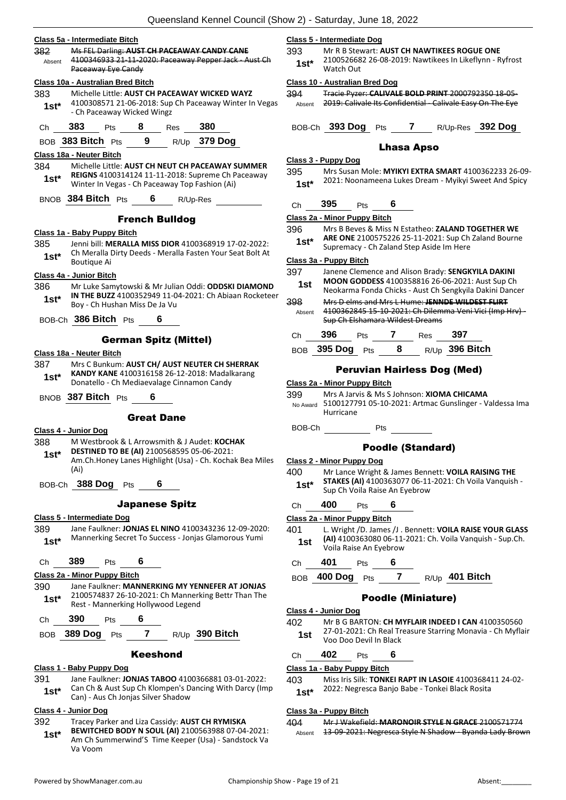#### **Class 5a - Intermediate Bitch**

| 382    | Ms FEL Darling: AUST CH PACEAWAY CANDY CANE           |
|--------|-------------------------------------------------------|
| Absent | 4100346933 21-11-2020: Paceaway Pepper Jack - Aust Ch |
|        | Paceaway Eye Candy                                    |
|        | Class 10a - Australian Bred Bitch                     |

| 383    | Michelle Little: AUST CH PACEAWAY WICKED WAYZ          |
|--------|--------------------------------------------------------|
| $1st*$ | 4100308571 21-06-2018: Sup Ch Paceaway Winter In Vegas |
|        | - Ch Paceaway Wicked Wingz                             |

| Ch | 383 | Pts | Res | 380 |
|----|-----|-----|-----|-----|
|    |     |     |     |     |

BOB **383 Bitch** Pts **9** R/Up **379 Dog**

- **Class 18a - Neuter Bitch**
- 384 Michelle Little: **AUST CH NEUT CH PACEAWAY SUMMER REIGNS** 4100314124 11-11-2018: Supreme Ch Paceaway Winter In Vegas - Ch Paceaway Top Fashion (Ai) **1st\***
- BNOB **384 Bitch** Pts **6** R/Up-Res

#### French Bulldog

#### **Class 1a - Baby Puppy Bitch**

- 385 Jenni bill: **MERALLA MISS DIOR** 4100368919 17-02-2022:
- Ch Meralla Dirty Deeds Meralla Fasten Your Seat Bolt At **1st**\* Ch Meralia<br>Boutique Ai

#### **Class 4a - Junior Bitch**

- 386 Mr Luke Samytowski & Mr Julian Oddi: **ODDSKI DIAMOND IN THE BUZZ** 4100352949 11-04-2021: Ch Abiaan Rocketeer Boy - Ch Hushan Miss De Ja Vu **1st\***
- BOB-Ch **386 Bitch** Pts **6**

#### German Spitz (Mittel)

#### **Class 18a - Neuter Bitch**

- 387 Mrs C Bunkum: **AUST CH/ AUST NEUTER CH SHERRAK KANDY KANE** 4100316158 26-12-2018: Madalkarang Donatello - Ch Mediaevalage Cinnamon Candy **1st\***
- BNOB **387 Bitch** Pts **6**

#### Great Dane

#### **Class 4 - Junior Dog**

- 388 M Westbrook & L Arrowsmith & J Audet: **KOCHAK**
- **DESTINED TO BE (AI)** 2100568595 05-06-2021: **1st\***
- Am.Ch.Honey Lanes Highlight (Usa) Ch. Kochak Bea Miles (Ai)
- BOB-Ch **388 Dog** Pts **6**

#### Japanese Spitz

#### **Class 5 - Intermediate Dog**

389 Jane Faulkner: **JONJAS EL NINO** 4100343236 12-09-2020: Mannerking Secret To Success - Jonjas Glamorous Yumi **1st\***

#### Ch **389** Pts **6**

#### **Class 2a - Minor Puppy Bitch**

- 390 Jane Faulkner: **MANNERKING MY YENNEFER AT JONJAS** 2100574837 26-10-2021: Ch Mannerking Bettr Than The 1st\* 2100574837 26-10-2021: Ch Mannerk<br>Rest - Mannerking Hollywood Legend
- Ch **390** Pts **6**
- BOB **389 Dog** Pts **7** R/Up **390 Bitch**

#### Keeshond

#### **Class 1 - Baby Puppy Dog**

- 391 Jane Faulkner: **JONJAS TABOO** 4100366881 03-01-2022: Can Ch & Aust Sup Ch Klompen's Dancing With Darcy (Imp
- **1st**\* Can Ch & Aust Sup Ch Klompen's D<br>Can) Aus Ch Jonjas Silver Shadow

#### **Class 4 - Junior Dog**

- 392 Tracey Parker and Liza Cassidy: **AUST CH RYMISKA** 
	- **BEWITCHED BODY N SOUL (AI)** 2100563988 07-04-2021: Am Ch Summerwind'S Time Keeper (Usa) - Sandstock Va Va Voom **1st\***

#### **Class 5 - Intermediate Dog**

393 Mr R B Stewart: **AUST CH NAWTIKEES ROGUE ONE** 2100526682 26-08-2019: Nawtikees In Likeflynn - Ryfrost Watch Out **1st\***

#### **Class 10 - Australian Bred Dog**

394 Tracie Pyzer: **CALIVALE BOLD PRINT** 2000792350 18-05- Absent 2019: Calivale Its Confidential - Calivale Easy On The Eye

BOB-Ch **393 Dog** Pts **7** R/Up-Res **392 Dog**

#### Lhasa Apso

#### **Class 3 - Puppy Dog**

395 Mrs Susan Mole: **MYIKYI EXTRA SMART** 4100362233 26-09- 2021: Noonameena Lukes Dream - Myikyi Sweet And Spicy **1st\***

### Ch **395** Pts **6**

#### **Class 2a - Minor Puppy Bitch**

396 Mrs B Beves & Miss N Estatheo: **ZALAND TOGETHER WE ARE ONE** 2100575226 25-11-2021: Sup Ch Zaland Bourne **1st\* ANE UNE 2100575220 25-11-2021.** Sup Cit Supremacy - Ch Zaland Step Aside Im Here

#### **Class 3a - Puppy Bitch**

- 397 Janene Clemence and Alison Brady: **SENGKYILA DAKINI MOON GODDESS** 4100358816 26-06-2021: Aust Sup Ch Neokarma Fonda Chicks - Aust Ch Sengkyila Dakini Dancer **1st** 398 Mrs D elms and Mrs L Hume: **JENNDE WILDEST FLIRT** 4100362845 15-10-2021: Ch Dilemma Veni Vici (Imp Hrv) - Sup Ch Elshamara Wildest Dreams Absent
	- Ch **396** Pts **7** Res **397**
- BOB **395 Dog** Pts **8** R/Up **396 Bitch**

#### Peruvian Hairless Dog (Med)

#### **Class 2a - Minor Puppy Bitch**

- 399 Mrs A Jarvis & Ms S Johnson: **XIOMA CHICAMA**
- 5100127791 05-10-2021: Artmac Gunslinger Valdessa Ima Hurricane No Award
- BOB-Ch Pts

#### Poodle (Standard)

#### **Class 2 - Minor Puppy Dog**

- 400 Mr Lance Wright & James Bennett: **VOILA RAISING THE STAKES (AI)** 4100363077 06-11-2021: Ch Voila Vanquish -
- **1st\*** STAKES (AI) 4100363077 06-11<br>Sup Ch Voila Raise An Eyebrow
- Ch **400** Pts **6**

#### **Class 2a - Minor Puppy Bitch**

- 401 L. Wright /D. James /J . Bennett: **VOILA RAISE YOUR GLASS (AI)** 4100363080 06-11-2021: Ch. Voila Vanquish - Sup.Ch. Voila Raise An Eyebrow **1st**
- Ch **401** Pts **6**
- BOB **400 Dog** Pts **7** R/Up **401 Bitch**

#### Poodle (Miniature)

#### **Class 4 - Junior Dog**

402 Mr B G BARTON: **CH MYFLAIR INDEED I CAN** 4100350560 27-01-2021: Ch Real Treasure Starring Monavia - Ch Myflair Voo Doo Devil In Black **1st**

#### Ch **402** Pts **6**

#### **Class 1a - Baby Puppy Bitch**

- 403 Miss Iris Silk: **TONKEI RAPT IN LASOIE** 4100368411 24-02-
	- 2022: Negresca Banjo Babe Tonkei Black Rosita **1st\***

#### **Class 3a - Puppy Bitch**

404 Mr J Wakefield: **MARONOIR STYLE N GRACE** 2100571774 Absent 13-09-2021: Negresca Style N Shadow - Byanda Lady Brown

- 
- 
-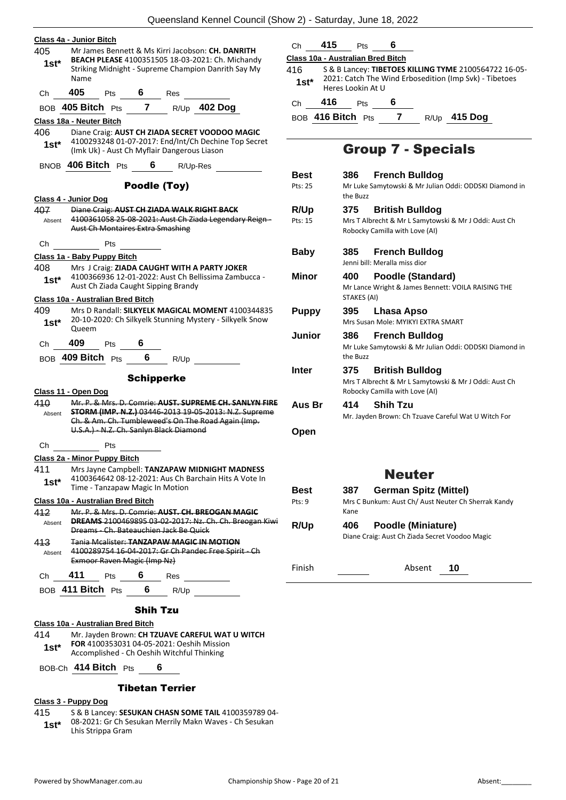| 405     | Class 4a - Junior Bitch<br>Mr James Bennett & Ms Kirri Jacobson: CH. DANRITH                                       | 415<br>Ch              | Pts<br>6                                 |
|---------|--------------------------------------------------------------------------------------------------------------------|------------------------|------------------------------------------|
| $1st*$  | BEACH PLEASE 4100351505 18-03-2021: Ch. Michandy                                                                   |                        | Class 10a - Australian Bred Bi           |
|         | Striking Midnight - Supreme Champion Danrith Say My<br>Name                                                        | 416.                   | S & B Lancey: TIBETC                     |
|         | 405                                                                                                                | $1$ st $^*$            | 2021: Catch The Win<br>Heres Lookin At U |
| Ch      |                                                                                                                    | 416<br>Ch              | <b>Pts</b><br>6 6                        |
|         | BOB 405 Bitch Pts 7 R/Up 402 Dog                                                                                   |                        | BOB 416 Bitch Pts                        |
| 406     | Class 18a - Neuter Bitch<br>Diane Craig: AUST CH ZIADA SECRET VOODOO MAGIC                                         |                        |                                          |
| $1st*$  | 4100293248 01-07-2017: End/Int/Ch Dechine Top Secret                                                               |                        |                                          |
|         | (Imk Uk) - Aust Ch Myflair Dangerous Liason                                                                        |                        | <b>Group 7</b>                           |
|         | BNOB 406 Bitch Pts 6 R/Up-Res                                                                                      |                        |                                          |
|         | Poodle (Toy)                                                                                                       | <b>Best</b><br>Pts: 25 | 386<br>Fren<br>Mr Luke Samytov           |
|         | Class 4 - Junior Dog                                                                                               |                        | the Buzz                                 |
| 407     | Diane Craig: AUST CH ZIADA WALK RIGHT BACK                                                                         | R/Up                   | 375<br><b>Britis</b>                     |
| Absent  | 4100361058 25-08-2021: Aust Ch Ziada Legendary Reign-                                                              | Pts: 15                | Mrs T Albrecht &                         |
|         | <b>Aust Ch Montaires Extra Smashing</b>                                                                            |                        | Robocky Camilla                          |
| Ch      | <b>Pts</b>                                                                                                         | <b>Baby</b>            | 385<br>Fren                              |
|         | Class 1a - Baby Puppy Bitch                                                                                        |                        | Jenni bill: Meralla                      |
| 408     | Mrs J Craig: ZIADA CAUGHT WITH A PARTY JOKER<br>4100366936 12-01-2022: Aust Ch Bellissima Zambucca -               | Minor                  | 400<br>Pood                              |
| $1st*$  | Aust Ch Ziada Caught Sipping Brandy                                                                                |                        | Mr Lance Wright                          |
|         | Class 10a - Australian Bred Bitch                                                                                  |                        | STAKES (AI)                              |
| 409     | Mrs D Randall: SILKYELK MAGICAL MOMENT 4100344835                                                                  | <b>Puppy</b>           | 395<br>Lhas                              |
| $1st*$  | 20-10-2020: Ch Silkyelk Stunning Mystery - Silkyelk Snow<br>Queem                                                  |                        | Mrs Susan Mole:                          |
| Ch      | 409<br>Pts $\overline{\mathbf{6}}$                                                                                 | Junior                 | 386<br>Fren                              |
|         |                                                                                                                    |                        | Mr Luke Samytov<br>the Buzz              |
|         | BOB 409 Bitch Pts 6<br>R/Up                                                                                        | <b>Inter</b>           | 375                                      |
|         | <b>Schipperke</b>                                                                                                  |                        | <b>Britis</b><br>Mrs T Albrecht &        |
|         | Class 11 - Open Dog                                                                                                |                        | Robocky Camilla                          |
| 410     | Mr. P. & Mrs. D. Comrie: AUST. SUPREME CH. SANLYN FIRE                                                             | Aus Br                 | <b>Shih</b><br>414                       |
| Absent  | <b>STORM (IMP. N.Z.)</b> 03446-2013 19-05-2013: N.Z. Supreme<br>Ch. & Am. Ch. Tumbleweed's On The Road Again (Imp. |                        | Mr. Jayden Brow                          |
|         | U.S.A.) N.Z. Ch. Sanlyn Black Diamond                                                                              | Open                   |                                          |
| Ch      | Pts                                                                                                                |                        |                                          |
|         | Class 2a - Minor Puppy Bitch                                                                                       |                        |                                          |
| 411     | Mrs Jayne Campbell: TANZAPAW MIDNIGHT MADNESS                                                                      |                        | N                                        |
| $1st^*$ | 4100364642 08-12-2021: Aus Ch Barchain Hits A Vote In<br>Time - Tanzapaw Magic In Motion                           |                        |                                          |
|         |                                                                                                                    | <b>Best</b><br>Pts: 9  | 387<br>Gern                              |
| 412     | Class 10a - Australian Bred Bitch<br>Mr. P. & Mrs. D. Comrie: AUST. CH. BREOGAN MAGIC                              |                        | Mrs C Bunkum: A<br>Kane                  |
| Absent  | <b>DREAMS</b> 2100469895 03-02-2017: Nz. Ch. Ch. Breogan Kiwi                                                      | R/Up                   | 406<br>Pood                              |
|         | Dreams - Ch. Bateauchien Jack Be Quick                                                                             |                        | Diane Craig: Aust                        |
| 413     | <b>Tanja Mcalister: TANZAPAW MAGIC IN MOTION</b><br>4100289754 16 04 2017: Gr Ch Pandec Free Spirit Ch             |                        |                                          |
| Absent  | Exmoor Raven Magic (Imp Nz)                                                                                        |                        |                                          |
| Ch      | 411<br>Pts 6 Res                                                                                                   | Finish                 |                                          |
|         | BOB 411 Bitch Pts 6 R/Up                                                                                           |                        |                                          |
|         |                                                                                                                    |                        |                                          |
|         | <b>Shih Tzu</b>                                                                                                    |                        |                                          |
|         | Class 10a - Australian Bred Bitch                                                                                  |                        |                                          |
| 414     | Mr. Jayden Brown: CH TZUAVE CAREFUL WAT U WITCH                                                                    |                        |                                          |

**FOR** 4100353031 04-05-2021: Oeshih Mission 1st\* FOR 4100353031 04-05-2021: Oeshih Missional Accomplished - Ch Oeshih Witchful Thinking

BOB-Ch **414 Bitch** Pts **6**

#### Tibetan Terrier

#### **Class 3 - Puppy Dog**

- 415 S & B Lancey: **SESUKAN CHASN SOME TAIL** 4100359789 04-
	- 08-2021: Gr Ch Sesukan Merrily Makn Waves Ch Sesukan
	- **1st**\* 08-2021: Gr Ch Se<br>Lhis Strippa Gram

|  | Class 10a - Australian Bred Bitch |  |
|--|-----------------------------------|--|
|  |                                   |  |

416 S & B Lancey: **TIBETOES KILLING TYME** 2100564722 16-05- 2021: Catch The Wind Erbosedition (Imp Svk) - Tibetoes okin At U

BOB **416 Bitch** Pts **7** R/Up **415 Dog**

### roup 7 - Specials

| Best<br>Pts: 25          | <b>French Bulldog</b><br>386<br>Mr Luke Samytowski & Mr Julian Oddi: ODDSKI Diamond in<br>the Buzz                       |
|--------------------------|--------------------------------------------------------------------------------------------------------------------------|
| R/Up<br>Pts: 15          | <b>British Bulldog</b><br>375<br>Mrs T Albrecht & Mr L Samytowski & Mr J Oddi: Aust Ch<br>Robocky Camilla with Love (AI) |
| <b>Baby</b>              | <b>French Bulldog</b><br>385<br>Jenni bill: Meralla miss dior                                                            |
| Minor                    | Poodle (Standard)<br>400<br>Mr Lance Wright & James Bennett: VOILA RAISING THE<br><b>STAKES (AI)</b>                     |
| <b>Puppy</b>             | Lhasa Apso<br>395<br>Mrs Susan Mole: MYIKYI EXTRA SMART                                                                  |
| Junior                   | 386<br><b>French Bulldog</b><br>Mr Luke Samytowski & Mr Julian Oddi: ODDSKI Diamond in<br>the Buzz                       |
| <b>Inter</b>             | 375<br><b>British Bulldog</b><br>Mrs T Albrecht & Mr L Samytowski & Mr J Oddi: Aust Ch<br>Robocky Camilla with Love (AI) |
| Aus Br                   | <b>Shih Tzu</b><br>414<br>Mr. Jayden Brown: Ch Tzuave Careful Wat U Witch For                                            |
| Open                     |                                                                                                                          |
|                          | <b>Neuter</b>                                                                                                            |
| Best<br>$P$ †c $\cdot$ 9 | German Spitz (Mittel)<br>387<br>Mrs C Bunkum: Aust Ch/ Aust Neuter Ch Sherrak Kandy                                      |

C Bunkum: Aust Ch/ Aust Neuter Ch Sherrak Kandy Kane **6** Poodle (Miniature) ne Craig: Aust Ch Ziada Secret Voodoo Magic

Absent **10**